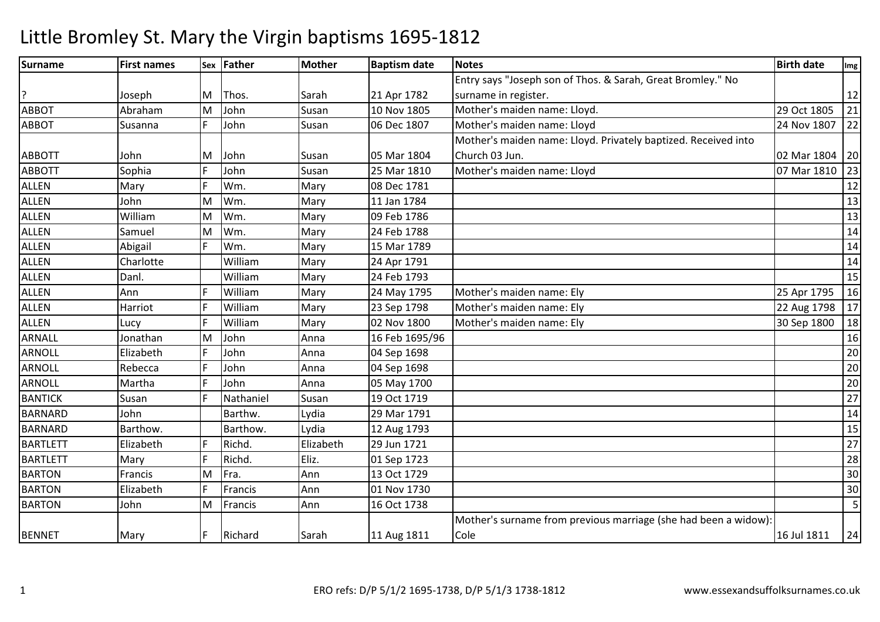| <b>Surname</b>  | <b>First names</b> |    | Sex Father | <b>Mother</b> | <b>Baptism date</b> | <b>Notes</b>                                                    | <b>Birth date</b> | Im <sub>g</sub> |
|-----------------|--------------------|----|------------|---------------|---------------------|-----------------------------------------------------------------|-------------------|-----------------|
|                 |                    |    |            |               |                     | Entry says "Joseph son of Thos. & Sarah, Great Bromley." No     |                   |                 |
|                 | Joseph             | M  | Thos.      | Sarah         | 21 Apr 1782         | surname in register.                                            |                   | 12              |
| <b>ABBOT</b>    | Abraham            | M  | John       | Susan         | 10 Nov 1805         | Mother's maiden name: Lloyd.                                    | 29 Oct 1805       | 21              |
| <b>ABBOT</b>    | Susanna            | F  | John       | Susan         | 06 Dec 1807         | Mother's maiden name: Lloyd                                     | 24 Nov 1807       | 22              |
|                 |                    |    |            |               |                     | Mother's maiden name: Lloyd. Privately baptized. Received into  |                   |                 |
| <b>ABBOTT</b>   | John               | M  | John       | Susan         | 05 Mar 1804         | Church 03 Jun.                                                  | 02 Mar 1804       | 20              |
| <b>ABBOTT</b>   | Sophia             | F  | John       | Susan         | 25 Mar 1810         | Mother's maiden name: Lloyd                                     | 07 Mar 1810       | 23              |
| <b>ALLEN</b>    | Mary               | F  | Wm.        | Mary          | 08 Dec 1781         |                                                                 |                   | 12              |
| <b>ALLEN</b>    | John               | M  | Wm.        | Mary          | 11 Jan 1784         |                                                                 |                   | 13              |
| <b>ALLEN</b>    | William            | M  | Wm.        | Mary          | 09 Feb 1786         |                                                                 |                   | 13              |
| <b>ALLEN</b>    | Samuel             | M  | Wm.        | Mary          | 24 Feb 1788         |                                                                 |                   | 14              |
| <b>ALLEN</b>    | Abigail            | F  | Wm.        | Mary          | 15 Mar 1789         |                                                                 |                   | 14              |
| <b>ALLEN</b>    | Charlotte          |    | William    | Mary          | 24 Apr 1791         |                                                                 |                   | 14              |
| <b>ALLEN</b>    | Danl.              |    | William    | Mary          | 24 Feb 1793         |                                                                 |                   | 15              |
| <b>ALLEN</b>    | Ann                | F  | William    | Mary          | 24 May 1795         | Mother's maiden name: Ely                                       | 25 Apr 1795       | 16              |
| <b>ALLEN</b>    | Harriot            | F  | William    | Mary          | 23 Sep 1798         | Mother's maiden name: Ely                                       | 22 Aug 1798       | 17              |
| <b>ALLEN</b>    | Lucy               | F  | William    | Mary          | 02 Nov 1800         | Mother's maiden name: Ely                                       | 30 Sep 1800       | 18              |
| ARNALL          | Jonathan           | M  | John       | Anna          | 16 Feb 1695/96      |                                                                 |                   | 16              |
| <b>ARNOLL</b>   | Elizabeth          | F  | John       | Anna          | 04 Sep 1698         |                                                                 |                   | 20              |
| <b>ARNOLL</b>   | Rebecca            | F  | John       | Anna          | 04 Sep 1698         |                                                                 |                   | 20              |
| ARNOLL          | Martha             | F  | John       | Anna          | 05 May 1700         |                                                                 |                   | 20              |
| <b>BANTICK</b>  | Susan              | F  | Nathaniel  | Susan         | 19 Oct 1719         |                                                                 |                   | 27              |
| <b>BARNARD</b>  | John               |    | Barthw.    | Lydia         | 29 Mar 1791         |                                                                 |                   | 14              |
| <b>BARNARD</b>  | Barthow.           |    | Barthow.   | Lydia         | 12 Aug 1793         |                                                                 |                   | 15              |
| <b>BARTLETT</b> | Elizabeth          | F  | Richd.     | Elizabeth     | 29 Jun 1721         |                                                                 |                   | $27$            |
| <b>BARTLETT</b> | Mary               | F  | Richd.     | Eliz.         | 01 Sep 1723         |                                                                 |                   | 28              |
| <b>BARTON</b>   | Francis            | M  | Fra.       | Ann           | 13 Oct 1729         |                                                                 |                   | 30              |
| <b>BARTON</b>   | Elizabeth          | F  | Francis    | Ann           | 01 Nov 1730         |                                                                 |                   | 30              |
| <b>BARTON</b>   | John               | M  | Francis    | Ann           | 16 Oct 1738         |                                                                 |                   | 5 <sub>l</sub>  |
|                 |                    |    |            |               |                     | Mother's surname from previous marriage (she had been a widow): |                   |                 |
| <b>BENNET</b>   | Mary               | F. | Richard    | Sarah         | 11 Aug 1811         | Cole                                                            | 16 Jul 1811       | 24              |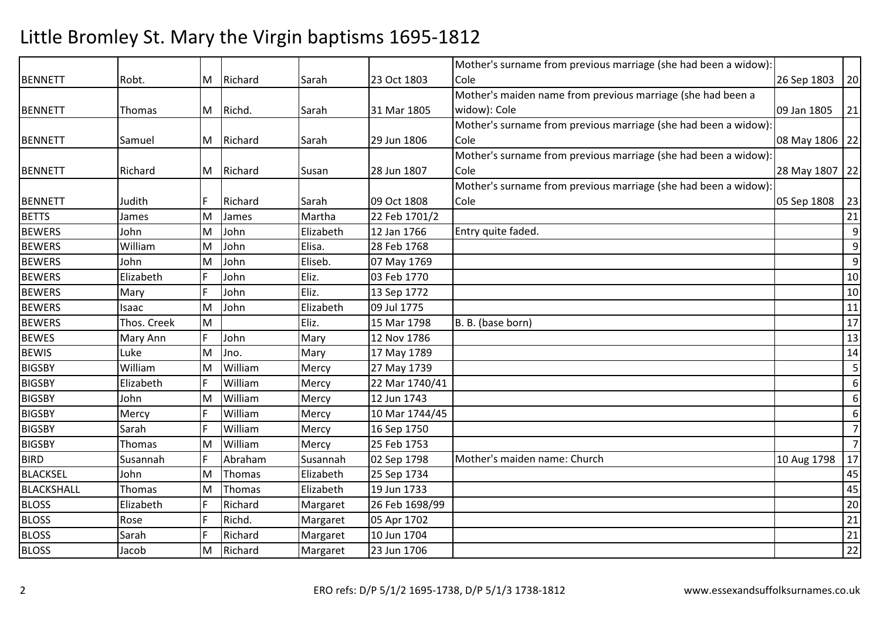|                   |             |   |         |           |                | Mother's surname from previous marriage (she had been a widow): |                  |                |
|-------------------|-------------|---|---------|-----------|----------------|-----------------------------------------------------------------|------------------|----------------|
| <b>BENNETT</b>    | Robt.       | M | Richard | Sarah     | 23 Oct 1803    | Cole                                                            | 26 Sep 1803      | 20             |
|                   |             |   |         |           |                | Mother's maiden name from previous marriage (she had been a     |                  |                |
| <b>BENNETT</b>    | Thomas      | M | Richd.  | Sarah     | 31 Mar 1805    | widow): Cole                                                    | 09 Jan 1805      | 21             |
|                   |             |   |         |           |                | Mother's surname from previous marriage (she had been a widow): |                  |                |
| <b>BENNETT</b>    | Samuel      | M | Richard | Sarah     | 29 Jun 1806    | Cole                                                            | 08 May 1806   22 |                |
|                   |             |   |         |           |                | Mother's surname from previous marriage (she had been a widow): |                  |                |
| <b>BENNETT</b>    | Richard     | M | Richard | Susan     | 28 Jun 1807    | Cole                                                            | 28 May 1807 22   |                |
|                   |             |   |         |           |                | Mother's surname from previous marriage (she had been a widow): |                  |                |
| <b>BENNETT</b>    | Judith      | F | Richard | Sarah     | 09 Oct 1808    | Cole                                                            | 05 Sep 1808      | 23             |
| <b>BETTS</b>      | James       | M | James   | Martha    | 22 Feb 1701/2  |                                                                 |                  | 21             |
| <b>BEWERS</b>     | John        | M | John    | Elizabeth | 12 Jan 1766    | Entry quite faded.                                              |                  | 9              |
| <b>BEWERS</b>     | William     | M | John    | Elisa.    | 28 Feb 1768    |                                                                 |                  | 9              |
| <b>BEWERS</b>     | John        | M | John    | Eliseb.   | 07 May 1769    |                                                                 |                  | $\overline{9}$ |
| <b>BEWERS</b>     | Elizabeth   | F | John    | Eliz.     | 03 Feb 1770    |                                                                 |                  | 10             |
| <b>BEWERS</b>     | Mary        | F | John    | Eliz.     | 13 Sep 1772    |                                                                 |                  | 10             |
| <b>BEWERS</b>     | Isaac       | M | John    | Elizabeth | 09 Jul 1775    |                                                                 |                  | $11\,$         |
| <b>BEWERS</b>     | Thos. Creek | M |         | Eliz.     | 15 Mar 1798    | B. B. (base born)                                               |                  | 17             |
| <b>BEWES</b>      | Mary Ann    | F | John    | Mary      | 12 Nov 1786    |                                                                 |                  | 13             |
| <b>BEWIS</b>      | Luke        | M | Jno.    | Mary      | 17 May 1789    |                                                                 |                  | 14             |
| <b>BIGSBY</b>     | William     | M | William | Mercy     | 27 May 1739    |                                                                 |                  | 5              |
| <b>BIGSBY</b>     | Elizabeth   | F | William | Mercy     | 22 Mar 1740/41 |                                                                 |                  | $6 \mid$       |
| <b>BIGSBY</b>     | John        | M | William | Mercy     | 12 Jun 1743    |                                                                 |                  | $6 \mid$       |
| <b>BIGSBY</b>     | Mercy       | F | William | Mercy     | 10 Mar 1744/45 |                                                                 |                  | $6 \mid$       |
| <b>BIGSBY</b>     | Sarah       | F | William | Mercy     | 16 Sep 1750    |                                                                 |                  | $\overline{7}$ |
| <b>BIGSBY</b>     | Thomas      | M | William | Mercy     | 25 Feb 1753    |                                                                 |                  | $\overline{7}$ |
| <b>BIRD</b>       | Susannah    | F | Abraham | Susannah  | 02 Sep 1798    | Mother's maiden name: Church                                    | 10 Aug 1798      | 17             |
| <b>BLACKSEL</b>   | John        | M | Thomas  | Elizabeth | 25 Sep 1734    |                                                                 |                  | 45             |
| <b>BLACKSHALL</b> | Thomas      | M | Thomas  | Elizabeth | 19 Jun 1733    |                                                                 |                  | 45             |
| <b>BLOSS</b>      | Elizabeth   | F | Richard | Margaret  | 26 Feb 1698/99 |                                                                 |                  | 20             |
| <b>BLOSS</b>      | Rose        | F | Richd.  | Margaret  | 05 Apr 1702    |                                                                 |                  | 21             |
| <b>BLOSS</b>      | Sarah       | F | Richard | Margaret  | 10 Jun 1704    |                                                                 |                  | 21             |
| <b>BLOSS</b>      | Jacob       | M | Richard | Margaret  | 23 Jun 1706    |                                                                 |                  | $22$           |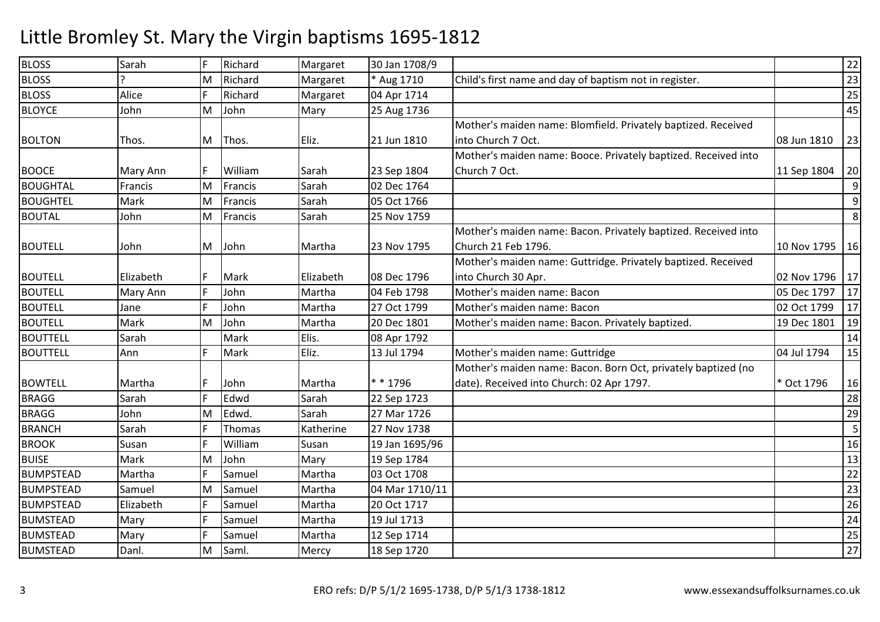| <b>BLOSS</b>     | Sarah        | I۴ | Richard |           | 30 Jan 1708/9  |                                                                |             | 22 |
|------------------|--------------|----|---------|-----------|----------------|----------------------------------------------------------------|-------------|----|
|                  | $\mathbf{D}$ |    |         | Margaret  |                |                                                                |             |    |
| <b>BLOSS</b>     |              | M  | Richard | Margaret  | * Aug 1710     | Child's first name and day of baptism not in register.         |             | 23 |
| <b>BLOSS</b>     | Alice        | F  | Richard | Margaret  | 04 Apr 1714    |                                                                |             | 25 |
| <b>BLOYCE</b>    | John         | M  | John    | Mary      | 25 Aug 1736    |                                                                |             | 45 |
|                  |              |    |         |           |                | Mother's maiden name: Blomfield. Privately baptized. Received  |             |    |
| <b>BOLTON</b>    | Thos.        | M  | Thos.   | Eliz.     | 21 Jun 1810    | into Church 7 Oct.                                             | 08 Jun 1810 | 23 |
|                  |              |    |         |           |                | Mother's maiden name: Booce. Privately baptized. Received into |             |    |
| <b>BOOCE</b>     | Mary Ann     | IF | William | Sarah     | 23 Sep 1804    | Church 7 Oct.                                                  | 11 Sep 1804 | 20 |
| <b>BOUGHTAL</b>  | Francis      | M  | Francis | Sarah     | 02 Dec 1764    |                                                                |             | 9  |
| <b>BOUGHTEL</b>  | Mark         | M  | Francis | Sarah     | 05 Oct 1766    |                                                                |             | 9  |
| <b>BOUTAL</b>    | John         | M  | Francis | Sarah     | 25 Nov 1759    |                                                                |             | 8  |
|                  |              |    |         |           |                | Mother's maiden name: Bacon. Privately baptized. Received into |             |    |
| <b>BOUTELL</b>   | John         | M  | John    | Martha    | 23 Nov 1795    | Church 21 Feb 1796.                                            | 10 Nov 1795 | 16 |
|                  |              |    |         |           |                | Mother's maiden name: Guttridge. Privately baptized. Received  |             |    |
| <b>BOUTELL</b>   | Elizabeth    | IF | Mark    | Elizabeth | 08 Dec 1796    | into Church 30 Apr.                                            | 02 Nov 1796 | 17 |
| <b>BOUTELL</b>   | Mary Ann     | F  | John    | Martha    | 04 Feb 1798    | Mother's maiden name: Bacon                                    | 05 Dec 1797 | 17 |
| <b>BOUTELL</b>   | Jane         | F  | John    | Martha    | 27 Oct 1799    | Mother's maiden name: Bacon                                    | 02 Oct 1799 | 17 |
| <b>BOUTELL</b>   | Mark         | M  | John    | Martha    | 20 Dec 1801    | Mother's maiden name: Bacon. Privately baptized.               | 19 Dec 1801 | 19 |
| <b>BOUTTELL</b>  | Sarah        |    | Mark    | Elis.     | 08 Apr 1792    |                                                                |             | 14 |
| <b>BOUTTELL</b>  | Ann          | F  | Mark    | Eliz.     | 13 Jul 1794    | Mother's maiden name: Guttridge                                | 04 Jul 1794 | 15 |
|                  |              |    |         |           |                | Mother's maiden name: Bacon. Born Oct, privately baptized (no  |             |    |
| <b>BOWTELL</b>   | Martha       | F  | John    | Martha    | ** 1796        | date). Received into Church: 02 Apr 1797.                      | * Oct 1796  | 16 |
| <b>BRAGG</b>     | Sarah        | F  | Edwd    | Sarah     | 22 Sep 1723    |                                                                |             | 28 |
| <b>BRAGG</b>     | John         | M  | Edwd.   | Sarah     | 27 Mar 1726    |                                                                |             | 29 |
| <b>BRANCH</b>    | Sarah        | F  | Thomas  | Katherine | 27 Nov 1738    |                                                                |             | 5  |
| <b>BROOK</b>     | Susan        | F  | William | Susan     | 19 Jan 1695/96 |                                                                |             | 16 |
| <b>BUISE</b>     | Mark         | M  | John    | Mary      | 19 Sep 1784    |                                                                |             | 13 |
| <b>BUMPSTEAD</b> | Martha       | F  | Samuel  | Martha    | 03 Oct 1708    |                                                                |             | 22 |
| <b>BUMPSTEAD</b> | Samuel       | M  | Samuel  | Martha    | 04 Mar 1710/11 |                                                                |             | 23 |
| <b>BUMPSTEAD</b> | Elizabeth    | F  | Samuel  | Martha    | 20 Oct 1717    |                                                                |             | 26 |
| <b>BUMSTEAD</b>  | Mary         | F  | Samuel  | Martha    | 19 Jul 1713    |                                                                |             | 24 |
| <b>BUMSTEAD</b>  | Mary         | F  | Samuel  | Martha    | 12 Sep 1714    |                                                                |             | 25 |
| <b>BUMSTEAD</b>  | Danl.        | M  | Saml.   | Mercy     | 18 Sep 1720    |                                                                |             | 27 |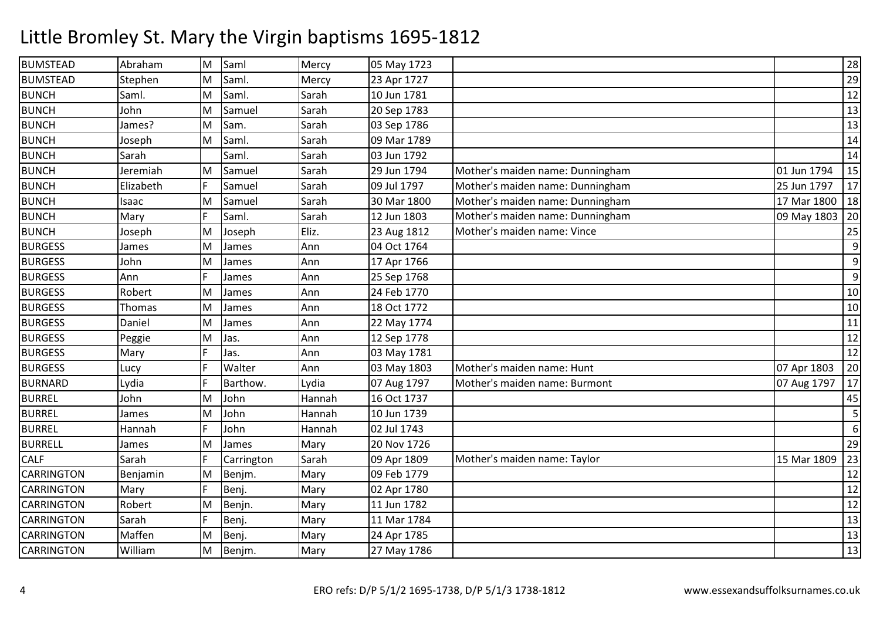| <b>BUMSTEAD</b>   | Abraham   | M | Saml       | Mercy  | 05 May 1723 |                                  |             | 28               |
|-------------------|-----------|---|------------|--------|-------------|----------------------------------|-------------|------------------|
| <b>BUMSTEAD</b>   | Stephen   | M | Saml.      | Mercy  | 23 Apr 1727 |                                  |             | 29               |
| <b>BUNCH</b>      | Saml.     | M | Saml.      | Sarah  | 10 Jun 1781 |                                  |             | 12               |
| <b>BUNCH</b>      | John      | M | Samuel     | Sarah  | 20 Sep 1783 |                                  |             | 13               |
| <b>BUNCH</b>      | James?    | M | Sam.       | Sarah  | 03 Sep 1786 |                                  |             | 13               |
| <b>BUNCH</b>      | Joseph    | M | Saml.      | Sarah  | 09 Mar 1789 |                                  |             | 14               |
| <b>BUNCH</b>      | Sarah     |   | Saml.      | Sarah  | 03 Jun 1792 |                                  |             | 14               |
| <b>BUNCH</b>      | Jeremiah  | M | Samuel     | Sarah  | 29 Jun 1794 | Mother's maiden name: Dunningham | 01 Jun 1794 | 15               |
| <b>BUNCH</b>      | Elizabeth |   | Samuel     | Sarah  | 09 Jul 1797 | Mother's maiden name: Dunningham | 25 Jun 1797 | 17               |
| <b>BUNCH</b>      | Isaac     | M | Samuel     | Sarah  | 30 Mar 1800 | Mother's maiden name: Dunningham | 17 Mar 1800 | 18               |
| <b>BUNCH</b>      | Mary      | F | Saml.      | Sarah  | 12 Jun 1803 | Mother's maiden name: Dunningham | 09 May 1803 | 20               |
| <b>BUNCH</b>      | Joseph    | M | Joseph     | Eliz.  | 23 Aug 1812 | Mother's maiden name: Vince      |             | 25               |
| <b>BURGESS</b>    | James     | M | James      | Ann    | 04 Oct 1764 |                                  |             | 9                |
| <b>BURGESS</b>    | John      | M | James      | Ann    | 17 Apr 1766 |                                  |             | 9                |
| <b>BURGESS</b>    | Ann       | F | James      | Ann    | 25 Sep 1768 |                                  |             | 9                |
| <b>BURGESS</b>    | Robert    | M | James      | Ann    | 24 Feb 1770 |                                  |             | 10               |
| <b>BURGESS</b>    | Thomas    | M | James      | Ann    | 18 Oct 1772 |                                  |             | 10               |
| <b>BURGESS</b>    | Daniel    | M | James      | Ann    | 22 May 1774 |                                  |             | 11               |
| <b>BURGESS</b>    | Peggie    | M | Jas.       | Ann    | 12 Sep 1778 |                                  |             | 12               |
| <b>BURGESS</b>    | Mary      |   | Jas.       | Ann    | 03 May 1781 |                                  |             | 12               |
| <b>BURGESS</b>    | Lucy      |   | Walter     | Ann    | 03 May 1803 | Mother's maiden name: Hunt       | 07 Apr 1803 | 20               |
| <b>BURNARD</b>    | Lydia     | F | Barthow.   | Lydia  | 07 Aug 1797 | Mother's maiden name: Burmont    | 07 Aug 1797 | 17               |
| <b>BURREL</b>     | John      | M | John       | Hannah | 16 Oct 1737 |                                  |             | 45               |
| <b>BURREL</b>     | James     | M | John       | Hannah | 10 Jun 1739 |                                  |             | 5                |
| <b>BURREL</b>     | Hannah    | F | John       | Hannah | 02 Jul 1743 |                                  |             | $\boldsymbol{6}$ |
| <b>BURRELL</b>    | James     | M | James      | Mary   | 20 Nov 1726 |                                  |             | 29               |
| <b>CALF</b>       | Sarah     | F | Carrington | Sarah  | 09 Apr 1809 | Mother's maiden name: Taylor     | 15 Mar 1809 | 23               |
| <b>CARRINGTON</b> | Benjamin  | M | Benjm.     | Mary   | 09 Feb 1779 |                                  |             | 12               |
| <b>CARRINGTON</b> | Mary      | F | Benj.      | Mary   | 02 Apr 1780 |                                  |             | 12               |
| <b>CARRINGTON</b> | Robert    | M | Benjn.     | Mary   | 11 Jun 1782 |                                  |             | 12               |
| <b>CARRINGTON</b> | Sarah     | F | Benj.      | Mary   | 11 Mar 1784 |                                  |             | 13               |
| <b>CARRINGTON</b> | Maffen    | M | Benj.      | Mary   | 24 Apr 1785 |                                  |             | 13               |
| <b>CARRINGTON</b> | William   | M | Benjm.     | Mary   | 27 May 1786 |                                  |             | 13               |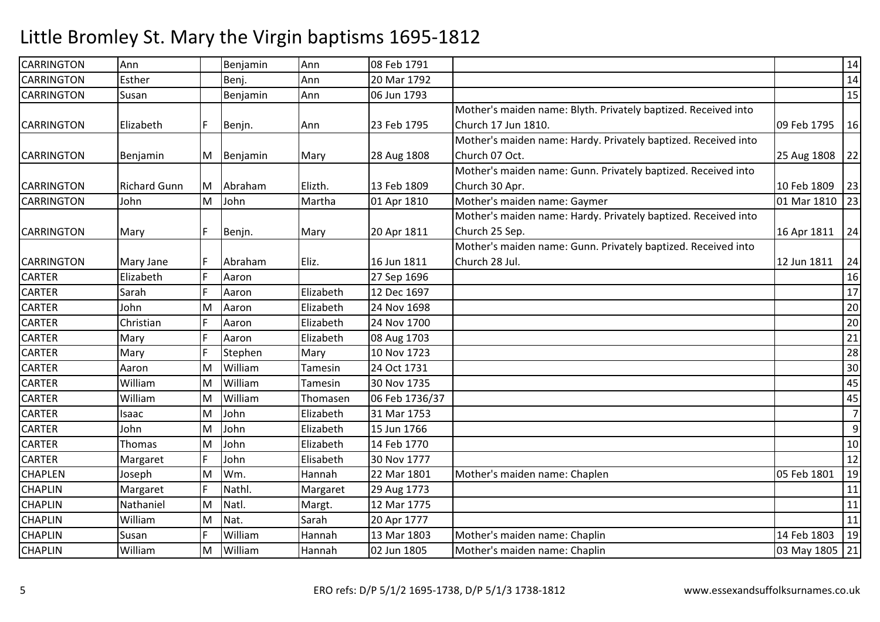| <b>CARRINGTON</b> | Ann                 |   | Benjamin | Ann       | 08 Feb 1791    |                                                                |                  | 14             |
|-------------------|---------------------|---|----------|-----------|----------------|----------------------------------------------------------------|------------------|----------------|
| <b>CARRINGTON</b> | Esther              |   | Benj.    | Ann       | 20 Mar 1792    |                                                                |                  | 14             |
| <b>CARRINGTON</b> | Susan               |   | Benjamin | Ann       | 06 Jun 1793    |                                                                |                  | 15             |
|                   |                     |   |          |           |                | Mother's maiden name: Blyth. Privately baptized. Received into |                  |                |
| <b>CARRINGTON</b> | Elizabeth           |   | Benjn.   | Ann       | 23 Feb 1795    | Church 17 Jun 1810.                                            | 09 Feb 1795      | 16             |
|                   |                     |   |          |           |                | Mother's maiden name: Hardy. Privately baptized. Received into |                  |                |
| <b>CARRINGTON</b> | Benjamin            | M | Benjamin | Mary      | 28 Aug 1808    | Church 07 Oct.                                                 | 25 Aug 1808      | 22             |
|                   |                     |   |          |           |                | Mother's maiden name: Gunn. Privately baptized. Received into  |                  |                |
| <b>CARRINGTON</b> | <b>Richard Gunn</b> | M | Abraham  | Elizth.   | 13 Feb 1809    | Church 30 Apr.                                                 | 10 Feb 1809      | 23             |
| <b>CARRINGTON</b> | John                | M | John     | Martha    | 01 Apr 1810    | Mother's maiden name: Gaymer                                   | 01 Mar 1810   23 |                |
|                   |                     |   |          |           |                | Mother's maiden name: Hardy. Privately baptized. Received into |                  |                |
| <b>CARRINGTON</b> | Mary                |   | Benjn.   | Mary      | 20 Apr 1811    | Church 25 Sep.                                                 | 16 Apr 1811      | 24             |
|                   |                     |   |          |           |                | Mother's maiden name: Gunn. Privately baptized. Received into  |                  |                |
| <b>CARRINGTON</b> | Mary Jane           |   | Abraham  | Eliz.     | 16 Jun 1811    | Church 28 Jul.                                                 | 12 Jun 1811      | 24             |
| <b>CARTER</b>     | Elizabeth           |   | Aaron    |           | 27 Sep 1696    |                                                                |                  | 16             |
| <b>CARTER</b>     | Sarah               | E | Aaron    | Elizabeth | 12 Dec 1697    |                                                                |                  | 17             |
| CARTER            | John                | M | Aaron    | Elizabeth | 24 Nov 1698    |                                                                |                  | 20             |
| <b>CARTER</b>     | Christian           |   | Aaron    | Elizabeth | 24 Nov 1700    |                                                                |                  | 20             |
| <b>CARTER</b>     | Mary                | E | Aaron    | Elizabeth | 08 Aug 1703    |                                                                |                  | 21             |
| <b>CARTER</b>     | Mary                | E | Stephen  | Mary      | 10 Nov 1723    |                                                                |                  | 28             |
| <b>CARTER</b>     | Aaron               | M | William  | Tamesin   | 24 Oct 1731    |                                                                |                  | 30             |
| <b>CARTER</b>     | William             | M | William  | Tamesin   | 30 Nov 1735    |                                                                |                  | 45             |
| <b>CARTER</b>     | William             | M | William  | Thomasen  | 06 Feb 1736/37 |                                                                |                  | 45             |
| <b>CARTER</b>     | Isaac               | M | John     | Elizabeth | 31 Mar 1753    |                                                                |                  | $\overline{7}$ |
| <b>CARTER</b>     | John                | M | John     | Elizabeth | 15 Jun 1766    |                                                                |                  | 9              |
| CARTER            | Thomas              | M | John     | Elizabeth | 14 Feb 1770    |                                                                |                  | 10             |
| <b>CARTER</b>     | Margaret            | E | John     | Elisabeth | 30 Nov 1777    |                                                                |                  | 12             |
| <b>CHAPLEN</b>    | Joseph              | M | Wm.      | Hannah    | 22 Mar 1801    | Mother's maiden name: Chaplen                                  | 05 Feb 1801      | 19             |
| <b>CHAPLIN</b>    | Margaret            | F | Nathl.   | Margaret  | 29 Aug 1773    |                                                                |                  | 11             |
| <b>CHAPLIN</b>    | Nathaniel           | M | Natl.    | Margt.    | 12 Mar 1775    |                                                                |                  | 11             |
| <b>CHAPLIN</b>    | William             | M | Nat.     | Sarah     | 20 Apr 1777    |                                                                |                  | 11             |
| <b>CHAPLIN</b>    | Susan               | F | William  | Hannah    | 13 Mar 1803    | Mother's maiden name: Chaplin                                  | 14 Feb 1803      | 19             |
| <b>CHAPLIN</b>    | William             | M | William  | Hannah    | 02 Jun 1805    | Mother's maiden name: Chaplin                                  | 03 May 1805 21   |                |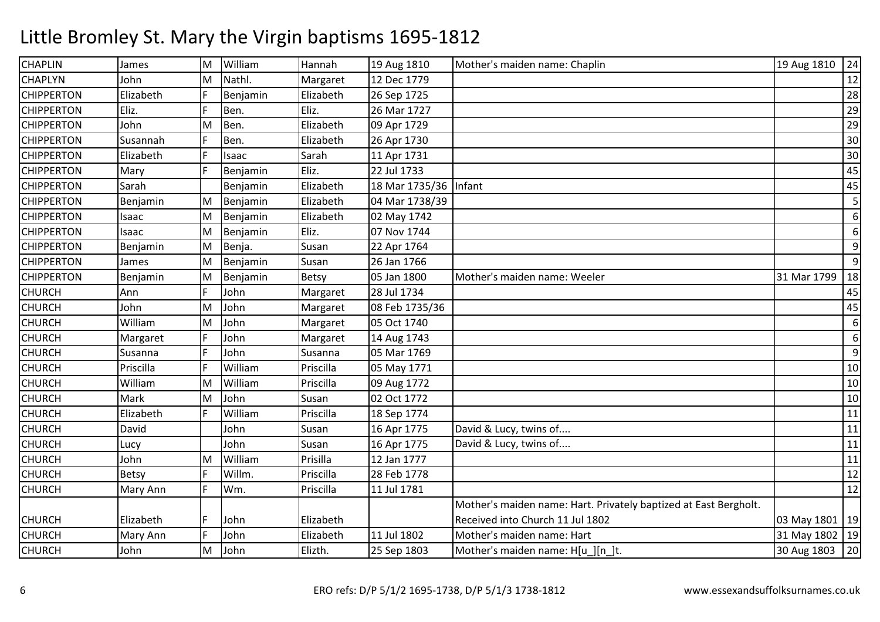| <b>CHAPLIN</b>    | James     | Iм | William  | Hannah    | 19 Aug 1810    | Mother's maiden name: Chaplin                                    | 19 Aug 1810      | 24 |
|-------------------|-----------|----|----------|-----------|----------------|------------------------------------------------------------------|------------------|----|
| <b>CHAPLYN</b>    | John      | M  | Nathl.   | Margaret  | 12 Dec 1779    |                                                                  |                  | 12 |
| <b>CHIPPERTON</b> | Elizabeth | F  | Benjamin | Elizabeth | 26 Sep 1725    |                                                                  |                  | 28 |
| <b>CHIPPERTON</b> | Eliz.     | F  | Ben.     | Eliz.     | 26 Mar 1727    |                                                                  |                  | 29 |
| <b>CHIPPERTON</b> | John      | M  | Ben.     | Elizabeth | 09 Apr 1729    |                                                                  |                  | 29 |
| <b>CHIPPERTON</b> | Susannah  |    | Ben.     | Elizabeth | 26 Apr 1730    |                                                                  |                  | 30 |
| <b>CHIPPERTON</b> | Elizabeth | F  | Isaac    | Sarah     | 11 Apr 1731    |                                                                  |                  | 30 |
| <b>CHIPPERTON</b> | Mary      | F  | Benjamin | Eliz.     | 22 Jul 1733    |                                                                  |                  | 45 |
| <b>CHIPPERTON</b> | Sarah     |    | Benjamin | Elizabeth | 18 Mar 1735/36 | Infant                                                           |                  | 45 |
| <b>CHIPPERTON</b> | Benjamin  | M  | Benjamin | Elizabeth | 04 Mar 1738/39 |                                                                  |                  | 5  |
| <b>CHIPPERTON</b> | Isaac     | M  | Benjamin | Elizabeth | 02 May 1742    |                                                                  |                  | 6  |
| <b>CHIPPERTON</b> | Isaac     | M  | Benjamin | Eliz.     | 07 Nov 1744    |                                                                  |                  | 6  |
| <b>CHIPPERTON</b> | Benjamin  | M  | Benja.   | Susan     | 22 Apr 1764    |                                                                  |                  | 9  |
| <b>CHIPPERTON</b> | James     | M  | Benjamin | Susan     | 26 Jan 1766    |                                                                  |                  | 9  |
| <b>CHIPPERTON</b> | Benjamin  | M  | Benjamin | Betsy     | 05 Jan 1800    | Mother's maiden name: Weeler                                     | 31 Mar 1799      | 18 |
| <b>CHURCH</b>     | Ann       | F  | John     | Margaret  | 28 Jul 1734    |                                                                  |                  | 45 |
| <b>CHURCH</b>     | John      | M  | John     | Margaret  | 08 Feb 1735/36 |                                                                  |                  | 45 |
| <b>CHURCH</b>     | William   | M  | John     | Margaret  | 05 Oct 1740    |                                                                  |                  | 6  |
| <b>CHURCH</b>     | Margaret  | F  | John     | Margaret  | 14 Aug 1743    |                                                                  |                  | 6  |
| <b>CHURCH</b>     | Susanna   | F  | John     | Susanna   | 05 Mar 1769    |                                                                  |                  | 9  |
| <b>CHURCH</b>     | Priscilla | F  | William  | Priscilla | 05 May 1771    |                                                                  |                  | 10 |
| <b>CHURCH</b>     | William   | M  | William  | Priscilla | 09 Aug 1772    |                                                                  |                  | 10 |
| <b>CHURCH</b>     | Mark      | M  | John     | Susan     | 02 Oct 1772    |                                                                  |                  | 10 |
| <b>CHURCH</b>     | Elizabeth | F  | William  | Priscilla | 18 Sep 1774    |                                                                  |                  | 11 |
| <b>CHURCH</b>     | David     |    | John     | Susan     | 16 Apr 1775    | David & Lucy, twins of                                           |                  | 11 |
| <b>CHURCH</b>     | Lucy      |    | John     | Susan     | 16 Apr 1775    | David & Lucy, twins of                                           |                  | 11 |
| <b>CHURCH</b>     | John      | M  | William  | Prisilla  | 12 Jan 1777    |                                                                  |                  | 11 |
| <b>CHURCH</b>     | Betsy     | F  | Willm.   | Priscilla | 28 Feb 1778    |                                                                  |                  | 12 |
| <b>CHURCH</b>     | Mary Ann  | F  | Wm.      | Priscilla | 11 Jul 1781    |                                                                  |                  | 12 |
|                   |           |    |          |           |                | Mother's maiden name: Hart. Privately baptized at East Bergholt. |                  |    |
| <b>CHURCH</b>     | Elizabeth | F  | John     | Elizabeth |                | Received into Church 11 Jul 1802                                 | 03 May 1801   19 |    |
| <b>CHURCH</b>     | Mary Ann  | F  | John     | Elizabeth | 11 Jul 1802    | Mother's maiden name: Hart                                       | 31 May 1802   19 |    |
| <b>CHURCH</b>     | John      | M  | John     | Elizth.   | 25 Sep 1803    | Mother's maiden name: H[u_][n_]t.                                | 30 Aug 1803 20   |    |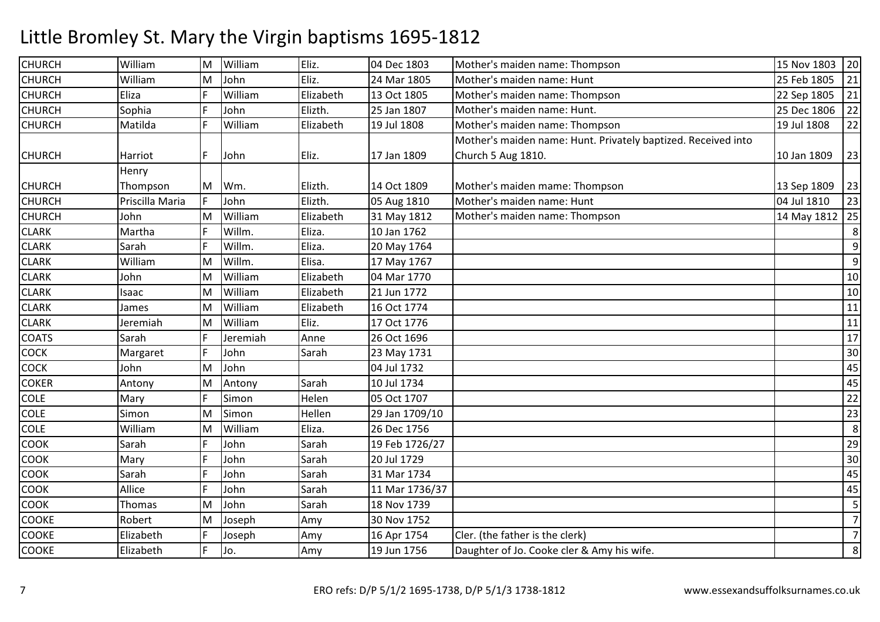| <b>CHURCH</b> | William         | lм | William  | Eliz.     | 04 Dec 1803    | Mother's maiden name: Thompson                                | 15 Nov 1803 20 |                |
|---------------|-----------------|----|----------|-----------|----------------|---------------------------------------------------------------|----------------|----------------|
| <b>CHURCH</b> | William         | M  | John     | Eliz.     | 24 Mar 1805    | Mother's maiden name: Hunt                                    | 25 Feb 1805    | 21             |
| <b>CHURCH</b> | Eliza           | F  | William  | Elizabeth | 13 Oct 1805    | Mother's maiden name: Thompson                                | 22 Sep 1805    | 21             |
| <b>CHURCH</b> | Sophia          | F  | John     | Elizth.   | 25 Jan 1807    | Mother's maiden name: Hunt.                                   | 25 Dec 1806    | 22             |
| <b>CHURCH</b> | Matilda         |    | William  | Elizabeth | 19 Jul 1808    | Mother's maiden name: Thompson                                | 19 Jul 1808    | 22             |
|               |                 |    |          |           |                | Mother's maiden name: Hunt. Privately baptized. Received into |                |                |
| <b>CHURCH</b> | Harriot         | F  | John     | Eliz.     | 17 Jan 1809    | Church 5 Aug 1810.                                            | 10 Jan 1809    | 23             |
|               | Henry           |    |          |           |                |                                                               |                |                |
| <b>CHURCH</b> | Thompson        | M  | Wm.      | Elizth.   | 14 Oct 1809    | Mother's maiden mame: Thompson                                | 13 Sep 1809    | 23             |
| <b>CHURCH</b> | Priscilla Maria | IF | John     | Elizth.   | 05 Aug 1810    | Mother's maiden name: Hunt                                    | 04 Jul 1810    | 23             |
| <b>CHURCH</b> | John            | M  | William  | Elizabeth | 31 May 1812    | Mother's maiden name: Thompson                                | 14 May 1812 25 |                |
| <b>CLARK</b>  | Martha          | F  | Willm.   | Eliza.    | 10 Jan 1762    |                                                               |                | 8              |
| <b>CLARK</b>  | Sarah           | F  | Willm.   | Eliza.    | 20 May 1764    |                                                               |                | 9              |
| <b>CLARK</b>  | William         | M  | Willm.   | Elisa.    | 17 May 1767    |                                                               |                | 9              |
| <b>CLARK</b>  | John            | M  | William  | Elizabeth | 04 Mar 1770    |                                                               |                | 10             |
| <b>CLARK</b>  | Isaac           | M  | William  | Elizabeth | 21 Jun 1772    |                                                               |                | 10             |
| <b>CLARK</b>  | James           | M  | William  | Elizabeth | 16 Oct 1774    |                                                               |                | 11             |
| <b>CLARK</b>  | Jeremiah        | M  | William  | Eliz.     | 17 Oct 1776    |                                                               |                | 11             |
| <b>COATS</b>  | Sarah           | F  | Jeremiah | Anne      | 26 Oct 1696    |                                                               |                | 17             |
| <b>COCK</b>   | Margaret        | F  | John     | Sarah     | 23 May 1731    |                                                               |                | 30             |
| <b>COCK</b>   | John            | M  | John     |           | 04 Jul 1732    |                                                               |                | 45             |
| <b>COKER</b>  | Antony          | M  | Antony   | Sarah     | 10 Jul 1734    |                                                               |                | 45             |
| <b>COLE</b>   | Mary            | F  | Simon    | Helen     | 05 Oct 1707    |                                                               |                | 22             |
| <b>COLE</b>   | Simon           | M  | Simon    | Hellen    | 29 Jan 1709/10 |                                                               |                | 23             |
| <b>COLE</b>   | William         | ΙM | William  | Eliza.    | 26 Dec 1756    |                                                               |                | 8              |
| <b>COOK</b>   | Sarah           | F  | John     | Sarah     | 19 Feb 1726/27 |                                                               |                | 29             |
| <b>COOK</b>   | Mary            | F  | John     | Sarah     | 20 Jul 1729    |                                                               |                | 30             |
| COOK          | Sarah           | F  | John     | Sarah     | 31 Mar 1734    |                                                               |                | 45             |
| <b>COOK</b>   | Allice          | F  | John     | Sarah     | 11 Mar 1736/37 |                                                               |                | 45             |
| <b>COOK</b>   | Thomas          | M  | John     | Sarah     | 18 Nov 1739    |                                                               |                | 5              |
| <b>COOKE</b>  | Robert          | M  | Joseph   | Amy       | 30 Nov 1752    |                                                               |                | $\overline{7}$ |
| <b>COOKE</b>  | Elizabeth       | F  | Joseph   | Amy       | 16 Apr 1754    | Cler. (the father is the clerk)                               |                | $\overline{7}$ |
| <b>COOKE</b>  | Elizabeth       | F  | Jo.      | Amy       | 19 Jun 1756    | Daughter of Jo. Cooke cler & Amy his wife.                    |                | 8              |
|               |                 |    |          |           |                |                                                               |                |                |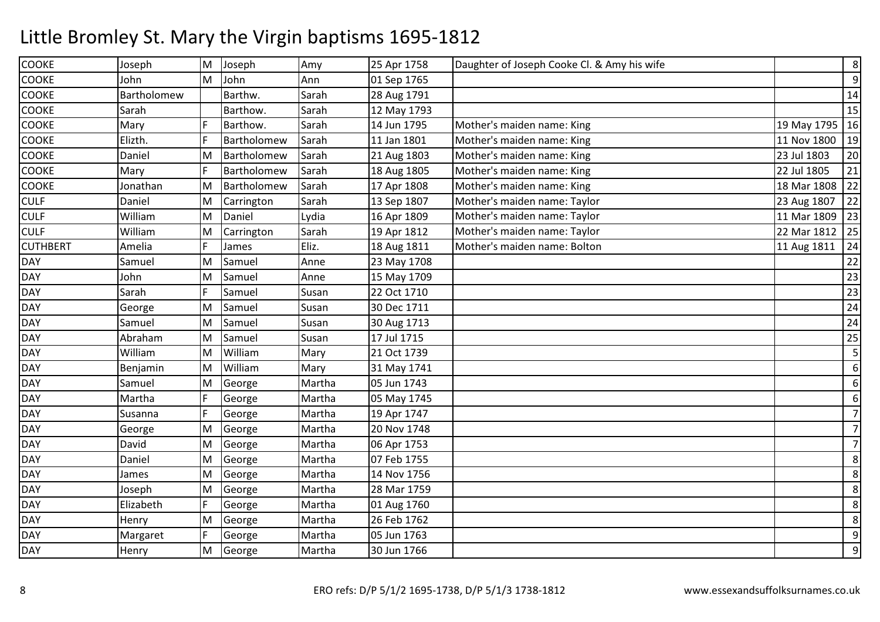| <b>COOKE</b>    | Joseph      | M | Joseph      | Amy    | 25 Apr 1758 | Daughter of Joseph Cooke Cl. & Amy his wife |                  | $\,8\,$          |
|-----------------|-------------|---|-------------|--------|-------------|---------------------------------------------|------------------|------------------|
| <b>COOKE</b>    | John        | M | John        | Ann    | 01 Sep 1765 |                                             |                  | $\overline{9}$   |
| <b>COOKE</b>    | Bartholomew |   | Barthw.     | Sarah  | 28 Aug 1791 |                                             |                  | 14               |
| <b>COOKE</b>    | Sarah       |   | Barthow.    | Sarah  | 12 May 1793 |                                             |                  | 15               |
| <b>COOKE</b>    | Mary        |   | Barthow.    | Sarah  | 14 Jun 1795 | Mother's maiden name: King                  | 19 May 1795   16 |                  |
| <b>COOKE</b>    | Elizth.     | F | Bartholomew | Sarah  | 11 Jan 1801 | Mother's maiden name: King                  | 11 Nov 1800      | 19               |
| <b>COOKE</b>    | Daniel      | M | Bartholomew | Sarah  | 21 Aug 1803 | Mother's maiden name: King                  | 23 Jul 1803      | 20               |
| <b>COOKE</b>    | Mary        | F | Bartholomew | Sarah  | 18 Aug 1805 | Mother's maiden name: King                  | 22 Jul 1805      | 21               |
| <b>COOKE</b>    | Jonathan    | M | Bartholomew | Sarah  | 17 Apr 1808 | Mother's maiden name: King                  | 18 Mar 1808      | 22               |
| <b>CULF</b>     | Daniel      | M | Carrington  | Sarah  | 13 Sep 1807 | Mother's maiden name: Taylor                | 23 Aug 1807      | 22               |
| <b>CULF</b>     | William     | M | Daniel      | Lydia  | 16 Apr 1809 | Mother's maiden name: Taylor                | 11 Mar 1809      | 23               |
| <b>CULF</b>     | William     | M | Carrington  | Sarah  | 19 Apr 1812 | Mother's maiden name: Taylor                | 22 Mar 1812      | 25               |
| <b>CUTHBERT</b> | Amelia      | F | James       | Eliz.  | 18 Aug 1811 | Mother's maiden name: Bolton                | 11 Aug 1811      | 24               |
| <b>DAY</b>      | Samuel      | M | Samuel      | Anne   | 23 May 1708 |                                             |                  | 22               |
| <b>DAY</b>      | John        | M | Samuel      | Anne   | 15 May 1709 |                                             |                  | 23               |
| <b>DAY</b>      | Sarah       | F | Samuel      | Susan  | 22 Oct 1710 |                                             |                  | 23               |
| <b>DAY</b>      | George      | M | Samuel      | Susan  | 30 Dec 1711 |                                             |                  | 24               |
| <b>DAY</b>      | Samuel      | M | Samuel      | Susan  | 30 Aug 1713 |                                             |                  | 24               |
| <b>DAY</b>      | Abraham     | M | Samuel      | Susan  | 17 Jul 1715 |                                             |                  | 25               |
| <b>DAY</b>      | William     | M | William     | Mary   | 21 Oct 1739 |                                             |                  | 5                |
| <b>DAY</b>      | Benjamin    | M | William     | Mary   | 31 May 1741 |                                             |                  | $\boldsymbol{6}$ |
| <b>DAY</b>      | Samuel      | M | George      | Martha | 05 Jun 1743 |                                             |                  | $\boldsymbol{6}$ |
| <b>DAY</b>      | Martha      | F | George      | Martha | 05 May 1745 |                                             |                  | $6\,$            |
| <b>DAY</b>      | Susanna     | F | George      | Martha | 19 Apr 1747 |                                             |                  | $\overline{7}$   |
| <b>DAY</b>      | George      | M | George      | Martha | 20 Nov 1748 |                                             |                  | $\overline{7}$   |
| <b>DAY</b>      | David       | M | George      | Martha | 06 Apr 1753 |                                             |                  | $\overline{7}$   |
| <b>DAY</b>      | Daniel      | M | George      | Martha | 07 Feb 1755 |                                             |                  | $\,8\,$          |
| <b>DAY</b>      | James       | M | George      | Martha | 14 Nov 1756 |                                             |                  | $8\phantom{1}$   |
| <b>DAY</b>      | Joseph      | M | George      | Martha | 28 Mar 1759 |                                             |                  | 8                |
| <b>DAY</b>      | Elizabeth   | F | George      | Martha | 01 Aug 1760 |                                             |                  | 8                |
| <b>DAY</b>      | Henry       | M | George      | Martha | 26 Feb 1762 |                                             |                  | $\,8\,$          |
| <b>DAY</b>      | Margaret    | F | George      | Martha | 05 Jun 1763 |                                             |                  | $\boldsymbol{9}$ |
| <b>DAY</b>      | Henry       | M | George      | Martha | 30 Jun 1766 |                                             |                  | $\overline{9}$   |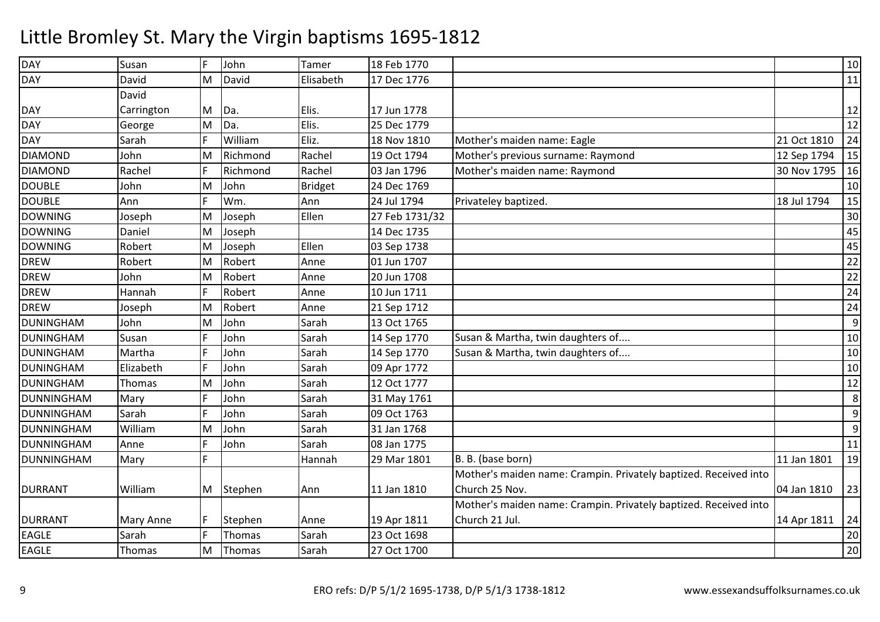| <b>DAY</b>        | Susan            | F | John     | Tamer          | 18 Feb 1770    |                                                                  |             | $10\,$ |
|-------------------|------------------|---|----------|----------------|----------------|------------------------------------------------------------------|-------------|--------|
| <b>DAY</b>        | David            | M | David    | Elisabeth      | 17 Dec 1776    |                                                                  |             | 11     |
|                   | David            |   |          |                |                |                                                                  |             |        |
| <b>DAY</b>        | Carrington       | M | Da.      | Elis.          | 17 Jun 1778    |                                                                  |             | 12     |
| <b>DAY</b>        | George           | M | Da.      | Elis.          | 25 Dec 1779    |                                                                  |             | 12     |
| <b>DAY</b>        | Sarah            | F | William  | Eliz.          | 18 Nov 1810    | Mother's maiden name: Eagle                                      | 21 Oct 1810 | 24     |
| <b>DIAMOND</b>    | John             | M | Richmond | Rachel         | 19 Oct 1794    | Mother's previous surname: Raymond                               | 12 Sep 1794 | 15     |
| <b>DIAMOND</b>    | Rachel           | F | Richmond | Rachel         | 03 Jan 1796    | Mother's maiden name: Raymond                                    | 30 Nov 1795 | 16     |
| <b>DOUBLE</b>     | John             | M | John     | <b>Bridget</b> | 24 Dec 1769    |                                                                  |             | 10     |
| <b>DOUBLE</b>     | Ann              | F | Wm.      | Ann            | 24 Jul 1794    | Privateley baptized.                                             | 18 Jul 1794 | 15     |
| <b>DOWNING</b>    | Joseph           | M | Joseph   | Ellen          | 27 Feb 1731/32 |                                                                  |             | 30     |
| <b>DOWNING</b>    | Daniel           | M | Joseph   |                | 14 Dec 1735    |                                                                  |             | 45     |
| <b>DOWNING</b>    | Robert           | M | Joseph   | Ellen          | 03 Sep 1738    |                                                                  |             | 45     |
| <b>DREW</b>       | Robert           | M | Robert   | Anne           | 01 Jun 1707    |                                                                  |             | 22     |
| <b>DREW</b>       | John             | M | Robert   | Anne           | 20 Jun 1708    |                                                                  |             | 22     |
| <b>DREW</b>       | Hannah           | F | Robert   | Anne           | 10 Jun 1711    |                                                                  |             | 24     |
| <b>DREW</b>       | Joseph           | M | Robert   | Anne           | 21 Sep 1712    |                                                                  |             | 24     |
| <b>DUNINGHAM</b>  | John             | M | John     | Sarah          | 13 Oct 1765    |                                                                  |             | 9      |
| <b>DUNINGHAM</b>  | Susan            | F | John     | Sarah          | 14 Sep 1770    | Susan & Martha, twin daughters of                                |             | $10\,$ |
| <b>DUNINGHAM</b>  | Martha           | F | John     | Sarah          | 14 Sep 1770    | Susan & Martha, twin daughters of                                |             | 10     |
| <b>DUNINGHAM</b>  | Elizabeth        | F | John     | Sarah          | 09 Apr 1772    |                                                                  |             | 10     |
| <b>DUNINGHAM</b>  | <b>Thomas</b>    | M | John     | Sarah          | 12 Oct 1777    |                                                                  |             | 12     |
| DUNNINGHAM        | Mary             | F | John     | Sarah          | 31 May 1761    |                                                                  |             | 8      |
| DUNNINGHAM        | Sarah            | F | John     | Sarah          | 09 Oct 1763    |                                                                  |             | 9      |
| <b>DUNNINGHAM</b> | William          | M | John     | Sarah          | 31 Jan 1768    |                                                                  |             | $9\,$  |
| <b>DUNNINGHAM</b> | Anne             | F | John     | Sarah          | 08 Jan 1775    |                                                                  |             | $11\,$ |
| <b>DUNNINGHAM</b> | Mary             |   |          | Hannah         | 29 Mar 1801    | B. B. (base born)                                                | 11 Jan 1801 | 19     |
|                   |                  |   |          |                |                | Mother's maiden name: Crampin. Privately baptized. Received into |             |        |
| <b>DURRANT</b>    | William          | M | Stephen  | Ann            | 11 Jan 1810    | Church 25 Nov.                                                   | 04 Jan 1810 | 23     |
|                   |                  |   |          |                |                | Mother's maiden name: Crampin. Privately baptized. Received into |             |        |
| <b>DURRANT</b>    | <b>Mary Anne</b> | F | Stephen  | Anne           | 19 Apr 1811    | Church 21 Jul.                                                   | 14 Apr 1811 | 24     |
| <b>EAGLE</b>      | Sarah            | F | Thomas   | Sarah          | 23 Oct 1698    |                                                                  |             | 20     |
| <b>EAGLE</b>      | Thomas           | M | Thomas   | Sarah          | 27 Oct 1700    |                                                                  |             | 20     |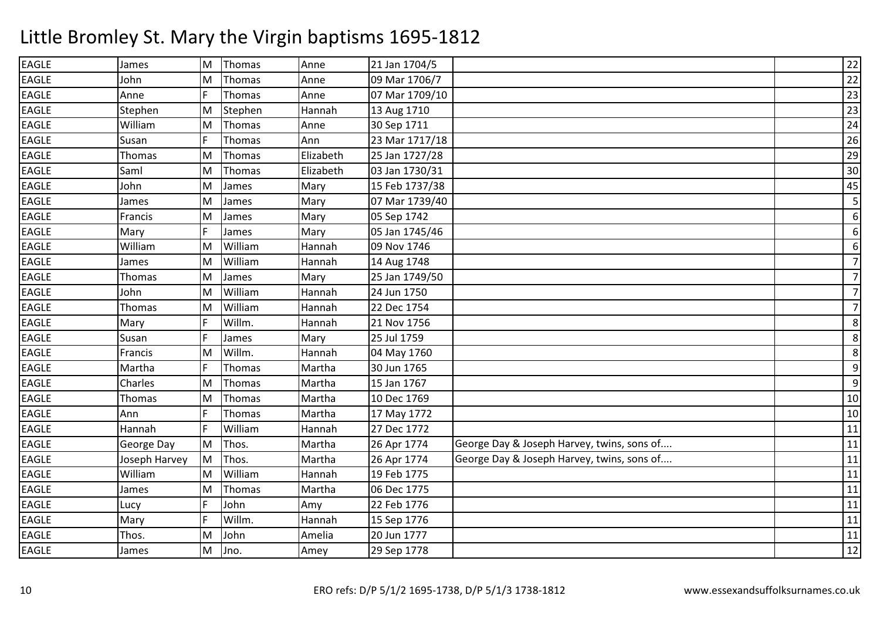### EAGLE James lм M Thomas Anne 21 Jan 1704/5 22<br>M Thomas Anne 21 Jan 1704/5 22 EAGLE JohnE Anne MM |Thomas | Anne | 09 Mar 1706/7 | 22<br>E HI EAGLEThomas Anne 07 Mar 1709/10<br>Stephen Hannah 13 Aug 1710  $\overline{0}$  23 EAGLE**Stephen** E William MM Stephen Hannah 13 Aug 1710 23<br>Ad Ti EAGLEE Susan M Thomas Anne 30 Sep 1711 <sup>24</sup> EAGLE <sup>F</sup> Thomas Ann 23 Mar 1717/18 <sup>26</sup> EAGLE Thomas M Thomas Elizabeth 25 Jan 1727/28 <sup>29</sup> EAGLE Saml MM Thomas Elizabeth 03 Jan 1730/31 30<br>M Thomas Elizabeth 03 Jan 1730/31 30 EAGLE John James MM |James | Mary | 15 Feb 1737/38 | 1990 | 1890 | 1890 | 1890 | 1891 | 1891 | 1891 | 1892 | 1892 | 1892 | 1893 |<br>Administrative of the second line of the second line of the second line of the second line of the second line EAGLEM James Mary 07 Mar 1739/40 <sup>5</sup> EAGLE Francis MJames Mary 05 Sep 1742<br>James Mary 05 Jan 1745 6 6EAGLE $Mary$   $\qquad$   $\qquad$   $\qquad$   $\qquad$   $\qquad$   $\qquad$   $\qquad$   $\qquad$   $\qquad$   $\qquad$   $\qquad$   $\qquad$   $\qquad$   $\qquad$   $\qquad$   $\qquad$   $\qquad$   $\qquad$   $\qquad$   $\qquad$   $\qquad$   $\qquad$   $\qquad$   $\qquad$   $\qquad$   $\qquad$   $\qquad$   $\qquad$   $\qquad$   $\qquad$   $\qquad$   $\qquad$   $\qquad$   $\qquad$   $\qquad$   $\qquad$  6EAGLE William James MWilliam Hannah 09 Nov 1746<br>William Hannah 14 Aug 1748 7EAGLEMWilliam Hannah 14 Aug 1748<br>James Mary 25 Jan 1749/ 7EAGLE Thomas MJames Mary 25 Jan 1749/50<br>William Hannah 24 Jun 1750 7EAGLE JohnE Thomas MWilliam Hannah 24 Jun 1750<br>William Hannah 22 Dec 1754 7**EAGLF** MWilliam Hannah 22 Dec 1754<br>Willm. Hannah 21 Nov 1756 8EAGLEE Mary F Willm. Hannah 21 Nov 1756 8EAGLE SusanJames Mary 25 Jul 1759<br>Willm. Hannah 04 May 176 8EAGLE Francis MWillm. Hannah 04 May 1760<br>Thomas Martha 30 Jun 1765 9EAGLE Martha <sup>F</sup> Thomas Martha 30 Jun 1765M Thomas Martha 15 Jan 1767 9EAGLE Charles M $10$ EAGLE Thomas M Thomas Martha 10 Dec 1769 <sup>10</sup> EAGLE Ann <sup>F</sup> Thomas Martha 17 May 1772 <sup>10</sup> EAGLE Hannah <sup>F</sup> William Hannah 27 Dec 1772 <sup>11</sup> EAGLE George Day MThos. Martha 26 Apr 1774 George Day & Joseph Harvey, twins, sons of.... 11<br>Thos. Martha 26 Apr 1774 George Day & Joseph Harvey, twins, sons of.... 11 EAGLE Joseph Harvey M Thos. Martha 26 Apr 1774 George Day & Joseph Harvey, twins, sons of.... <sup>11</sup> EAGLE William James M William Hannah 19 Feb 1775 <sup>11</sup> EAGLEM Thomas Martha 06 Dec 1775 <sup>11</sup> EAGLEE Lucy F John Amy 22 Feb 1776 <sup>11</sup> EAGLEE Mary FWillm. Hannah 15 Sep 1776 <sup>11</sup> EAGLE Thos. M John Amelia 20 Jun 1777 <sup>11</sup> EAGLE James MJno. Amey 29 Sep 1778 <sup>12</sup>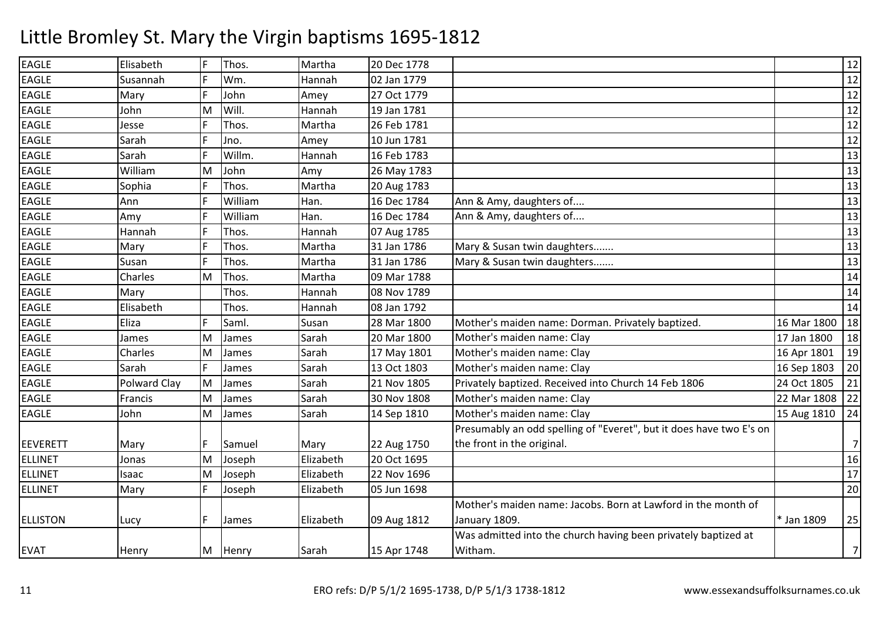| <b>EAGLE</b>    | Elisabeth    | IF | Thos.   | Martha    | 20 Dec 1778 |                                                                     |                | 12              |
|-----------------|--------------|----|---------|-----------|-------------|---------------------------------------------------------------------|----------------|-----------------|
| <b>EAGLE</b>    | Susannah     |    | Wm.     | Hannah    | 02 Jan 1779 |                                                                     |                | $\overline{12}$ |
| <b>EAGLE</b>    | Mary         | F  | John    | Amey      | 27 Oct 1779 |                                                                     |                | 12              |
| <b>EAGLE</b>    | John         | М  | Will.   | Hannah    | 19 Jan 1781 |                                                                     |                | 12              |
| <b>EAGLE</b>    | Jesse        | F  | Thos.   | Martha    | 26 Feb 1781 |                                                                     |                | 12              |
| <b>EAGLE</b>    | Sarah        | F  | Jno.    | Amey      | 10 Jun 1781 |                                                                     |                | 12              |
| <b>EAGLE</b>    | Sarah        | F  | Willm.  | Hannah    | 16 Feb 1783 |                                                                     |                | 13              |
| <b>EAGLE</b>    | William      | M  | John    | Amy       | 26 May 1783 |                                                                     |                | 13              |
| <b>EAGLE</b>    | Sophia       | F  | Thos.   | Martha    | 20 Aug 1783 |                                                                     |                | 13              |
| <b>EAGLE</b>    | Ann          | F  | William | Han.      | 16 Dec 1784 | Ann & Amy, daughters of                                             |                | 13              |
| <b>EAGLE</b>    | Amy          | F  | William | Han.      | 16 Dec 1784 | Ann & Amy, daughters of                                             |                | 13              |
| <b>EAGLE</b>    | Hannah       |    | Thos.   | Hannah    | 07 Aug 1785 |                                                                     |                | 13              |
| <b>EAGLE</b>    | Mary         | F  | Thos.   | Martha    | 31 Jan 1786 | Mary & Susan twin daughters                                         |                | 13              |
| <b>EAGLE</b>    | Susan        | F  | Thos.   | Martha    | 31 Jan 1786 | Mary & Susan twin daughters                                         |                | 13              |
| <b>EAGLE</b>    | Charles      | M  | Thos.   | Martha    | 09 Mar 1788 |                                                                     |                | 14              |
| <b>EAGLE</b>    | Mary         |    | Thos.   | Hannah    | 08 Nov 1789 |                                                                     |                | 14              |
| <b>EAGLE</b>    | Elisabeth    |    | Thos.   | Hannah    | 08 Jan 1792 |                                                                     |                | 14              |
| <b>EAGLE</b>    | Eliza        | F  | Saml.   | Susan     | 28 Mar 1800 | Mother's maiden name: Dorman. Privately baptized.                   | 16 Mar 1800    | 18              |
| <b>EAGLE</b>    | James        | M  | James   | Sarah     | 20 Mar 1800 | Mother's maiden name: Clay                                          | 17 Jan 1800    | 18              |
| <b>EAGLE</b>    | Charles      | M  | James   | Sarah     | 17 May 1801 | Mother's maiden name: Clay                                          | 16 Apr 1801    | 19              |
| <b>EAGLE</b>    | Sarah        | F  | James   | Sarah     | 13 Oct 1803 | Mother's maiden name: Clay                                          | 16 Sep 1803    | 20              |
| <b>EAGLE</b>    | Polward Clay | M  | James   | Sarah     | 21 Nov 1805 | Privately baptized. Received into Church 14 Feb 1806                | 24 Oct 1805    | 21              |
| <b>EAGLE</b>    | Francis      | M  | James   | Sarah     | 30 Nov 1808 | Mother's maiden name: Clay                                          | 22 Mar 1808 22 |                 |
| <b>EAGLE</b>    | John         | M  | James   | Sarah     | 14 Sep 1810 | Mother's maiden name: Clay                                          | 15 Aug 1810    | 24              |
|                 |              |    |         |           |             | Presumably an odd spelling of "Everet", but it does have two E's on |                |                 |
| <b>EEVERETT</b> | Mary         |    | Samuel  | Mary      | 22 Aug 1750 | the front in the original.                                          |                | 7               |
| <b>ELLINET</b>  | Jonas        | M  | Joseph  | Elizabeth | 20 Oct 1695 |                                                                     |                | 16              |
| <b>ELLINET</b>  | Isaac        | M  | Joseph  | Elizabeth | 22 Nov 1696 |                                                                     |                | 17              |
| <b>ELLINET</b>  | Mary         | F  | Joseph  | Elizabeth | 05 Jun 1698 |                                                                     |                | 20              |
|                 |              |    |         |           |             | Mother's maiden name: Jacobs. Born at Lawford in the month of       |                |                 |
| <b>ELLISTON</b> | Lucy         |    | James   | Elizabeth | 09 Aug 1812 | January 1809.                                                       | * Jan 1809     | 25              |
|                 |              |    |         |           |             | Was admitted into the church having been privately baptized at      |                |                 |
| <b>EVAT</b>     | Henry        | M  | Henry   | Sarah     | 15 Apr 1748 | Witham.                                                             |                | $\overline{7}$  |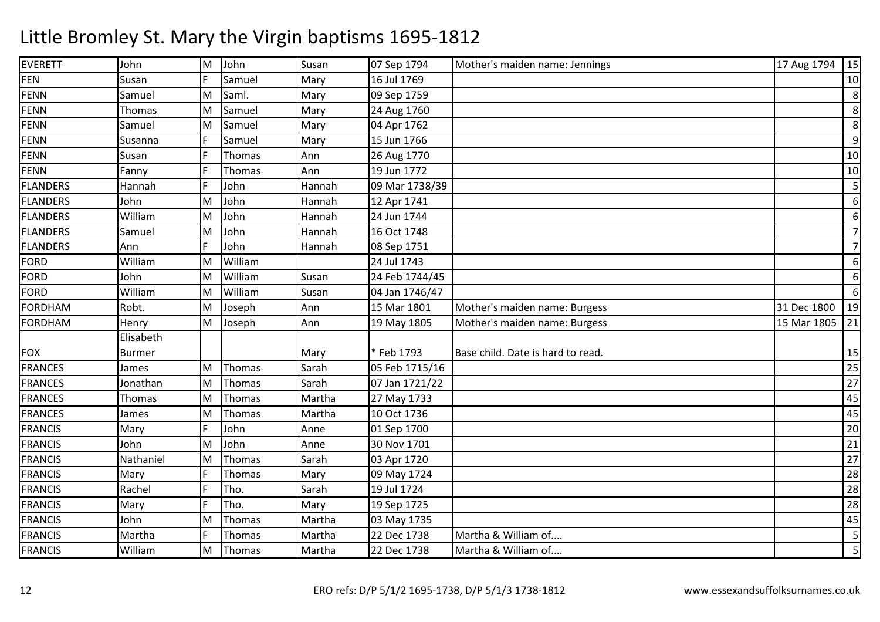| <b>EVERETT</b>  | John      | M   | John    | Susan  | 07 Sep 1794    | Mother's maiden name: Jennings    | 17 Aug 1794<br> 15 |
|-----------------|-----------|-----|---------|--------|----------------|-----------------------------------|--------------------|
| <b>FEN</b>      | Susan     |     | Samuel  | Mary   | 16 Jul 1769    |                                   | 10                 |
| <b>FENN</b>     | Samuel    | M   | Saml.   | Mary   | 09 Sep 1759    |                                   | 8                  |
| <b>FENN</b>     | Thomas    | M   | Samuel  | Mary   | 24 Aug 1760    |                                   | 8                  |
| <b>FENN</b>     | Samuel    | M   | Samuel  | Mary   | 04 Apr 1762    |                                   | 8                  |
| <b>FENN</b>     | Susanna   | F   | Samuel  | Mary   | 15 Jun 1766    |                                   | 9                  |
| <b>FENN</b>     | Susan     | IF. | Thomas  | Ann    | 26 Aug 1770    |                                   | 10                 |
| <b>FENN</b>     | Fanny     | F   | Thomas  | Ann    | 19 Jun 1772    |                                   | 10                 |
| <b>FLANDERS</b> | Hannah    | F   | John    | Hannah | 09 Mar 1738/39 |                                   | 5                  |
| <b>FLANDERS</b> | John      | M   | John    | Hannah | 12 Apr 1741    |                                   | 6                  |
| <b>FLANDERS</b> | William   | M   | John    | Hannah | 24 Jun 1744    |                                   | 6                  |
| <b>FLANDERS</b> | Samuel    | M   | John    | Hannah | 16 Oct 1748    |                                   | $\overline{7}$     |
| <b>FLANDERS</b> | Ann       | F   | John    | Hannah | 08 Sep 1751    |                                   | $\overline{7}$     |
| <b>FORD</b>     | William   | M   | William |        | 24 Jul 1743    |                                   | 6                  |
| <b>FORD</b>     | John      | M   | William | Susan  | 24 Feb 1744/45 |                                   | 6                  |
| <b>FORD</b>     | William   | M   | William | Susan  | 04 Jan 1746/47 |                                   | 6                  |
| <b>FORDHAM</b>  | Robt.     | M   | Joseph  | Ann    | 15 Mar 1801    | Mother's maiden name: Burgess     | 31 Dec 1800<br>19  |
| <b>FORDHAM</b>  | Henry     | M   | Joseph  | Ann    | 19 May 1805    | Mother's maiden name: Burgess     | 15 Mar 1805<br>21  |
|                 | Elisabeth |     |         |        |                |                                   |                    |
| <b>FOX</b>      | Burmer    |     |         | Mary   | * Feb 1793     | Base child. Date is hard to read. | 15                 |
| <b>FRANCES</b>  | James     | M   | Thomas  | Sarah  | 05 Feb 1715/16 |                                   | 25                 |
| <b>FRANCES</b>  | Jonathan  | M   | Thomas  | Sarah  | 07 Jan 1721/22 |                                   | 27                 |
| <b>FRANCES</b>  | Thomas    | M   | Thomas  | Martha | 27 May 1733    |                                   | 45                 |
| <b>FRANCES</b>  | James     | M   | Thomas  | Martha | 10 Oct 1736    |                                   | 45                 |
| <b>FRANCIS</b>  | Mary      | F   | John    | Anne   | 01 Sep 1700    |                                   | 20                 |
| <b>FRANCIS</b>  | John      | M   | John    | Anne   | 30 Nov 1701    |                                   | 21                 |
| <b>FRANCIS</b>  | Nathaniel | M   | Thomas  | Sarah  | 03 Apr 1720    |                                   | 27                 |
| <b>FRANCIS</b>  | Mary      | F   | Thomas  | Mary   | 09 May 1724    |                                   | 28                 |
| <b>FRANCIS</b>  | Rachel    | F   | Tho.    | Sarah  | 19 Jul 1724    |                                   | 28                 |
| <b>FRANCIS</b>  | Mary      | F   | Tho.    | Mary   | 19 Sep 1725    |                                   | 28                 |
| <b>FRANCIS</b>  | John      | M   | Thomas  | Martha | 03 May 1735    |                                   | 45                 |
| <b>FRANCIS</b>  | Martha    | F   | Thomas  | Martha | 22 Dec 1738    | Martha & William of               | 5                  |
| <b>FRANCIS</b>  | William   | M   | Thomas  | Martha | 22 Dec 1738    | Martha & William of               | 5                  |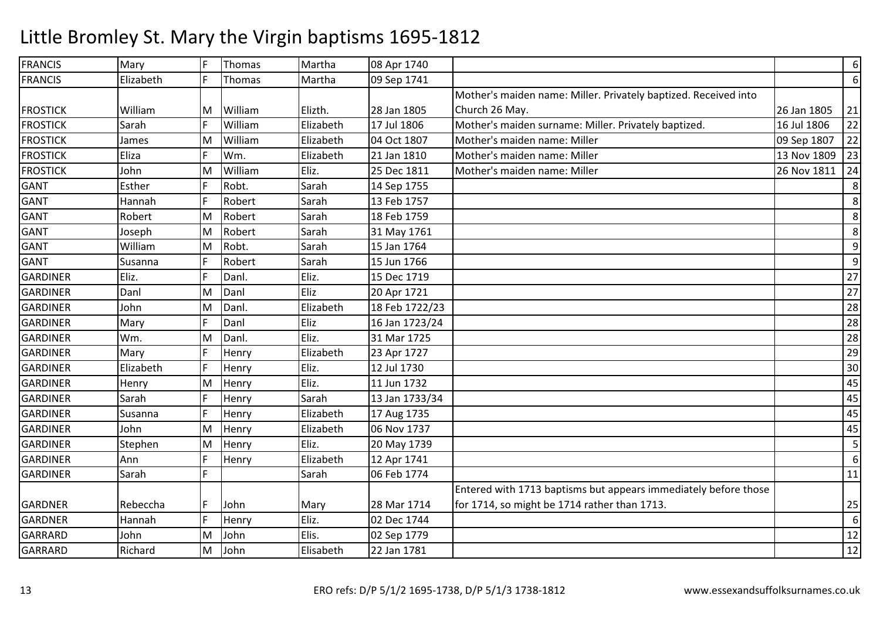| <b>FRANCIS</b>  | Mary      | F  | Thomas  | Martha    | 08 Apr 1740    |                                                                 |             | $\boldsymbol{6}$ |
|-----------------|-----------|----|---------|-----------|----------------|-----------------------------------------------------------------|-------------|------------------|
| <b>FRANCIS</b>  | Elizabeth | F  | Thomas  | Martha    | 09 Sep 1741    |                                                                 |             | 6                |
|                 |           |    |         |           |                | Mother's maiden name: Miller. Privately baptized. Received into |             |                  |
| <b>FROSTICK</b> | William   | M  | William | Elizth.   | 28 Jan 1805    | Church 26 May.                                                  | 26 Jan 1805 | 21               |
| <b>FROSTICK</b> | Sarah     |    | William | Elizabeth | 17 Jul 1806    | Mother's maiden surname: Miller. Privately baptized.            | 16 Jul 1806 | 22               |
| <b>FROSTICK</b> | James     | M  | William | Elizabeth | 04 Oct 1807    | Mother's maiden name: Miller                                    | 09 Sep 1807 | 22               |
| <b>FROSTICK</b> | Eliza     | F  | Wm.     | Elizabeth | 21 Jan 1810    | Mother's maiden name: Miller                                    | 13 Nov 1809 | 23               |
| <b>FROSTICK</b> | John      | M  | William | Eliz.     | 25 Dec 1811    | Mother's maiden name: Miller                                    | 26 Nov 1811 | 24               |
| <b>GANT</b>     | Esther    |    | Robt.   | Sarah     | 14 Sep 1755    |                                                                 |             | 8                |
| <b>GANT</b>     | Hannah    | F  | Robert  | Sarah     | 13 Feb 1757    |                                                                 |             | 8                |
| <b>GANT</b>     | Robert    | M  | Robert  | Sarah     | 18 Feb 1759    |                                                                 |             | 8                |
| <b>GANT</b>     | Joseph    | M  | Robert  | Sarah     | 31 May 1761    |                                                                 |             | 8                |
| GANT            | William   | M  | Robt.   | Sarah     | 15 Jan 1764    |                                                                 |             | 9                |
| <b>GANT</b>     | Susanna   | F. | Robert  | Sarah     | 15 Jun 1766    |                                                                 |             | 9                |
| <b>GARDINER</b> | Eliz.     | F  | Danl.   | Eliz.     | 15 Dec 1719    |                                                                 |             | 27               |
| <b>GARDINER</b> | Danl      | M  | Danl    | Eliz      | 20 Apr 1721    |                                                                 |             | 27               |
| <b>GARDINER</b> | John      | M  | Danl.   | Elizabeth | 18 Feb 1722/23 |                                                                 |             | 28               |
| <b>GARDINER</b> | Mary      | F  | Danl    | Eliz      | 16 Jan 1723/24 |                                                                 |             | 28               |
| <b>GARDINER</b> | Wm.       | M  | Danl.   | Eliz.     | 31 Mar 1725    |                                                                 |             | 28               |
| <b>GARDINER</b> | Mary      | F  | Henry   | Elizabeth | 23 Apr 1727    |                                                                 |             | 29               |
| <b>GARDINER</b> | Elizabeth | F  | Henry   | Eliz.     | 12 Jul 1730    |                                                                 |             | 30               |
| <b>GARDINER</b> | Henry     | M  | Henry   | Eliz.     | 11 Jun 1732    |                                                                 |             | 45               |
| <b>GARDINER</b> | Sarah     | F  | Henry   | Sarah     | 13 Jan 1733/34 |                                                                 |             | 45               |
| <b>GARDINER</b> | Susanna   | F  | Henry   | Elizabeth | 17 Aug 1735    |                                                                 |             | 45               |
| <b>GARDINER</b> | John      | M  | Henry   | Elizabeth | 06 Nov 1737    |                                                                 |             | 45               |
| <b>GARDINER</b> | Stephen   | M  | Henry   | Eliz.     | 20 May 1739    |                                                                 |             | 5                |
| <b>GARDINER</b> | Ann       | F  | Henry   | Elizabeth | 12 Apr 1741    |                                                                 |             | 6                |
| <b>GARDINER</b> | Sarah     | F  |         | Sarah     | 06 Feb 1774    |                                                                 |             | 11               |
|                 |           |    |         |           |                | Entered with 1713 baptisms but appears immediately before those |             |                  |
| <b>GARDNER</b>  | Rebeccha  | F. | John    | Mary      | 28 Mar 1714    | for 1714, so might be 1714 rather than 1713.                    |             | 25               |
| <b>GARDNER</b>  | Hannah    | F  | Henry   | Eliz.     | 02 Dec 1744    |                                                                 |             | $\boldsymbol{6}$ |
| <b>GARRARD</b>  | John      | M  | John    | Elis.     | 02 Sep 1779    |                                                                 |             | 12               |
| <b>GARRARD</b>  | Richard   | M  | John    | Elisabeth | 22 Jan 1781    |                                                                 |             | 12               |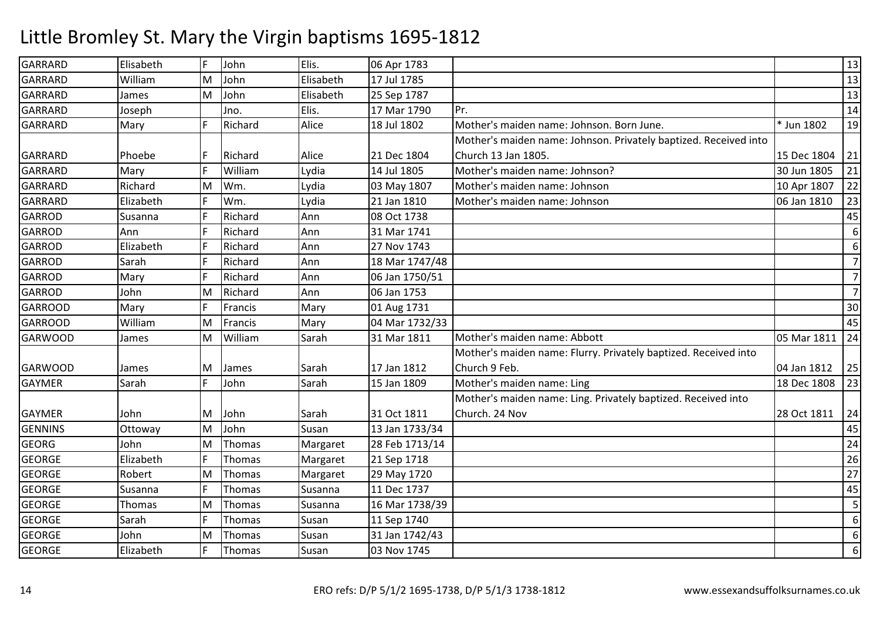| <b>GARRARD</b> | Elisabeth | F | John    | Elis.     | 06 Apr 1783    |                                                                  |             | 13               |
|----------------|-----------|---|---------|-----------|----------------|------------------------------------------------------------------|-------------|------------------|
| <b>GARRARD</b> | William   | M | John    | Elisabeth | 17 Jul 1785    |                                                                  |             | 13               |
| <b>GARRARD</b> | James     | M | John    | Elisabeth | 25 Sep 1787    |                                                                  |             | 13               |
| <b>GARRARD</b> | Joseph    |   | Jno.    | Elis.     | 17 Mar 1790    | Pr.                                                              |             | 14               |
| <b>GARRARD</b> | Mary      |   | Richard | Alice     | 18 Jul 1802    | Mother's maiden name: Johnson. Born June.                        | * Jun 1802  | 19               |
|                |           |   |         |           |                | Mother's maiden name: Johnson. Privately baptized. Received into |             |                  |
| GARRARD        | Phoebe    | F | Richard | Alice     | 21 Dec 1804    | Church 13 Jan 1805.                                              | 15 Dec 1804 | 21               |
| GARRARD        | Mary      | F | William | Lydia     | 14 Jul 1805    | Mother's maiden name: Johnson?                                   | 30 Jun 1805 | 21               |
| <b>GARRARD</b> | Richard   | M | Wm.     | Lydia     | 03 May 1807    | Mother's maiden name: Johnson                                    | 10 Apr 1807 | 22               |
| <b>GARRARD</b> | Elizabeth | F | Wm.     | Lydia     | 21 Jan 1810    | Mother's maiden name: Johnson                                    | 06 Jan 1810 | 23               |
| <b>GARROD</b>  | Susanna   | E | Richard | Ann       | 08 Oct 1738    |                                                                  |             | 45               |
| GARROD         | Ann       | F | Richard | Ann       | 31 Mar 1741    |                                                                  |             | 6                |
| <b>GARROD</b>  | Elizabeth | F | Richard | Ann       | 27 Nov 1743    |                                                                  |             | 6                |
| <b>GARROD</b>  | Sarah     | F | Richard | Ann       | 18 Mar 1747/48 |                                                                  |             | $\overline{7}$   |
| <b>GARROD</b>  | Mary      | F | Richard | Ann       | 06 Jan 1750/51 |                                                                  |             | $\overline{7}$   |
| <b>GARROD</b>  | John      | M | Richard | Ann       | 06 Jan 1753    |                                                                  |             | $\overline{7}$   |
| <b>GARROOD</b> | Mary      | F | Francis | Mary      | 01 Aug 1731    |                                                                  |             | 30               |
| <b>GARROOD</b> | William   | M | Francis | Mary      | 04 Mar 1732/33 |                                                                  |             | 45               |
| <b>GARWOOD</b> | James     | M | William | Sarah     | 31 Mar 1811    | Mother's maiden name: Abbott                                     | 05 Mar 1811 | 24               |
|                |           |   |         |           |                | Mother's maiden name: Flurry. Privately baptized. Received into  |             |                  |
| <b>GARWOOD</b> | James     | M | James   | Sarah     | 17 Jan 1812    | Church 9 Feb.                                                    | 04 Jan 1812 | 25               |
| <b>GAYMER</b>  | Sarah     | F | John    | Sarah     | 15 Jan 1809    | Mother's maiden name: Ling                                       | 18 Dec 1808 | 23               |
|                |           |   |         |           |                | Mother's maiden name: Ling. Privately baptized. Received into    |             |                  |
| <b>GAYMER</b>  | John      | M | John    | Sarah     | 31 Oct 1811    | Church. 24 Nov                                                   | 28 Oct 1811 | 24               |
| <b>GENNINS</b> | Ottoway   | M | John    | Susan     | 13 Jan 1733/34 |                                                                  |             | 45               |
| <b>GEORG</b>   | John      | M | Thomas  | Margaret  | 28 Feb 1713/14 |                                                                  |             | 24               |
| <b>GEORGE</b>  | Elizabeth | F | Thomas  | Margaret  | 21 Sep 1718    |                                                                  |             | 26               |
| <b>GEORGE</b>  | Robert    | M | Thomas  | Margaret  | 29 May 1720    |                                                                  |             | 27               |
| <b>GEORGE</b>  | Susanna   | F | Thomas  | Susanna   | 11 Dec 1737    |                                                                  |             | 45               |
| <b>GEORGE</b>  | Thomas    | M | Thomas  | Susanna   | 16 Mar 1738/39 |                                                                  |             | 5                |
| <b>GEORGE</b>  | Sarah     | F | Thomas  | Susan     | 11 Sep 1740    |                                                                  |             | 6                |
| <b>GEORGE</b>  | John      | M | Thomas  | Susan     | 31 Jan 1742/43 |                                                                  |             | $\boldsymbol{6}$ |
| <b>GEORGE</b>  | Elizabeth | F | Thomas  | Susan     | 03 Nov 1745    |                                                                  |             | 6                |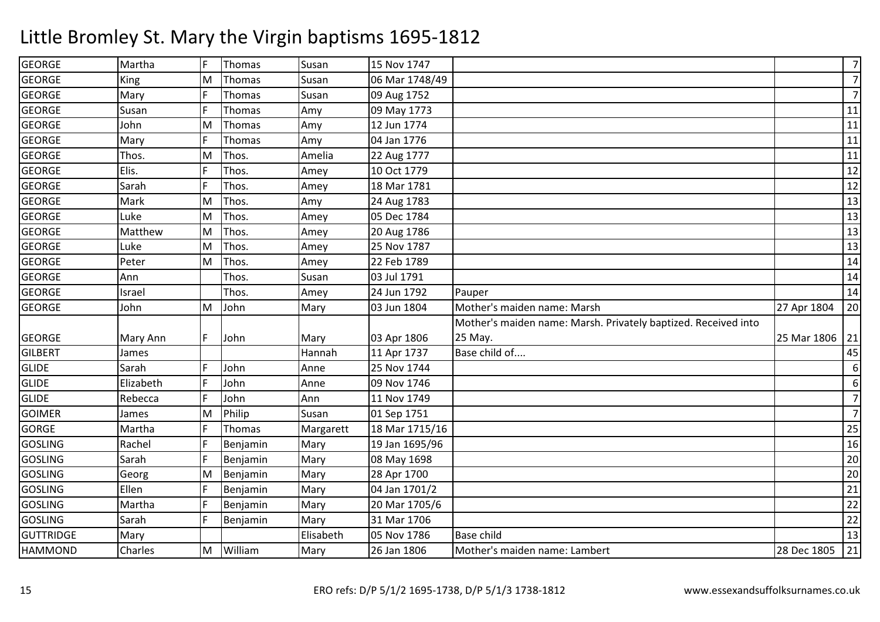### GEORGEE Martha F Thomas Susan Susan 15 Nov 1747 7 7GEORGE King MThomas Susan 06 Mar 1748/49<br>Thomas Susan 09 Aug 1752 7GEORGEE Mary F Thomas Susan 09 Aug 1752<br>09 May 1773 <sup>11</sup> GEORGE Susan <sup>F</sup> Thomas Amy 09 May 1773 <sup>11</sup> GEORGE JohnMary M Thomas Amy 12 Jun 1774 <sup>11</sup> GEORGE Mary <sup>F</sup> Thomas Amy 04 Jan 1776 <sup>11</sup> GEORGE Thos. M Thos. Amelia 22 Aug 1777 <sup>11</sup> GEORGEE F Elis. F Thos. Amey 10 Oct 1779 9 | 12 GEORGE Sarah <sup>F</sup> Thos. Amey 18 Mar 1781 <sup>12</sup> GEORGE Mark M Thos. Amy 24 Aug 1783 <sup>13</sup> GEORGE LukeE Matthew M Thos. Amey 05 Dec 1784 <sup>13</sup> GEORGEM Thos. Amey 20 Aug 1786 <sup>13</sup> GEORGE LukeE Peter M Thos. Amey 25 Nov 1787 <sup>13</sup> GEORGEM Thos. Amey 22 Feb 1789 <sup>14</sup> GEORGE Ann Thos. Susan 03 Jul 1791 <sup>14</sup> GEORGEE Israel | Thos. Amey | 24 Jun 1792 2 Pauper 14 GEORGE JohnM John Mary 03 Jun 1804 Mother's maiden name: Marsh 27 Apr 1804 <sup>20</sup> Mother's maiden name: Marsh. Privately baptized. Received into GEORGE Mary Ann F John Mary 1806 11 Apr 1737 25 May.25 Mar 1806 21 45 **GILBERT**  James Hannah 11 Apr 1737 Base child of.... <sup>45</sup> **GLIDE**  SarahF John Anne 25 Nov 1744<br>John Anne 09 Nov 1746 6 6GLIDE Elizabeth $Anne$   $1746$  7**GLIDE**  Rebecca <sup>F</sup> JohnJohn Ann 11 Nov 1749<br>Philip Susan 01 Sep 1751 7GOIMERJames<br>Martha MPhilip Susan 01 Sep 1751<br>Thomas Margarett 18 Mar 1715  $25$ GORGEMargarett 18 Mar 1715/16<br>Mary 19 Jan 1695/96 6 25 GOSLING Rachel <sup>F</sup> Benjamin Mary 19 Jan 1695/96 <sup>16</sup> GOSLING Sarah <sup>F</sup> Benjamin Mary 08 May 1698 <sup>20</sup> GOSLINGGeorg<br>Ellen M Benjamin Mary 28 Apr 1700 <sup>20</sup> GOSLINGG Ellen F Benjamin Mary 04 Jan 1701/2 21 GOSLINGG Martha F Benjamin Mary 20 Mar 1705/6 22 GOSLINGG Sarah F Benjamin Mary 31 Mar 1706 22 **GUTTRIDGE** E Mary Relisabeth 05 Nov 1786 Base child <sup>13</sup> HAMMOND Charles MWilliam Mary 26 Jan 1806 Mother's maiden name: Lambert 28 Dec 1805 <sup>21</sup>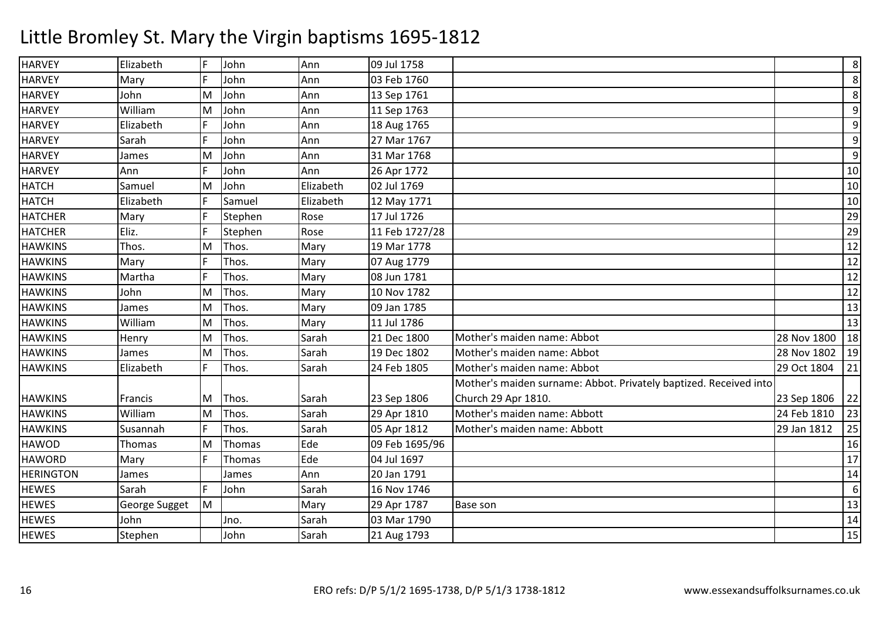| <b>HARVEY</b>    | Elizabeth     | F  | John    | Ann       | 09 Jul 1758    |                                                                   |             | $8\phantom{1}$ |
|------------------|---------------|----|---------|-----------|----------------|-------------------------------------------------------------------|-------------|----------------|
| <b>HARVEY</b>    | Mary          | F  | John    | Ann       | 03 Feb 1760    |                                                                   |             | 8              |
| <b>HARVEY</b>    | John          | M  | John    | Ann       | 13 Sep 1761    |                                                                   |             | 8              |
| <b>HARVEY</b>    | William       | M  | John    | Ann       | 11 Sep 1763    |                                                                   |             | $\overline{9}$ |
| <b>HARVEY</b>    | Elizabeth     | F  | John    | Ann       | 18 Aug 1765    |                                                                   |             | 9              |
| <b>HARVEY</b>    | Sarah         | F  | John    | Ann       | 27 Mar 1767    |                                                                   |             | 9              |
| <b>HARVEY</b>    | James         | M  | John    | Ann       | 31 Mar 1768    |                                                                   |             | 9              |
| <b>HARVEY</b>    | Ann           | F  | John    | Ann       | 26 Apr 1772    |                                                                   |             | 10             |
| <b>HATCH</b>     | Samuel        | M  | John    | Elizabeth | 02 Jul 1769    |                                                                   |             | 10             |
| <b>HATCH</b>     | Elizabeth     | F  | Samuel  | Elizabeth | 12 May 1771    |                                                                   |             | 10             |
| <b>HATCHER</b>   | Mary          | F  | Stephen | Rose      | 17 Jul 1726    |                                                                   |             | 29             |
| <b>HATCHER</b>   | Eliz.         | F  | Stephen | Rose      | 11 Feb 1727/28 |                                                                   |             | 29             |
| <b>HAWKINS</b>   | Thos.         | M  | Thos.   | Mary      | 19 Mar 1778    |                                                                   |             | 12             |
| <b>HAWKINS</b>   | Mary          | F  | Thos.   | Mary      | 07 Aug 1779    |                                                                   |             | 12             |
| <b>HAWKINS</b>   | Martha        | F  | Thos.   | Mary      | 08 Jun 1781    |                                                                   |             | 12             |
| <b>HAWKINS</b>   | John          | M  | Thos.   | Mary      | 10 Nov 1782    |                                                                   |             | 12             |
| <b>HAWKINS</b>   | James         | M  | Thos.   | Mary      | 09 Jan 1785    |                                                                   |             | 13             |
| <b>HAWKINS</b>   | William       | M  | Thos.   | Mary      | 11 Jul 1786    |                                                                   |             | 13             |
| <b>HAWKINS</b>   | Henry         | M  | Thos.   | Sarah     | 21 Dec 1800    | Mother's maiden name: Abbot                                       | 28 Nov 1800 | 18             |
| <b>HAWKINS</b>   | James         | M  | Thos.   | Sarah     | 19 Dec 1802    | Mother's maiden name: Abbot                                       | 28 Nov 1802 | 19             |
| <b>HAWKINS</b>   | Elizabeth     | F  | Thos.   | Sarah     | 24 Feb 1805    | Mother's maiden name: Abbot                                       | 29 Oct 1804 | 21             |
|                  |               |    |         |           |                | Mother's maiden surname: Abbot. Privately baptized. Received into |             |                |
| <b>HAWKINS</b>   | Francis       | м  | Thos.   | Sarah     | 23 Sep 1806    | Church 29 Apr 1810.                                               | 23 Sep 1806 | 22             |
| <b>HAWKINS</b>   | William       | M  | Thos.   | Sarah     | 29 Apr 1810    | Mother's maiden name: Abbott                                      | 24 Feb 1810 | 23             |
| <b>HAWKINS</b>   | Susannah      |    | Thos.   | Sarah     | 05 Apr 1812    | Mother's maiden name: Abbott                                      | 29 Jan 1812 | 25             |
| <b>HAWOD</b>     | Thomas        | M  | Thomas  | Ede       | 09 Feb 1695/96 |                                                                   |             | 16             |
| <b>HAWORD</b>    | Mary          | F  | Thomas  | Ede       | 04 Jul 1697    |                                                                   |             | 17             |
| <b>HERINGTON</b> | James         |    | James   | Ann       | 20 Jan 1791    |                                                                   |             | 14             |
| <b>HEWES</b>     | Sarah         | F  | John    | Sarah     | 16 Nov 1746    |                                                                   |             | $\sqrt{6}$     |
| <b>HEWES</b>     | George Sugget | lм |         | Mary      | 29 Apr 1787    | <b>Base son</b>                                                   |             | 13             |
| <b>HEWES</b>     | John          |    | Jno.    | Sarah     | 03 Mar 1790    |                                                                   |             | 14             |
| <b>HEWES</b>     | Stephen       |    | John    | Sarah     | 21 Aug 1793    |                                                                   |             | 15             |
|                  |               |    |         |           |                |                                                                   |             |                |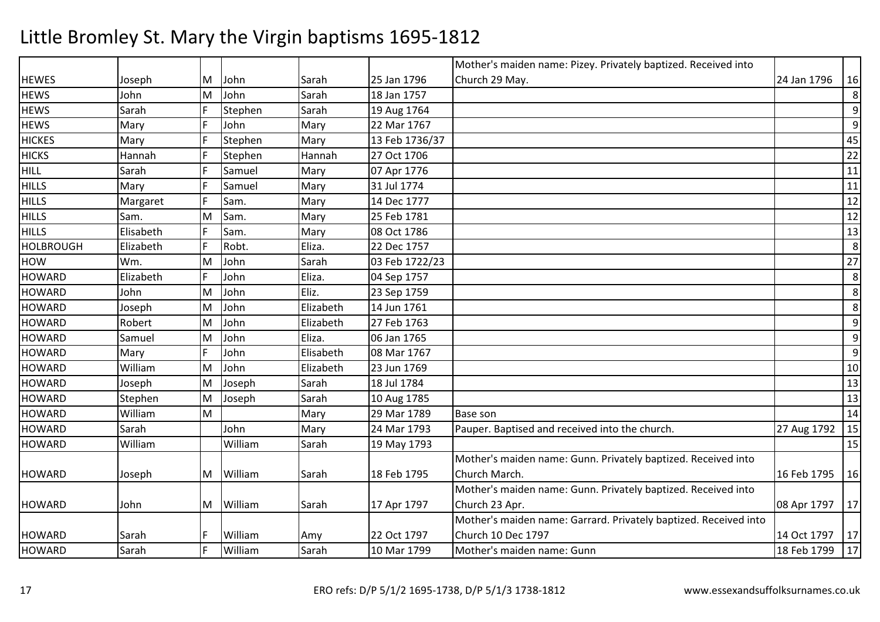|                  |           |     |         |           |                | Mother's maiden name: Pizey. Privately baptized. Received into   |             |    |
|------------------|-----------|-----|---------|-----------|----------------|------------------------------------------------------------------|-------------|----|
| <b>HEWES</b>     | Joseph    | ΙM  | John    | Sarah     | 25 Jan 1796    | Church 29 May.                                                   | 24 Jan 1796 | 16 |
| <b>HEWS</b>      | John      | M   | John    | Sarah     | 18 Jan 1757    |                                                                  |             | 8  |
| <b>HEWS</b>      | Sarah     | IF. | Stephen | Sarah     | 19 Aug 1764    |                                                                  |             | 9  |
| <b>HEWS</b>      | Mary      | F   | John    | Mary      | 22 Mar 1767    |                                                                  |             | 9  |
| <b>HICKES</b>    | Mary      | F   | Stephen | Mary      | 13 Feb 1736/37 |                                                                  |             | 45 |
| <b>HICKS</b>     | Hannah    | F   | Stephen | Hannah    | 27 Oct 1706    |                                                                  |             | 22 |
| <b>HILL</b>      | Sarah     | F   | Samuel  | Mary      | 07 Apr 1776    |                                                                  |             | 11 |
| <b>HILLS</b>     | Mary      | F   | Samuel  | Mary      | 31 Jul 1774    |                                                                  |             | 11 |
| <b>HILLS</b>     | Margaret  | F   | Sam.    | Mary      | 14 Dec 1777    |                                                                  |             | 12 |
| <b>HILLS</b>     | Sam.      | M   | Sam.    | Mary      | 25 Feb 1781    |                                                                  |             | 12 |
| <b>HILLS</b>     | Elisabeth | F   | Sam.    | Mary      | 08 Oct 1786    |                                                                  |             | 13 |
| <b>HOLBROUGH</b> | Elizabeth | F   | Robt.   | Eliza.    | 22 Dec 1757    |                                                                  |             | 8  |
| HOW              | Wm.       | M   | John    | Sarah     | 03 Feb 1722/23 |                                                                  |             | 27 |
| <b>HOWARD</b>    | Elizabeth | F   | John    | Eliza.    | 04 Sep 1757    |                                                                  |             | 8  |
| <b>HOWARD</b>    | John      | M   | John    | Eliz.     | 23 Sep 1759    |                                                                  |             | 8  |
| <b>HOWARD</b>    | Joseph    | M   | John    | Elizabeth | 14 Jun 1761    |                                                                  |             | 8  |
| <b>HOWARD</b>    | Robert    | M   | John    | Elizabeth | 27 Feb 1763    |                                                                  |             | 9  |
| <b>HOWARD</b>    | Samuel    | M   | John    | Eliza.    | 06 Jan 1765    |                                                                  |             | 9  |
| <b>HOWARD</b>    | Mary      | F   | John    | Elisabeth | 08 Mar 1767    |                                                                  |             | 9  |
| <b>HOWARD</b>    | William   | M   | John    | Elizabeth | 23 Jun 1769    |                                                                  |             | 10 |
| <b>HOWARD</b>    | Joseph    | M   | Joseph  | Sarah     | 18 Jul 1784    |                                                                  |             | 13 |
| <b>HOWARD</b>    | Stephen   | M   | Joseph  | Sarah     | 10 Aug 1785    |                                                                  |             | 13 |
| <b>HOWARD</b>    | William   | M   |         | Mary      | 29 Mar 1789    | Base son                                                         |             | 14 |
| <b>HOWARD</b>    | Sarah     |     | John    | Mary      | 24 Mar 1793    | Pauper. Baptised and received into the church.                   | 27 Aug 1792 | 15 |
| <b>HOWARD</b>    | William   |     | William | Sarah     | 19 May 1793    |                                                                  |             | 15 |
|                  |           |     |         |           |                | Mother's maiden name: Gunn. Privately baptized. Received into    |             |    |
| <b>HOWARD</b>    | Joseph    | M   | William | Sarah     | 18 Feb 1795    | Church March.                                                    | 16 Feb 1795 | 16 |
|                  |           |     |         |           |                | Mother's maiden name: Gunn. Privately baptized. Received into    |             |    |
| <b>HOWARD</b>    | John      | ΙM  | William | Sarah     | 17 Apr 1797    | Church 23 Apr.                                                   | 08 Apr 1797 | 17 |
|                  |           |     |         |           |                | Mother's maiden name: Garrard. Privately baptized. Received into |             |    |
| <b>HOWARD</b>    | Sarah     | IF. | William | Amy       | 22 Oct 1797    | <b>Church 10 Dec 1797</b>                                        | 14 Oct 1797 | 17 |
| <b>HOWARD</b>    | Sarah     | F   | William | Sarah     | 10 Mar 1799    | Mother's maiden name: Gunn                                       | 18 Feb 1799 | 17 |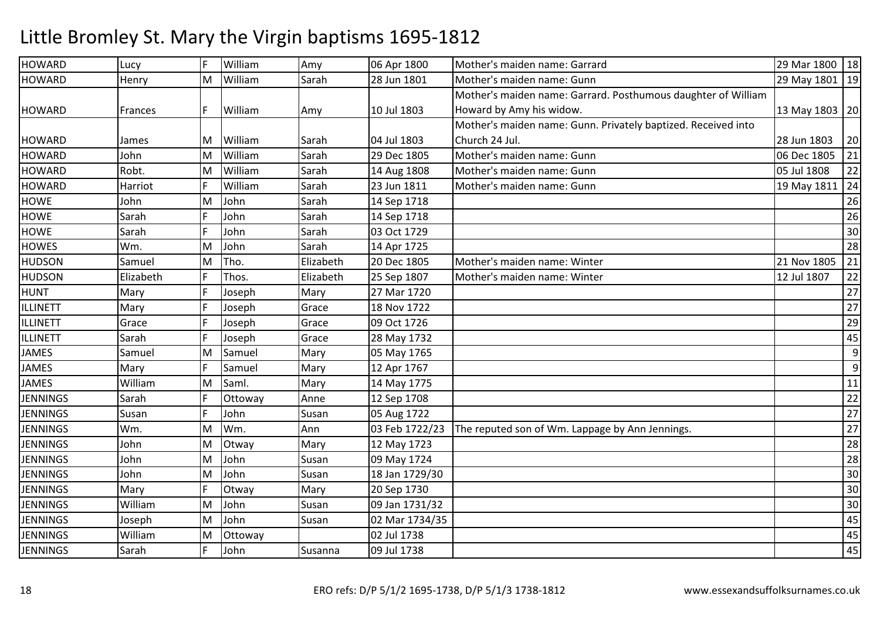### HOWARDD Lucy F William William Mamy 06 Apr 1800 Mother's maiden name: Garrard 29 Mar 1800 18<br>
29 Mar 1800 18<br>
29 May 1801 19 HOWARD**Henry** M William Sarah 28 Jun 1801 Mother's maiden name: Gunn 29 May 1801 <sup>19</sup> Mother's maiden name: Garrard. Posthumous daughter of William HOWARD Frances F William Amy 10 Jul 1803Howard by Amy his widow.13 May 1803 20 HOWARD James M William Sarah 04 Jul 180329 Dec 1805 Mother's maiden name: Gunn. Privately baptized. Received into Church 24 Jul.28 Jun 1803 20 21 HOWARD John M William Sarah 29 Dec 1805 Mother's maiden name: Gunn 06 Dec 1805 <sup>21</sup> **HOWARD** Robt.<br>Harriot M William Sarah 14 Aug 1808 Mother's maiden name: Gunn 05 Jul 1808 <sup>22</sup> HOWARDD Harriot F William Villiam Sarah 23 Jun 1811 Mother's maiden name: Gunn 19 May 1811 24<br>John Sarah 14 Sep 1718 16 May 1811 26 HOWE JohnE Sarah M John Sarah 14 Sep 1718 <sup>26</sup> **HOWE**  <sup>F</sup> John Sarah 14 Sep 1718 <sup>26</sup> **HOWF**  Sarah <sup>F</sup> John Sarah 03 Oct 1729 <sup>30</sup> **HOWES**  Wm. M John Sarah 14 Apr 1725 <sup>28</sup> HUDSONSamuel<br>Elizabeth MTho. Elizabeth 20 Dec 1805 Mother's maiden name: Winter 21 Nov 1805 21 Nov 1805 21<br>
Thos. Elizabeth 25 Sep 1807 Mother's maiden name: Winter 12 Jul 1807 22 HUDSONN Elizabeth F Thos. Elizabeth 25 Sep 1807 Mother's maiden name: Winter 12 Jul 1807 22 HUNTT Mary F Joseph Mary 27 Mar 1720 <sup>27</sup> ILLINETT Mary <sup>F</sup> Josephh Grace 18 Nov 1722 27 ILLINETT Grace**Joseph** h Grace 09 Oct 1726 29 ILLINETT Sarah <sup>F</sup> Joseph Grace 28 May 1732 <sup>45</sup> **JAMES**  Samuel MSamuel Mary 05 May 1765<br>Samuel Mary 12 Apr 1767 9 9JAMESS Mary F Samuel Mary 12 Apr 1767 14 May 1775 11 **JAMES**  WilliamS<sub>arah</sub> M Saml. Mary 14 May 1775 <sup>11</sup> JENNINGS <sup>F</sup> Ottoway Anne 12 Sep 1708 <sup>22</sup> **JENNINGS**  Susan <sup>F</sup> John Susan 05 Aug 1722 <sup>27</sup> **IFNNINGS**  Wm. MWm. Ann 103 Feb 1722/23 The reputed son of Wm. Lappage by Ann Jennings. 27<br>
27 Otway Mary 12 May 1723 28 JENNINGS John JohnM Otway Mary 12 May 1723 <sup>28</sup> JENNINGS JohnM John Susan 09 May 1724 <sup>28</sup> **JENNINGS** Mary M John Susan 18 Jan 1729/30 <sup>30</sup> **JENNINGS** Otway Mary 20 Sep 1730  $\overline{0}$  30 **JENNINGS**  WilliamS Joseph MM John Susan 09 Jan 1731/32 30 30 30 300 310 321/425 300 310 321 321 321 332 322 323 323 324 325 326 327 327 32 **JENNINGS** S William M John Susan 02 Mar 1734/35 <sup>45</sup> **JENNINGS** S<sub>arah</sub> M Ottoway 02 Jul 1738 <sup>45</sup> **JENNINGS** <sup>F</sup> John Susanna 09 Jul 1738 <sup>45</sup>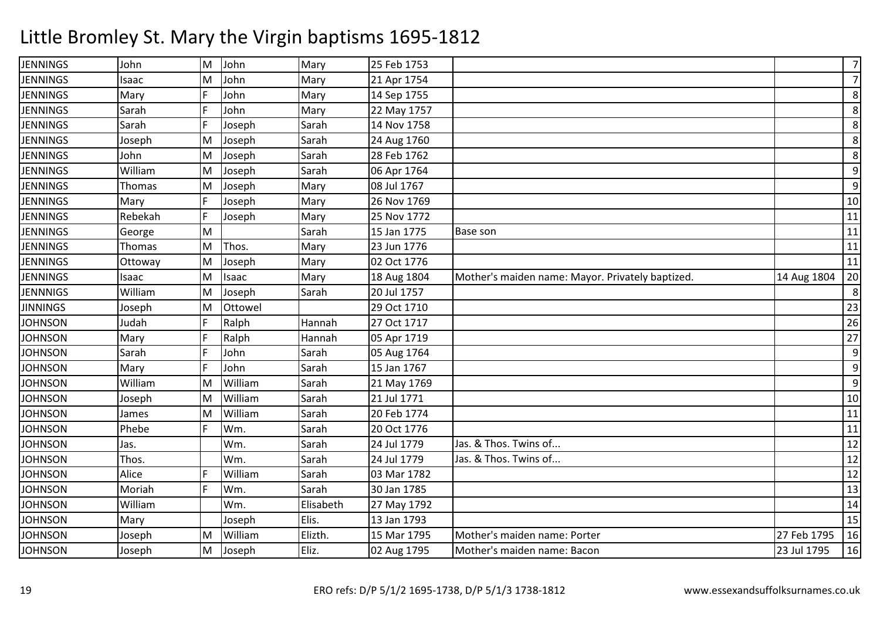| <b>JENNINGS</b> | John    | lм | John    | Mary      | 25 Feb 1753 |                                                  |             | $\overline{7}$   |
|-----------------|---------|----|---------|-----------|-------------|--------------------------------------------------|-------------|------------------|
| <b>JENNINGS</b> | Isaac   | M  | John    | Mary      | 21 Apr 1754 |                                                  |             | $\overline{7}$   |
| <b>JENNINGS</b> | Mary    | E  | John    | Mary      | 14 Sep 1755 |                                                  |             | 8                |
| <b>JENNINGS</b> | Sarah   |    | John    | Mary      | 22 May 1757 |                                                  |             | 8                |
| <b>JENNINGS</b> | Sarah   | F  | Joseph  | Sarah     | 14 Nov 1758 |                                                  |             | 8                |
| <b>JENNINGS</b> | Joseph  | M  | Joseph  | Sarah     | 24 Aug 1760 |                                                  |             | 8                |
| <b>JENNINGS</b> | John    | M  | Joseph  | Sarah     | 28 Feb 1762 |                                                  |             | 8                |
| <b>JENNINGS</b> | William | M  | Joseph  | Sarah     | 06 Apr 1764 |                                                  |             | 9                |
| <b>JENNINGS</b> | Thomas  | M  | Joseph  | Mary      | 08 Jul 1767 |                                                  |             | 9                |
| <b>JENNINGS</b> | Mary    | F  | Joseph  | Mary      | 26 Nov 1769 |                                                  |             | 10               |
| <b>JENNINGS</b> | Rebekah | F  | Joseph  | Mary      | 25 Nov 1772 |                                                  |             | 11               |
| <b>JENNINGS</b> | George  | M  |         | Sarah     | 15 Jan 1775 | Base son                                         |             | 11               |
| <b>JENNINGS</b> | Thomas  | M  | Thos.   | Mary      | 23 Jun 1776 |                                                  |             | $11\,$           |
| <b>JENNINGS</b> | Ottoway | M  | Joseph  | Mary      | 02 Oct 1776 |                                                  |             | 11               |
| <b>JENNINGS</b> | Isaac   | M  | Isaac   | Mary      | 18 Aug 1804 | Mother's maiden name: Mayor. Privately baptized. | 14 Aug 1804 | 20               |
| <b>JENNNIGS</b> | William | M  | Joseph  | Sarah     | 20 Jul 1757 |                                                  |             | 8                |
| <b>JINNINGS</b> | Joseph  | M  | Ottowel |           | 29 Oct 1710 |                                                  |             | 23               |
| <b>JOHNSON</b>  | Judah   |    | Ralph   | Hannah    | 27 Oct 1717 |                                                  |             | 26               |
| <b>JOHNSON</b>  | Mary    | F  | Ralph   | Hannah    | 05 Apr 1719 |                                                  |             | 27               |
| <b>JOHNSON</b>  | Sarah   | F  | John    | Sarah     | 05 Aug 1764 |                                                  |             | $\boldsymbol{9}$ |
| <b>JOHNSON</b>  | Mary    | F  | John    | Sarah     | 15 Jan 1767 |                                                  |             | 9                |
| <b>JOHNSON</b>  | William | M  | William | Sarah     | 21 May 1769 |                                                  |             | 9                |
| <b>JOHNSON</b>  | Joseph  | M  | William | Sarah     | 21 Jul 1771 |                                                  |             | 10               |
| <b>JOHNSON</b>  | James   | M  | William | Sarah     | 20 Feb 1774 |                                                  |             | 11               |
| <b>JOHNSON</b>  | Phebe   | F  | Wm.     | Sarah     | 20 Oct 1776 |                                                  |             | $11\,$           |
| <b>JOHNSON</b>  | Jas.    |    | Wm.     | Sarah     | 24 Jul 1779 | Jas. & Thos. Twins of                            |             | 12               |
| <b>JOHNSON</b>  | Thos.   |    | Wm.     | Sarah     | 24 Jul 1779 | Jas. & Thos. Twins of                            |             | 12               |
| <b>JOHNSON</b>  | Alice   |    | William | Sarah     | 03 Mar 1782 |                                                  |             | 12               |
| <b>JOHNSON</b>  | Moriah  | F  | Wm.     | Sarah     | 30 Jan 1785 |                                                  |             | 13               |
| <b>JOHNSON</b>  | William |    | Wm.     | Elisabeth | 27 May 1792 |                                                  |             | 14               |
| <b>JOHNSON</b>  | Mary    |    | Joseph  | Elis.     | 13 Jan 1793 |                                                  |             | 15               |
| <b>JOHNSON</b>  | Joseph  | M  | William | Elizth.   | 15 Mar 1795 | Mother's maiden name: Porter                     | 27 Feb 1795 | 16               |
| <b>JOHNSON</b>  | Joseph  | M  | Joseph  | Eliz.     | 02 Aug 1795 | Mother's maiden name: Bacon                      | 23 Jul 1795 | 16               |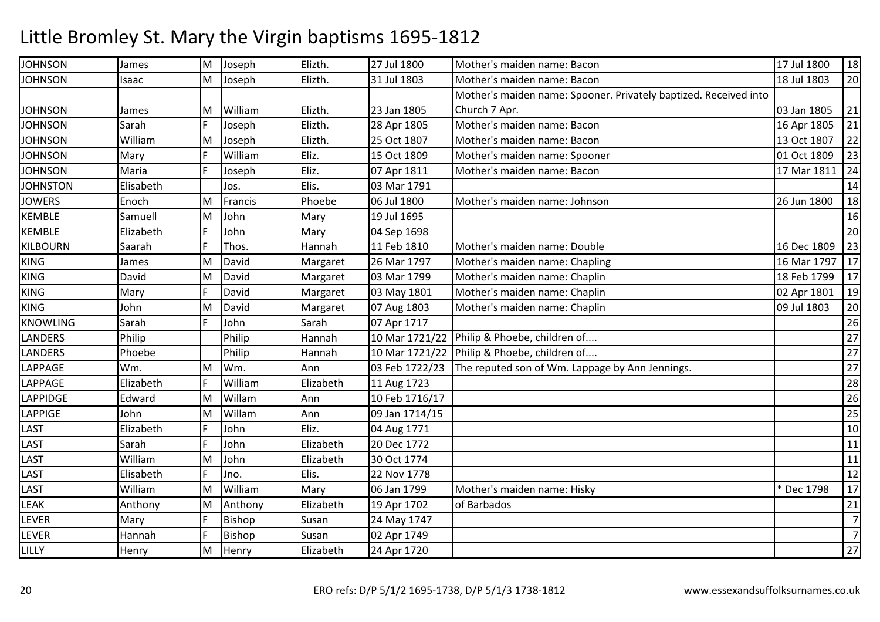| <b>JOHNSON</b>  | James     | M | Joseph        | Elizth.   | 27 Jul 1800    | Mother's maiden name: Bacon                                      | 17 Jul 1800 | 18             |
|-----------------|-----------|---|---------------|-----------|----------------|------------------------------------------------------------------|-------------|----------------|
| <b>JOHNSON</b>  | Isaac     | M | Joseph        | Elizth.   | 31 Jul 1803    | Mother's maiden name: Bacon                                      | 18 Jul 1803 | 20             |
|                 |           |   |               |           |                | Mother's maiden name: Spooner. Privately baptized. Received into |             |                |
| <b>JOHNSON</b>  | James     | M | William       | Elizth.   | 23 Jan 1805    | Church 7 Apr.                                                    | 03 Jan 1805 | 21             |
| <b>JOHNSON</b>  | Sarah     |   | Joseph        | Elizth.   | 28 Apr 1805    | Mother's maiden name: Bacon                                      | 16 Apr 1805 | 21             |
| <b>JOHNSON</b>  | William   | M | Joseph        | Elizth.   | 25 Oct 1807    | Mother's maiden name: Bacon                                      | 13 Oct 1807 | 22             |
| <b>JOHNSON</b>  | Mary      | F | William       | Eliz.     | 15 Oct 1809    | Mother's maiden name: Spooner                                    | 01 Oct 1809 | 23             |
| <b>JOHNSON</b>  | Maria     | F | Joseph        | Eliz.     | 07 Apr 1811    | Mother's maiden name: Bacon                                      | 17 Mar 1811 | 24             |
| <b>JOHNSTON</b> | Elisabeth |   | Jos.          | Elis.     | 03 Mar 1791    |                                                                  |             | 14             |
| <b>JOWERS</b>   | Enoch     | M | Francis       | Phoebe    | 06 Jul 1800    | Mother's maiden name: Johnson                                    | 26 Jun 1800 | 18             |
| <b>KEMBLE</b>   | Samuell   | M | John          | Mary      | 19 Jul 1695    |                                                                  |             | 16             |
| <b>KEMBLE</b>   | Elizabeth | F | John          | Mary      | 04 Sep 1698    |                                                                  |             | 20             |
| KILBOURN        | Saarah    | F | Thos.         | Hannah    | 11 Feb 1810    | Mother's maiden name: Double                                     | 16 Dec 1809 | 23             |
| <b>KING</b>     | James     | M | David         | Margaret  | 26 Mar 1797    | Mother's maiden name: Chapling                                   | 16 Mar 1797 | 17             |
| KING            | David     | M | David         | Margaret  | 03 Mar 1799    | Mother's maiden name: Chaplin                                    | 18 Feb 1799 | 17             |
| <b>KING</b>     | Mary      | F | David         | Margaret  | 03 May 1801    | Mother's maiden name: Chaplin                                    | 02 Apr 1801 | 19             |
| KING            | John      | M | David         | Margaret  | 07 Aug 1803    | Mother's maiden name: Chaplin                                    | 09 Jul 1803 | 20             |
| <b>KNOWLING</b> | Sarah     | F | John          | Sarah     | 07 Apr 1717    |                                                                  |             | 26             |
| <b>LANDERS</b>  | Philip    |   | Philip        | Hannah    | 10 Mar 1721/22 | Philip & Phoebe, children of                                     |             | $27$           |
| <b>LANDERS</b>  | Phoebe    |   | Philip        | Hannah    |                | 10 Mar 1721/22 Philip & Phoebe, children of                      |             | 27             |
| LAPPAGE         | Wm.       | M | Wm.           | Ann       | 03 Feb 1722/23 | The reputed son of Wm. Lappage by Ann Jennings.                  |             | 27             |
| LAPPAGE         | Elizabeth | F | William       | Elizabeth | 11 Aug 1723    |                                                                  |             | 28             |
| LAPPIDGE        | Edward    | M | Willam        | Ann       | 10 Feb 1716/17 |                                                                  |             | 26             |
| LAPPIGE         | John      | M | Willam        | Ann       | 09 Jan 1714/15 |                                                                  |             | 25             |
| <b>LAST</b>     | Elizabeth | F | John          | Eliz.     | 04 Aug 1771    |                                                                  |             | 10             |
| <b>LAST</b>     | Sarah     | F | John          | Elizabeth | 20 Dec 1772    |                                                                  |             | 11             |
| <b>LAST</b>     | William   | M | John          | Elizabeth | 30 Oct 1774    |                                                                  |             | $11\,$         |
| <b>LAST</b>     | Elisabeth | F | Jno.          | Elis.     | 22 Nov 1778    |                                                                  |             | 12             |
| LAST            | William   | M | William       | Mary      | 06 Jan 1799    | Mother's maiden name: Hisky                                      | * Dec 1798  | 17             |
| <b>LEAK</b>     | Anthony   | M | Anthony       | Elizabeth | 19 Apr 1702    | of Barbados                                                      |             | 21             |
| <b>LEVER</b>    | Mary      | F | <b>Bishop</b> | Susan     | 24 May 1747    |                                                                  |             | $\overline{7}$ |
| LEVER           | Hannah    | F | Bishop        | Susan     | 02 Apr 1749    |                                                                  |             | $\overline{7}$ |
| <b>LILLY</b>    | Henry     | M | Henry         | Elizabeth | 24 Apr 1720    |                                                                  |             | 27             |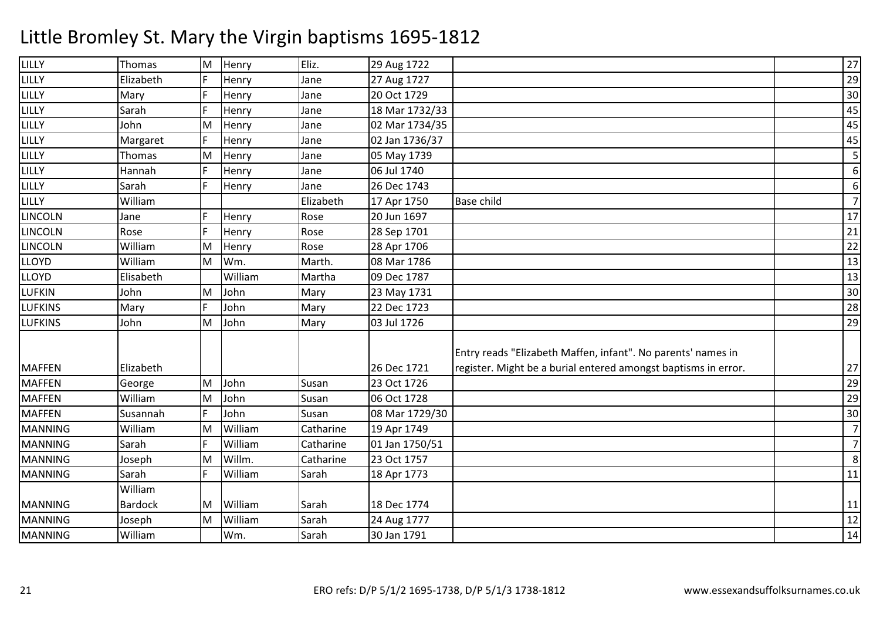| LILLY          | Thomas         | M | Henry   | Eliz.     | 29 Aug 1722    |                                                                | 27               |
|----------------|----------------|---|---------|-----------|----------------|----------------------------------------------------------------|------------------|
| LILLY          | Elizabeth      | F | Henry   | Jane      | 27 Aug 1727    |                                                                | 29               |
| LILLY          | Mary           | F | Henry   | Jane      | 20 Oct 1729    |                                                                | 30               |
| LILLY          | Sarah          |   | Henry   | Jane      | 18 Mar 1732/33 |                                                                | 45               |
| LILLY          | John           | M | Henry   | Jane      | 02 Mar 1734/35 |                                                                | 45               |
| LILLY          | Margaret       | F | Henry   | Jane      | 02 Jan 1736/37 |                                                                | 45               |
| LILLY          | Thomas         | M | Henry   | Jane      | 05 May 1739    |                                                                | 5                |
| LILLY          | Hannah         | F | Henry   | Jane      | 06 Jul 1740    |                                                                | $\boldsymbol{6}$ |
| LILLY          | Sarah          | E | Henry   | Jane      | 26 Dec 1743    |                                                                | 6                |
| LILLY          | William        |   |         | Elizabeth | 17 Apr 1750    | <b>Base child</b>                                              | $\overline{7}$   |
| <b>LINCOLN</b> | Jane           | F | Henry   | Rose      | 20 Jun 1697    |                                                                | 17               |
| <b>LINCOLN</b> | Rose           | F | Henry   | Rose      | 28 Sep 1701    |                                                                | 21               |
| <b>LINCOLN</b> | William        | M | Henry   | Rose      | 28 Apr 1706    |                                                                | $\overline{22}$  |
| <b>LLOYD</b>   | William        | M | Wm.     | Marth.    | 08 Mar 1786    |                                                                | 13               |
| <b>LLOYD</b>   | Elisabeth      |   | William | Martha    | 09 Dec 1787    |                                                                | $\overline{13}$  |
| LUFKIN         | John           | M | John    | Mary      | 23 May 1731    |                                                                | 30               |
| <b>LUFKINS</b> | Mary           | F | John    | Mary      | 22 Dec 1723    |                                                                | 28               |
| <b>LUFKINS</b> | John           | M | John    | Mary      | 03 Jul 1726    |                                                                | 29               |
|                |                |   |         |           |                |                                                                |                  |
|                |                |   |         |           |                | Entry reads "Elizabeth Maffen, infant". No parents' names in   |                  |
| <b>MAFFEN</b>  | Elizabeth      |   |         |           | 26 Dec 1721    | register. Might be a burial entered amongst baptisms in error. | 27               |
| <b>MAFFEN</b>  | George         | M | John    | Susan     | 23 Oct 1726    |                                                                | 29               |
| <b>MAFFEN</b>  | William        | M | John    | Susan     | 06 Oct 1728    |                                                                | $\overline{29}$  |
| <b>MAFFEN</b>  | Susannah       | F | John    | Susan     | 08 Mar 1729/30 |                                                                | 30               |
| <b>MANNING</b> | William        | M | William | Catharine | 19 Apr 1749    |                                                                | $\overline{7}$   |
| <b>MANNING</b> | Sarah          | F | William | Catharine | 01 Jan 1750/51 |                                                                | $\overline{7}$   |
| <b>MANNING</b> | Joseph         | M | Willm.  | Catharine | 23 Oct 1757    |                                                                | 8                |
| <b>MANNING</b> | Sarah          | F | William | Sarah     | 18 Apr 1773    |                                                                | 11               |
|                | William        |   |         |           |                |                                                                |                  |
| <b>MANNING</b> | <b>Bardock</b> | M | William | Sarah     | 18 Dec 1774    |                                                                | <u>11</u>        |
| <b>MANNING</b> | Joseph         | M | William | Sarah     | 24 Aug 1777    |                                                                | 12               |
| <b>MANNING</b> | William        |   | Wm.     | Sarah     | 30 Jan 1791    |                                                                | 14               |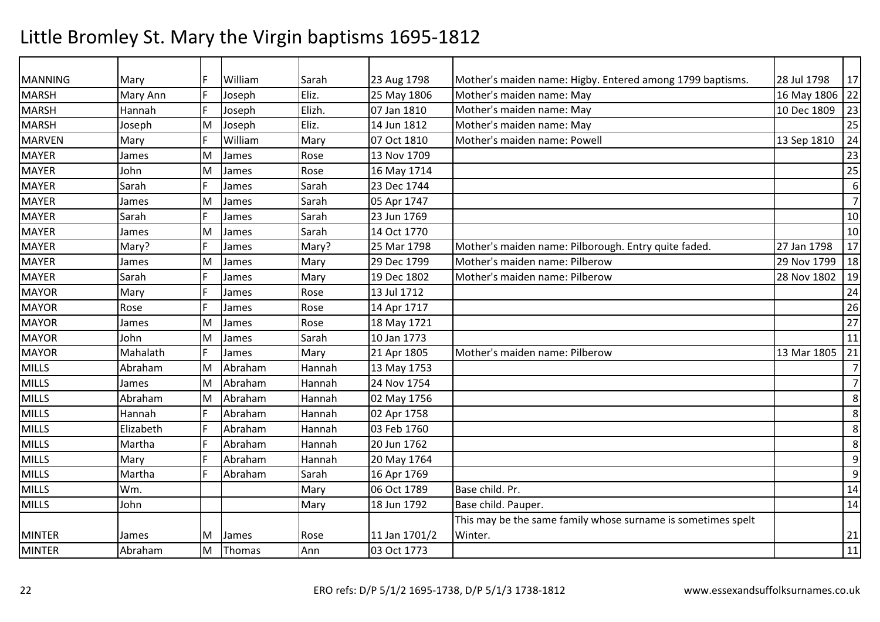| <b>MANNING</b> | Mary      | F.  | William | Sarah  | 23 Aug 1798   | Mother's maiden name: Higby. Entered among 1799 baptisms.    | 28 Jul 1798    | 17             |
|----------------|-----------|-----|---------|--------|---------------|--------------------------------------------------------------|----------------|----------------|
| <b>MARSH</b>   | Mary Ann  | F   | Joseph  | Eliz.  | 25 May 1806   | Mother's maiden name: May                                    | 16 May 1806 22 |                |
| <b>MARSH</b>   | Hannah    | F   | Joseph  | Elizh. | 07 Jan 1810   | Mother's maiden name: May                                    | 10 Dec 1809    | 23             |
| <b>MARSH</b>   | Joseph    | M   | Joseph  | Eliz.  | 14 Jun 1812   | Mother's maiden name: May                                    |                | 25             |
| <b>MARVEN</b>  | Mary      | F   | William | Mary   | 07 Oct 1810   | Mother's maiden name: Powell                                 | 13 Sep 1810    | 24             |
| <b>MAYER</b>   | James     | M   | James   | Rose   | 13 Nov 1709   |                                                              |                | 23             |
| <b>MAYER</b>   | John      | M   | James   | Rose   | 16 May 1714   |                                                              |                | 25             |
| <b>MAYER</b>   | Sarah     |     | James   | Sarah  | 23 Dec 1744   |                                                              |                | 6              |
| <b>MAYER</b>   | James     | M   | James   | Sarah  | 05 Apr 1747   |                                                              |                | $\overline{7}$ |
| <b>MAYER</b>   | Sarah     | F.  | James   | Sarah  | 23 Jun 1769   |                                                              |                | 10             |
| <b>MAYER</b>   | James     | M   | James   | Sarah  | 14 Oct 1770   |                                                              |                | 10             |
| <b>MAYER</b>   | Mary?     |     | James   | Mary?  | 25 Mar 1798   | Mother's maiden name: Pilborough. Entry quite faded.         | 27 Jan 1798    | 17             |
| <b>MAYER</b>   | James     | M   | James   | Mary   | 29 Dec 1799   | Mother's maiden name: Pilberow                               | 29 Nov 1799    | 18             |
| <b>MAYER</b>   | Sarah     | F   | James   | Mary   | 19 Dec 1802   | Mother's maiden name: Pilberow                               | 28 Nov 1802    | 19             |
| <b>MAYOR</b>   | Mary      | F   | James   | Rose   | 13 Jul 1712   |                                                              |                | 24             |
| <b>MAYOR</b>   | Rose      | F   | James   | Rose   | 14 Apr 1717   |                                                              |                | 26             |
| <b>MAYOR</b>   | James     | M   | James   | Rose   | 18 May 1721   |                                                              |                | 27             |
| <b>MAYOR</b>   | John      | M   | James   | Sarah  | 10 Jan 1773   |                                                              |                | 11             |
| <b>MAYOR</b>   | Mahalath  | F   | James   | Mary   | 21 Apr 1805   | Mother's maiden name: Pilberow                               | 13 Mar 1805    | 21             |
| <b>MILLS</b>   | Abraham   | M   | Abraham | Hannah | 13 May 1753   |                                                              |                | $\overline{7}$ |
| <b>MILLS</b>   | James     | M   | Abraham | Hannah | 24 Nov 1754   |                                                              |                | $\overline{7}$ |
| <b>MILLS</b>   | Abraham   | M   | Abraham | Hannah | 02 May 1756   |                                                              |                | 8              |
| <b>MILLS</b>   | Hannah    | lF. | Abraham | Hannah | 02 Apr 1758   |                                                              |                | 8              |
| <b>MILLS</b>   | Elizabeth | F   | Abraham | Hannah | 03 Feb 1760   |                                                              |                | 8              |
| <b>MILLS</b>   | Martha    | F   | Abraham | Hannah | 20 Jun 1762   |                                                              |                | 8              |
| <b>MILLS</b>   | Mary      | F   | Abraham | Hannah | 20 May 1764   |                                                              |                | 9              |
| <b>MILLS</b>   | Martha    | F   | Abraham | Sarah  | 16 Apr 1769   |                                                              |                | 9              |
| <b>MILLS</b>   | Wm.       |     |         | Mary   | 06 Oct 1789   | Base child. Pr.                                              |                | 14             |
| <b>MILLS</b>   | John      |     |         | Mary   | 18 Jun 1792   | Base child. Pauper.                                          |                | 14             |
|                |           |     |         |        |               | This may be the same family whose surname is sometimes spelt |                |                |
| <b>MINTER</b>  | James     | M   | James   | Rose   | 11 Jan 1701/2 | Winter.                                                      |                | 21             |
| <b>MINTER</b>  | Abraham   | M   | Thomas  | Ann    | 03 Oct 1773   |                                                              |                | 11             |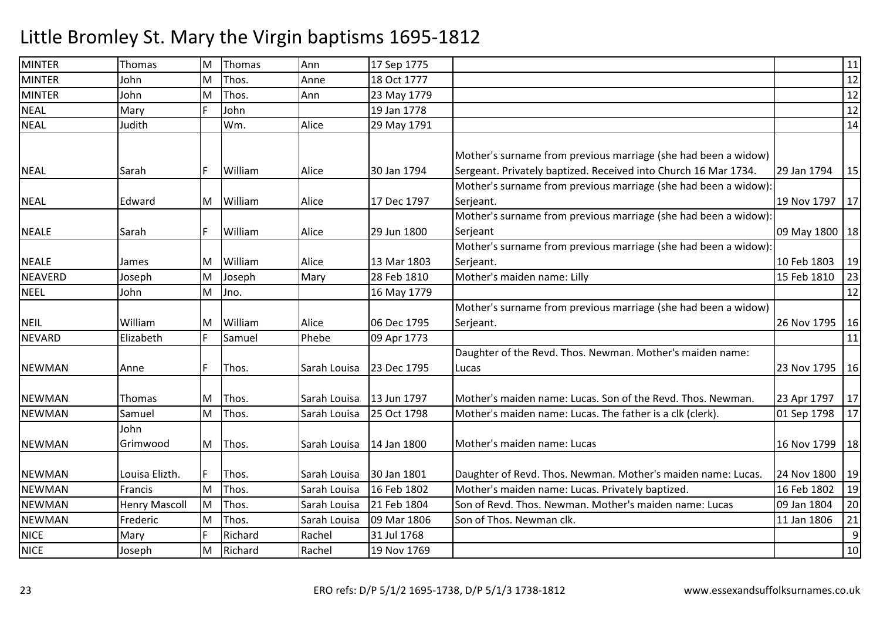| <b>MINTER</b>  | Thomas               | M   | Thomas  | Ann          | 17 Sep 1775 |                                                                 |                  | 11 |
|----------------|----------------------|-----|---------|--------------|-------------|-----------------------------------------------------------------|------------------|----|
| <b>MINTER</b>  | John                 | M   | Thos.   | Anne         | 18 Oct 1777 |                                                                 |                  | 12 |
| <b>MINTER</b>  | John                 | M   | Thos.   | Ann          | 23 May 1779 |                                                                 |                  | 12 |
| <b>NEAL</b>    | Mary                 | F   | John    |              | 19 Jan 1778 |                                                                 |                  | 12 |
| <b>NEAL</b>    | Judith               |     | Wm.     | Alice        | 29 May 1791 |                                                                 |                  | 14 |
|                |                      |     |         |              |             |                                                                 |                  |    |
|                |                      |     |         |              |             | Mother's surname from previous marriage (she had been a widow)  |                  |    |
| <b>NEAL</b>    | Sarah                | IF. | William | Alice        | 30 Jan 1794 | Sergeant. Privately baptized. Received into Church 16 Mar 1734. | 29 Jan 1794      | 15 |
|                |                      |     |         |              |             | Mother's surname from previous marriage (she had been a widow): |                  |    |
| <b>NEAL</b>    | Edward               | M   | William | Alice        | 17 Dec 1797 | Serjeant.                                                       | 19 Nov 1797      | 17 |
|                |                      |     |         |              |             | Mother's surname from previous marriage (she had been a widow): |                  |    |
| <b>NEALE</b>   | Sarah                | IF. | William | Alice        | 29 Jun 1800 | Serjeant                                                        | 09 May 1800   18 |    |
|                |                      |     |         |              |             | Mother's surname from previous marriage (she had been a widow): |                  |    |
| <b>NEALE</b>   | James                | ΙM  | William | Alice        | 13 Mar 1803 | Serjeant.                                                       | 10 Feb 1803      | 19 |
| <b>NEAVERD</b> | Joseph               | M   | Joseph  | Mary         | 28 Feb 1810 | Mother's maiden name: Lilly                                     | 15 Feb 1810      | 23 |
| <b>NEEL</b>    | John                 | M   | Jno.    |              | 16 May 1779 |                                                                 |                  | 12 |
|                |                      |     |         |              |             | Mother's surname from previous marriage (she had been a widow)  |                  |    |
| <b>NEIL</b>    | William              | ΙM  | William | Alice        | 06 Dec 1795 | Serjeant.                                                       | 26 Nov 1795   16 |    |
| <b>NEVARD</b>  | Elizabeth            | F.  | Samuel  | Phebe        | 09 Apr 1773 |                                                                 |                  | 11 |
|                |                      |     |         |              |             | Daughter of the Revd. Thos. Newman. Mother's maiden name:       |                  |    |
| <b>NEWMAN</b>  | Anne                 | F   | Thos.   | Sarah Louisa | 23 Dec 1795 | Lucas                                                           | 23 Nov 1795   16 |    |
|                |                      |     |         |              |             |                                                                 |                  |    |
| <b>NEWMAN</b>  | Thomas               | M   | Thos.   | Sarah Louisa | 13 Jun 1797 | Mother's maiden name: Lucas. Son of the Revd. Thos. Newman.     | 23 Apr 1797      | 17 |
| <b>NEWMAN</b>  | Samuel               | M   | Thos.   | Sarah Louisa | 25 Oct 1798 | Mother's maiden name: Lucas. The father is a clk (clerk).       | 01 Sep 1798      | 17 |
|                | John                 |     |         |              |             |                                                                 |                  |    |
| <b>NEWMAN</b>  | Grimwood             | M   | Thos.   | Sarah Louisa | 14 Jan 1800 | Mother's maiden name: Lucas                                     | 16 Nov 1799   18 |    |
|                |                      |     |         |              |             |                                                                 |                  |    |
| <b>NEWMAN</b>  | Louisa Elizth.       | IF. | Thos.   | Sarah Louisa | 30 Jan 1801 | Daughter of Revd. Thos. Newman. Mother's maiden name: Lucas.    | 24 Nov 1800      | 19 |
| <b>NEWMAN</b>  | Francis              | M   | Thos.   | Sarah Louisa | 16 Feb 1802 | Mother's maiden name: Lucas. Privately baptized.                | 16 Feb 1802      | 19 |
| <b>NEWMAN</b>  | <b>Henry Mascoll</b> | İМ  | Thos.   | Sarah Louisa | 21 Feb 1804 | Son of Revd. Thos. Newman. Mother's maiden name: Lucas          | 09 Jan 1804      | 20 |
| <b>NEWMAN</b>  | Frederic             | M   | Thos.   | Sarah Louisa | 09 Mar 1806 | Son of Thos. Newman clk.                                        | 11 Jan 1806      | 21 |
| <b>NICE</b>    | Mary                 | F   | Richard | Rachel       | 31 Jul 1768 |                                                                 |                  | 9  |
| <b>NICE</b>    | Joseph               | M   | Richard | Rachel       | 19 Nov 1769 |                                                                 |                  | 10 |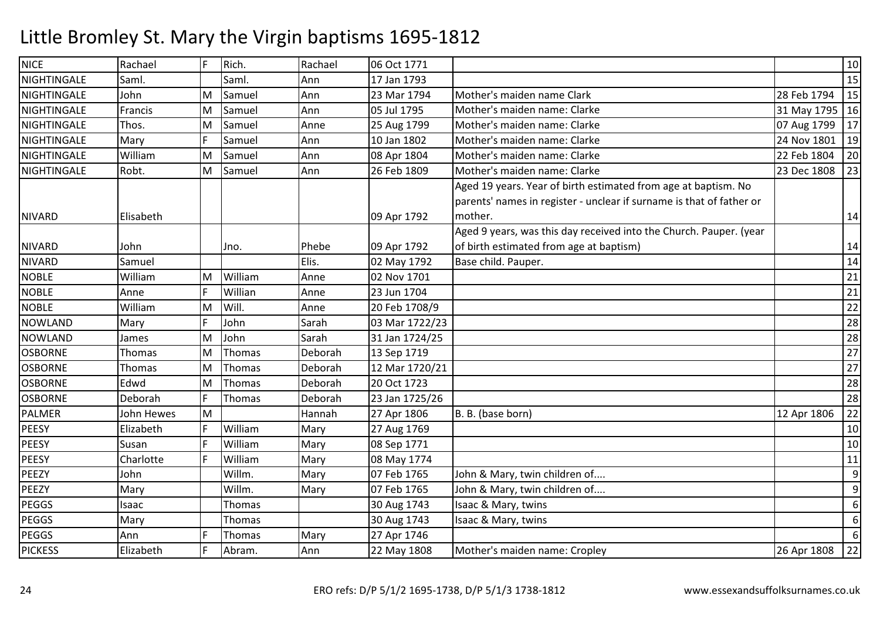| <b>NICE</b>    | Rachael    | IF | Rich.   | Rachael | 06 Oct 1771    |                                                                      |                  | 10 |
|----------------|------------|----|---------|---------|----------------|----------------------------------------------------------------------|------------------|----|
| NIGHTINGALE    | Saml.      |    | Saml.   | Ann     | 17 Jan 1793    |                                                                      |                  | 15 |
| NIGHTINGALE    | John       | M  | Samuel  | Ann     | 23 Mar 1794    | Mother's maiden name Clark                                           | 28 Feb 1794      | 15 |
| NIGHTINGALE    | Francis    | M  | Samuel  | Ann     | 05 Jul 1795    | Mother's maiden name: Clarke                                         | 31 May 1795   16 |    |
| NIGHTINGALE    | Thos.      | M  | Samuel  | Anne    | 25 Aug 1799    | Mother's maiden name: Clarke                                         | 07 Aug 1799      | 17 |
| NIGHTINGALE    | Mary       | F  | Samuel  | Ann     | 10 Jan 1802    | Mother's maiden name: Clarke                                         | 24 Nov 1801      | 19 |
| NIGHTINGALE    | William    | M  | Samuel  | Ann     | 08 Apr 1804    | Mother's maiden name: Clarke                                         | 22 Feb 1804      | 20 |
| NIGHTINGALE    | Robt.      | M  | Samuel  | Ann     | 26 Feb 1809    | Mother's maiden name: Clarke                                         | 23 Dec 1808      | 23 |
|                |            |    |         |         |                | Aged 19 years. Year of birth estimated from age at baptism. No       |                  |    |
|                |            |    |         |         |                | parents' names in register - unclear if surname is that of father or |                  |    |
| <b>NIVARD</b>  | Elisabeth  |    |         |         | 09 Apr 1792    | mother.                                                              |                  | 14 |
|                |            |    |         |         |                | Aged 9 years, was this day received into the Church. Pauper. (year   |                  |    |
| <b>NIVARD</b>  | John       |    | Jno.    | Phebe   | 09 Apr 1792    | of birth estimated from age at baptism)                              |                  | 14 |
| <b>NIVARD</b>  | Samuel     |    |         | Elis.   | 02 May 1792    | Base child. Pauper.                                                  |                  | 14 |
| <b>NOBLE</b>   | William    | M  | William | Anne    | 02 Nov 1701    |                                                                      |                  | 21 |
| <b>NOBLE</b>   | Anne       |    | Willian | Anne    | 23 Jun 1704    |                                                                      |                  | 21 |
| <b>NOBLE</b>   | William    | M  | Will.   | Anne    | 20 Feb 1708/9  |                                                                      |                  | 22 |
| <b>NOWLAND</b> | Mary       | E  | John    | Sarah   | 03 Mar 1722/23 |                                                                      |                  | 28 |
| <b>NOWLAND</b> | James      | M  | John    | Sarah   | 31 Jan 1724/25 |                                                                      |                  | 28 |
| <b>OSBORNE</b> | Thomas     | M  | Thomas  | Deborah | 13 Sep 1719    |                                                                      |                  | 27 |
| <b>OSBORNE</b> | Thomas     | M  | Thomas  | Deborah | 12 Mar 1720/21 |                                                                      |                  | 27 |
| <b>OSBORNE</b> | Edwd       | M  | Thomas  | Deborah | 20 Oct 1723    |                                                                      |                  | 28 |
| <b>OSBORNE</b> | Deborah    | F  | Thomas  | Deborah | 23 Jan 1725/26 |                                                                      |                  | 28 |
| <b>PALMER</b>  | John Hewes | M  |         | Hannah  | 27 Apr 1806    | B. B. (base born)                                                    | 12 Apr 1806      | 22 |
| <b>PEESY</b>   | Elizabeth  | F  | William | Mary    | 27 Aug 1769    |                                                                      |                  | 10 |
| <b>PEESY</b>   | Susan      | F  | William | Mary    | 08 Sep 1771    |                                                                      |                  | 10 |
| <b>PEESY</b>   | Charlotte  |    | William | Mary    | 08 May 1774    |                                                                      |                  | 11 |
| PEEZY          | John       |    | Willm.  | Mary    | 07 Feb 1765    | John & Mary, twin children of                                        |                  | 9  |
| PEEZY          | Mary       |    | Willm.  | Mary    | 07 Feb 1765    | John & Mary, twin children of                                        |                  | 9  |
| <b>PEGGS</b>   | Isaac      |    | Thomas  |         | 30 Aug 1743    | Isaac & Mary, twins                                                  |                  | 6  |
| <b>PEGGS</b>   | Mary       |    | Thomas  |         | 30 Aug 1743    | Isaac & Mary, twins                                                  |                  | 6  |
| <b>PEGGS</b>   | Ann        |    | Thomas  | Mary    | 27 Apr 1746    |                                                                      |                  | 6  |
| <b>PICKESS</b> | Elizabeth  | F  | Abram.  | Ann     | 22 May 1808    | Mother's maiden name: Cropley                                        | 26 Apr 1808      | 22 |
|                |            |    |         |         |                |                                                                      |                  |    |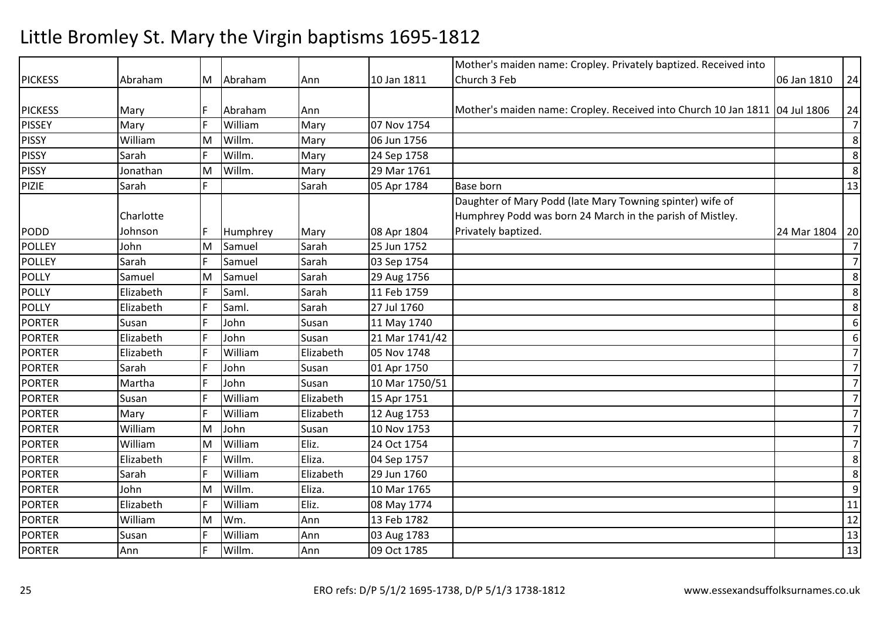|                |           |     |          |           |                | Mother's maiden name: Cropley. Privately baptized. Received into            |             |                  |
|----------------|-----------|-----|----------|-----------|----------------|-----------------------------------------------------------------------------|-------------|------------------|
| <b>PICKESS</b> | Abraham   | M   | Abraham  | Ann       | 10 Jan 1811    | Church 3 Feb                                                                | 06 Jan 1810 | 24               |
|                |           |     |          |           |                |                                                                             |             |                  |
| <b>PICKESS</b> | Mary      | F   | Abraham  | Ann       |                | Mother's maiden name: Cropley. Received into Church 10 Jan 1811 04 Jul 1806 |             | 24               |
| <b>PISSEY</b>  | Mary      | F   | William  | Mary      | 07 Nov 1754    |                                                                             |             | $\overline{7}$   |
| <b>PISSY</b>   | William   | M   | Willm.   | Mary      | 06 Jun 1756    |                                                                             |             | $\bf 8$          |
| <b>PISSY</b>   | Sarah     | IF. | Willm.   | Mary      | 24 Sep 1758    |                                                                             |             | $\bf 8$          |
| <b>PISSY</b>   | Jonathan  | M   | Willm.   | Mary      | 29 Mar 1761    |                                                                             |             | $8\phantom{1}$   |
| <b>PIZIE</b>   | Sarah     | E   |          | Sarah     | 05 Apr 1784    | <b>Base born</b>                                                            |             | 13               |
|                |           |     |          |           |                | Daughter of Mary Podd (late Mary Towning spinter) wife of                   |             |                  |
|                | Charlotte |     |          |           |                | Humphrey Podd was born 24 March in the parish of Mistley.                   |             |                  |
| <b>PODD</b>    | Johnson   | F   | Humphrey | Mary      | 08 Apr 1804    | Privately baptized.                                                         | 24 Mar 1804 | 20               |
| <b>POLLEY</b>  | John      | M   | Samuel   | Sarah     | 25 Jun 1752    |                                                                             |             | $\overline{7}$   |
| <b>POLLEY</b>  | Sarah     | F   | Samuel   | Sarah     | 03 Sep 1754    |                                                                             |             | $\overline{7}$   |
| POLLY          | Samuel    | M   | Samuel   | Sarah     | 29 Aug 1756    |                                                                             |             | $8\phantom{1}$   |
| POLLY          | Elizabeth | F   | Saml.    | Sarah     | 11 Feb 1759    |                                                                             |             | 8                |
| <b>POLLY</b>   | Elizabeth | F   | Saml.    | Sarah     | 27 Jul 1760    |                                                                             |             | 8                |
| <b>PORTER</b>  | Susan     | F   | John     | Susan     | 11 May 1740    |                                                                             |             | 6                |
| <b>PORTER</b>  | Elizabeth | F   | John     | Susan     | 21 Mar 1741/42 |                                                                             |             | $\boldsymbol{6}$ |
| <b>PORTER</b>  | Elizabeth | F   | William  | Elizabeth | 05 Nov 1748    |                                                                             |             | $\overline{7}$   |
| <b>PORTER</b>  | Sarah     | F   | John     | Susan     | 01 Apr 1750    |                                                                             |             | $\overline{7}$   |
| <b>PORTER</b>  | Martha    | IF  | John     | Susan     | 10 Mar 1750/51 |                                                                             |             | $\overline{7}$   |
| <b>PORTER</b>  | Susan     | F   | William  | Elizabeth | 15 Apr 1751    |                                                                             |             | $\overline{7}$   |
| <b>PORTER</b>  | Mary      | IF. | William  | Elizabeth | 12 Aug 1753    |                                                                             |             | $\overline{7}$   |
| <b>PORTER</b>  | William   | M   | John     | Susan     | 10 Nov 1753    |                                                                             |             | $\overline{7}$   |
| <b>PORTER</b>  | William   | M   | William  | Eliz.     | 24 Oct 1754    |                                                                             |             | $\overline{7}$   |
| <b>PORTER</b>  | Elizabeth | F   | Willm.   | Eliza.    | 04 Sep 1757    |                                                                             |             | 8                |
| <b>PORTER</b>  | Sarah     | F   | William  | Elizabeth | 29 Jun 1760    |                                                                             |             | $\,8\,$          |
| <b>PORTER</b>  | John      | M   | Willm.   | Eliza.    | 10 Mar 1765    |                                                                             |             | $\overline{9}$   |
| <b>PORTER</b>  | Elizabeth | F   | William  | Eliz.     | 08 May 1774    |                                                                             |             | 11               |
| <b>PORTER</b>  | William   | M   | Wm.      | Ann       | 13 Feb 1782    |                                                                             |             | 12               |
| <b>PORTER</b>  | Susan     | F   | William  | Ann       | 03 Aug 1783    |                                                                             |             | 13               |
| <b>PORTER</b>  | Ann       | F   | Willm.   | Ann       | 09 Oct 1785    |                                                                             |             | 13               |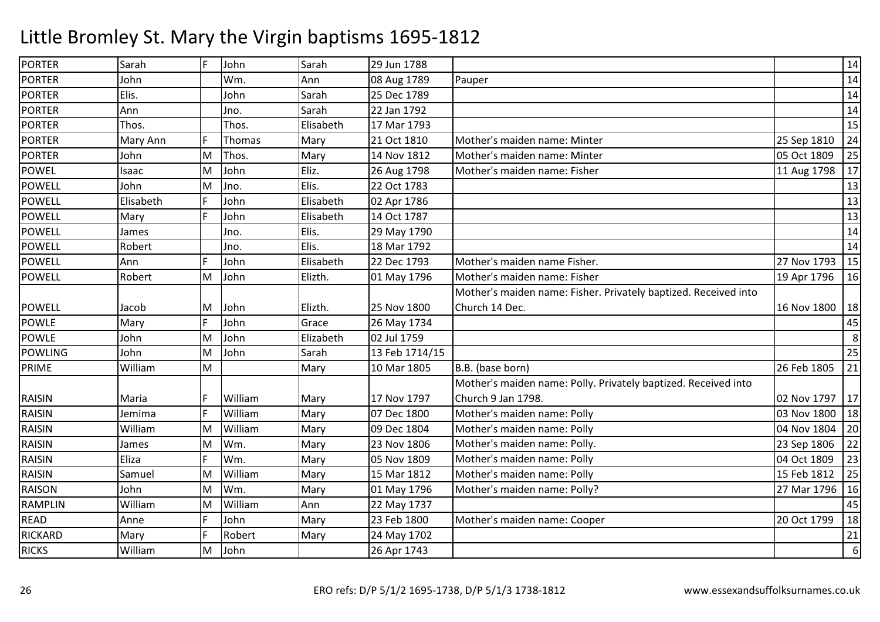| <b>PORTER</b>  | Sarah     | IF. | John    | Sarah     | 29 Jun 1788    |                                                                 |             | 14 |
|----------------|-----------|-----|---------|-----------|----------------|-----------------------------------------------------------------|-------------|----|
| <b>PORTER</b>  | John      |     | Wm.     | Ann       | 08 Aug 1789    | Pauper                                                          |             | 14 |
| <b>PORTER</b>  | Elis.     |     | John    | Sarah     | 25 Dec 1789    |                                                                 |             | 14 |
| <b>PORTER</b>  | Ann       |     | Jno.    | Sarah     | 22 Jan 1792    |                                                                 |             | 14 |
| <b>PORTER</b>  | Thos.     |     | Thos.   | Elisabeth | 17 Mar 1793    |                                                                 |             | 15 |
| <b>PORTER</b>  | Mary Ann  | F   | Thomas  | Mary      | 21 Oct 1810    | Mother's maiden name: Minter                                    | 25 Sep 1810 | 24 |
| <b>PORTER</b>  | John      | M   | Thos.   | Mary      | 14 Nov 1812    | Mother's maiden name: Minter                                    | 05 Oct 1809 | 25 |
| <b>POWEL</b>   | Isaac     | M   | John    | Eliz.     | 26 Aug 1798    | Mother's maiden name: Fisher                                    | 11 Aug 1798 | 17 |
| <b>POWELL</b>  | John      | M   | Jno.    | Elis.     | 22 Oct 1783    |                                                                 |             | 13 |
| <b>POWELL</b>  | Elisabeth | IF. | John    | Elisabeth | 02 Apr 1786    |                                                                 |             | 13 |
| <b>POWELL</b>  | Mary      | E   | John    | Elisabeth | 14 Oct 1787    |                                                                 |             | 13 |
| <b>POWELL</b>  | James     |     | Jno.    | Elis.     | 29 May 1790    |                                                                 |             | 14 |
| <b>POWELL</b>  | Robert    |     | Jno.    | Elis.     | 18 Mar 1792    |                                                                 |             | 14 |
| <b>POWELL</b>  | Ann       | IF. | John    | Elisabeth | 22 Dec 1793    | Mother's maiden name Fisher.                                    | 27 Nov 1793 | 15 |
| <b>POWELL</b>  | Robert    | M   | John    | Elizth.   | 01 May 1796    | Mother's maiden name: Fisher                                    | 19 Apr 1796 | 16 |
|                |           |     |         |           |                | Mother's maiden name: Fisher. Privately baptized. Received into |             |    |
| <b>POWELL</b>  | Jacob     | M   | John    | Elizth.   | 25 Nov 1800    | Church 14 Dec.                                                  | 16 Nov 1800 | 18 |
| <b>POWLE</b>   | Mary      | F   | John    | Grace     | 26 May 1734    |                                                                 |             | 45 |
| <b>POWLE</b>   | John      | M   | John    | Elizabeth | 02 Jul 1759    |                                                                 |             | 8  |
| <b>POWLING</b> | John      | M   | John    | Sarah     | 13 Feb 1714/15 |                                                                 |             | 25 |
| PRIME          | William   | M   |         | Mary      | 10 Mar 1805    | B.B. (base born)                                                | 26 Feb 1805 | 21 |
|                |           |     |         |           |                | Mother's maiden name: Polly. Privately baptized. Received into  |             |    |
| <b>RAISIN</b>  | Maria     | IF. | William | Mary      | 17 Nov 1797    | Church 9 Jan 1798.                                              | 02 Nov 1797 | 17 |
| <b>RAISIN</b>  | Jemima    | F   | William | Mary      | 07 Dec 1800    | Mother's maiden name: Polly                                     | 03 Nov 1800 | 18 |
| <b>RAISIN</b>  | William   | M   | William | Mary      | 09 Dec 1804    | Mother's maiden name: Polly                                     | 04 Nov 1804 | 20 |
| <b>RAISIN</b>  | James     | M   | Wm.     | Mary      | 23 Nov 1806    | Mother's maiden name: Polly.                                    | 23 Sep 1806 | 22 |
| <b>RAISIN</b>  | Eliza     | F   | Wm.     | Mary      | 05 Nov 1809    | Mother's maiden name: Polly                                     | 04 Oct 1809 | 23 |
| <b>RAISIN</b>  | Samuel    | M   | William | Mary      | 15 Mar 1812    | Mother's maiden name: Polly                                     | 15 Feb 1812 | 25 |
| <b>RAISON</b>  | John      | M   | Wm.     | Mary      | 01 May 1796    | Mother's maiden name: Polly?                                    | 27 Mar 1796 | 16 |
| <b>RAMPLIN</b> | William   | M   | William | Ann       | 22 May 1737    |                                                                 |             | 45 |
| <b>READ</b>    | Anne      | F   | John    | Mary      | 23 Feb 1800    | Mother's maiden name: Cooper                                    | 20 Oct 1799 | 18 |
| <b>RICKARD</b> | Mary      | F   | Robert  | Mary      | 24 May 1702    |                                                                 |             | 21 |
| <b>RICKS</b>   | William   | M   | John    |           | 26 Apr 1743    |                                                                 |             | 6  |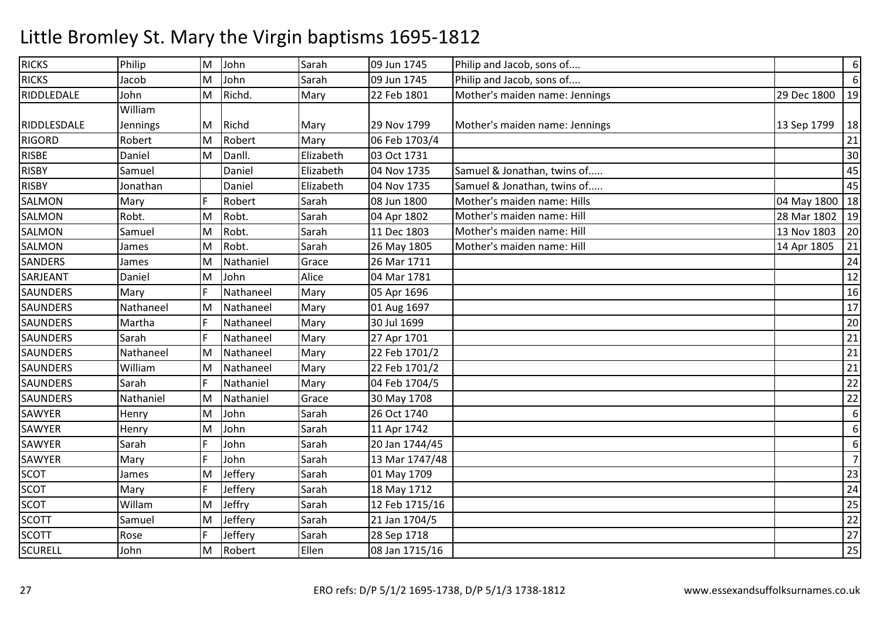| <b>RICKS</b>    | Philip    | M | John      | Sarah     | 09 Jun 1745    | Philip and Jacob, sons of      |                  | $\boldsymbol{6}$ |
|-----------------|-----------|---|-----------|-----------|----------------|--------------------------------|------------------|------------------|
| <b>RICKS</b>    | Jacob     | M | John      | Sarah     | 09 Jun 1745    | Philip and Jacob, sons of      |                  | $\boldsymbol{6}$ |
| RIDDLEDALE      | John      | M | Richd.    | Mary      | 22 Feb 1801    | Mother's maiden name: Jennings | 29 Dec 1800      | 19               |
|                 | William   |   |           |           |                |                                |                  |                  |
| RIDDLESDALE     | Jennings  | M | Richd     | Mary      | 29 Nov 1799    | Mother's maiden name: Jennings | 13 Sep 1799      | 18               |
| <b>RIGORD</b>   | Robert    | M | Robert    | Mary      | 06 Feb 1703/4  |                                |                  | 21               |
| <b>RISBE</b>    | Daniel    | M | Danll.    | Elizabeth | 03 Oct 1731    |                                |                  | 30               |
| <b>RISBY</b>    | Samuel    |   | Daniel    | Elizabeth | 04 Nov 1735    | Samuel & Jonathan, twins of    |                  | 45               |
| <b>RISBY</b>    | Jonathan  |   | Daniel    | Elizabeth | 04 Nov 1735    | Samuel & Jonathan, twins of    |                  | 45               |
| <b>SALMON</b>   | Mary      | F | Robert    | Sarah     | 08 Jun 1800    | Mother's maiden name: Hills    | 04 May 1800   18 |                  |
| SALMON          | Robt.     | M | Robt.     | Sarah     | 04 Apr 1802    | Mother's maiden name: Hill     | 28 Mar 1802      | 19               |
| SALMON          | Samuel    | M | Robt.     | Sarah     | 11 Dec 1803    | Mother's maiden name: Hill     | 13 Nov 1803      | 20               |
| SALMON          | James     | M | Robt.     | Sarah     | 26 May 1805    | Mother's maiden name: Hill     | 14 Apr 1805      | 21               |
| <b>SANDERS</b>  | James     | M | Nathaniel | Grace     | 26 Mar 1711    |                                |                  | 24               |
| SARJEANT        | Daniel    | M | John      | Alice     | 04 Mar 1781    |                                |                  | 12               |
| <b>SAUNDERS</b> | Mary      | F | Nathaneel | Mary      | 05 Apr 1696    |                                |                  | 16               |
| <b>SAUNDERS</b> | Nathaneel | M | Nathaneel | Mary      | 01 Aug 1697    |                                |                  | 17               |
| <b>SAUNDERS</b> | Martha    | F | Nathaneel | Mary      | 30 Jul 1699    |                                |                  | 20               |
| <b>SAUNDERS</b> | Sarah     | F | Nathaneel | Mary      | 27 Apr 1701    |                                |                  | 21               |
| <b>SAUNDERS</b> | Nathaneel | M | Nathaneel | Mary      | 22 Feb 1701/2  |                                |                  | 21               |
| <b>SAUNDERS</b> | William   | M | Nathaneel | Mary      | 22 Feb 1701/2  |                                |                  | 21               |
| <b>SAUNDERS</b> | Sarah     | F | Nathaniel | Mary      | 04 Feb 1704/5  |                                |                  | 22               |
| <b>SAUNDERS</b> | Nathaniel | M | Nathaniel | Grace     | 30 May 1708    |                                |                  | 22               |
| SAWYER          | Henry     | M | John      | Sarah     | 26 Oct 1740    |                                |                  | 6                |
| <b>SAWYER</b>   | Henry     | M | John      | Sarah     | 11 Apr 1742    |                                |                  | 6                |
| <b>SAWYER</b>   | Sarah     | F | John      | Sarah     | 20 Jan 1744/45 |                                |                  | 6                |
| SAWYER          | Mary      | F | John      | Sarah     | 13 Mar 1747/48 |                                |                  | $\overline{7}$   |
| <b>SCOT</b>     | James     | M | Jeffery   | Sarah     | 01 May 1709    |                                |                  | 23               |
| <b>SCOT</b>     | Mary      | F | Jeffery   | Sarah     | 18 May 1712    |                                |                  | 24               |
| <b>SCOT</b>     | Willam    | M | Jeffry    | Sarah     | 12 Feb 1715/16 |                                |                  | 25               |
| <b>SCOTT</b>    | Samuel    | M | Jeffery   | Sarah     | 21 Jan 1704/5  |                                |                  | 22               |
| <b>SCOTT</b>    | Rose      | F | Jeffery   | Sarah     | 28 Sep 1718    |                                |                  | 27               |
| <b>SCURELL</b>  | John      | M | Robert    | Ellen     | 08 Jan 1715/16 |                                |                  | 25               |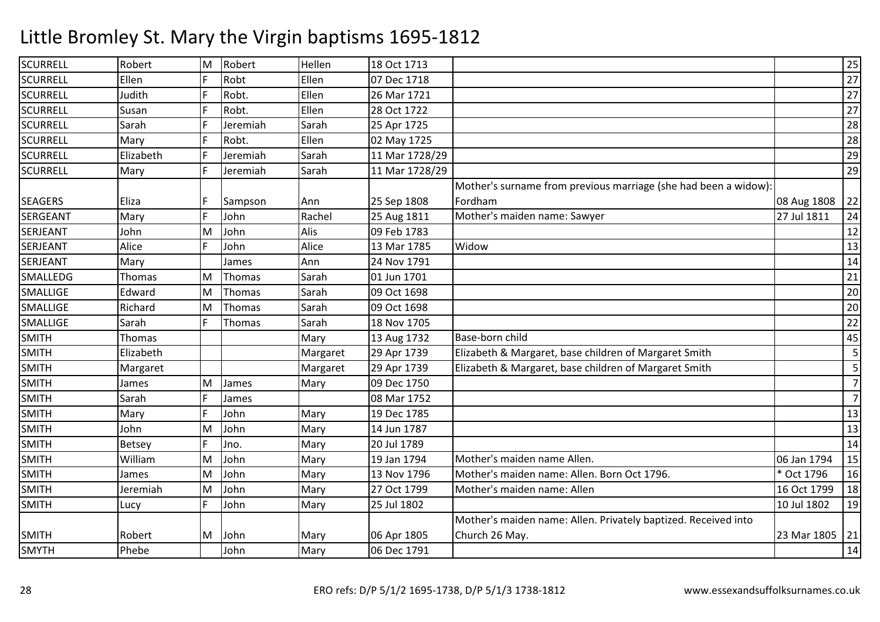| Robt<br>Ellen<br><b>SCURRELL</b><br>Ellen<br>07 Dec 1718<br><b>SCURRELL</b><br>Robt.<br>Ellen<br>Judith<br>F<br>26 Mar 1721<br><b>SCURRELL</b><br>F<br>Robt.<br>Ellen<br>28 Oct 1722<br>Susan<br>Jeremiah<br><b>SCURRELL</b><br>Sarah<br>Sarah<br>25 Apr 1725<br>F<br>Robt.<br>Ellen<br><b>SCURRELL</b><br>02 May 1725<br>Mary<br><b>SCURRELL</b><br>F<br>Sarah<br>Elizabeth<br>Jeremiah<br>11 Mar 1728/29<br>F<br>Sarah<br><b>SCURRELL</b><br>Jeremiah<br>11 Mar 1728/29<br>Mary<br>Mother's surname from previous marriage (she had been a widow):<br>F<br><b>SEAGERS</b><br>Eliza<br>25 Sep 1808<br>Fordham<br>08 Aug 1808<br>Sampson<br>Ann<br>Mother's maiden name: Sawyer<br>Rachel<br>27 Jul 1811<br><b>SERGEANT</b><br>F<br>25 Aug 1811<br>Mary<br>John<br>Alis<br>John<br>John<br>09 Feb 1783<br>SERJEANT<br>M<br>F<br><b>SERJEANT</b><br>Alice<br>John<br>Alice<br>13 Mar 1785<br>Widow<br><b>SERJEANT</b><br>Mary<br>Ann<br>24 Nov 1791<br>James<br>Sarah<br>SMALLEDG<br>Thomas<br>01 Jun 1701<br>M<br>Thomas<br>Sarah<br><b>SMALLIGE</b><br>Edward<br>Thomas<br>09 Oct 1698<br>M<br>SMALLIGE<br>09 Oct 1698<br>Richard<br>M<br>Thomas<br>Sarah<br>F<br><b>SMALLIGE</b><br>Sarah<br>Thomas<br>Sarah<br>18 Nov 1705<br>Base-born child<br><b>SMITH</b><br>Thomas<br>Mary<br>13 Aug 1732<br><b>SMITH</b><br>Elizabeth<br>Elizabeth & Margaret, base children of Margaret Smith<br>29 Apr 1739<br>Margaret<br><b>SMITH</b><br>Elizabeth & Margaret, base children of Margaret Smith<br>Margaret<br>29 Apr 1739<br>Margaret<br><b>SMITH</b><br>Mary<br>09 Dec 1750<br>M<br>James<br>James<br>F<br><b>SMITH</b><br>08 Mar 1752<br>Sarah<br>James<br><b>SMITH</b><br>F<br>John<br>Mary<br>19 Dec 1785<br>Mary<br><b>SMITH</b><br>John<br>Mary<br>14 Jun 1787<br>John<br>M<br><b>SMITH</b><br>F<br>20 Jul 1789<br>Betsey<br>Mary<br>Jno.<br><b>SMITH</b><br>Mary<br>19 Jan 1794<br>Mother's maiden name Allen.<br>06 Jan 1794<br>William<br>M<br>John<br><b>SMITH</b><br>John<br>13 Nov 1796<br>Mother's maiden name: Allen. Born Oct 1796.<br>* Oct 1796<br>M<br>Mary<br>James<br><b>SMITH</b><br>John<br>M<br>Mary<br>27 Oct 1799<br>Mother's maiden name: Allen<br>16 Oct 1799<br>Jeremiah<br>F<br><b>SMITH</b><br>John<br>Mary<br>25 Jul 1802<br>10 Jul 1802<br>Lucy<br>Mother's maiden name: Allen. Privately baptized. Received into<br>06 Apr 1805<br><b>SMITH</b><br>Robert<br>John<br>Church 26 May.<br>23 Mar 1805   21<br>Mary<br>M<br><b>SMYTH</b><br>Phebe<br>John<br>Mary<br>06 Dec 1791 | SCURRELL | Robert | M | Robert | Hellen | 18 Oct 1713 |  | 25              |
|------------------------------------------------------------------------------------------------------------------------------------------------------------------------------------------------------------------------------------------------------------------------------------------------------------------------------------------------------------------------------------------------------------------------------------------------------------------------------------------------------------------------------------------------------------------------------------------------------------------------------------------------------------------------------------------------------------------------------------------------------------------------------------------------------------------------------------------------------------------------------------------------------------------------------------------------------------------------------------------------------------------------------------------------------------------------------------------------------------------------------------------------------------------------------------------------------------------------------------------------------------------------------------------------------------------------------------------------------------------------------------------------------------------------------------------------------------------------------------------------------------------------------------------------------------------------------------------------------------------------------------------------------------------------------------------------------------------------------------------------------------------------------------------------------------------------------------------------------------------------------------------------------------------------------------------------------------------------------------------------------------------------------------------------------------------------------------------------------------------------------------------------------------------------------------------------------------------------------------------------------------------------------------------------------------------------------------------------------------------------------------------------------------------------------------------------------------------------------------------------------------|----------|--------|---|--------|--------|-------------|--|-----------------|
|                                                                                                                                                                                                                                                                                                                                                                                                                                                                                                                                                                                                                                                                                                                                                                                                                                                                                                                                                                                                                                                                                                                                                                                                                                                                                                                                                                                                                                                                                                                                                                                                                                                                                                                                                                                                                                                                                                                                                                                                                                                                                                                                                                                                                                                                                                                                                                                                                                                                                                            |          |        |   |        |        |             |  | $\overline{27}$ |
|                                                                                                                                                                                                                                                                                                                                                                                                                                                                                                                                                                                                                                                                                                                                                                                                                                                                                                                                                                                                                                                                                                                                                                                                                                                                                                                                                                                                                                                                                                                                                                                                                                                                                                                                                                                                                                                                                                                                                                                                                                                                                                                                                                                                                                                                                                                                                                                                                                                                                                            |          |        |   |        |        |             |  | 27              |
|                                                                                                                                                                                                                                                                                                                                                                                                                                                                                                                                                                                                                                                                                                                                                                                                                                                                                                                                                                                                                                                                                                                                                                                                                                                                                                                                                                                                                                                                                                                                                                                                                                                                                                                                                                                                                                                                                                                                                                                                                                                                                                                                                                                                                                                                                                                                                                                                                                                                                                            |          |        |   |        |        |             |  | 27              |
|                                                                                                                                                                                                                                                                                                                                                                                                                                                                                                                                                                                                                                                                                                                                                                                                                                                                                                                                                                                                                                                                                                                                                                                                                                                                                                                                                                                                                                                                                                                                                                                                                                                                                                                                                                                                                                                                                                                                                                                                                                                                                                                                                                                                                                                                                                                                                                                                                                                                                                            |          |        |   |        |        |             |  | 28              |
|                                                                                                                                                                                                                                                                                                                                                                                                                                                                                                                                                                                                                                                                                                                                                                                                                                                                                                                                                                                                                                                                                                                                                                                                                                                                                                                                                                                                                                                                                                                                                                                                                                                                                                                                                                                                                                                                                                                                                                                                                                                                                                                                                                                                                                                                                                                                                                                                                                                                                                            |          |        |   |        |        |             |  | 28              |
|                                                                                                                                                                                                                                                                                                                                                                                                                                                                                                                                                                                                                                                                                                                                                                                                                                                                                                                                                                                                                                                                                                                                                                                                                                                                                                                                                                                                                                                                                                                                                                                                                                                                                                                                                                                                                                                                                                                                                                                                                                                                                                                                                                                                                                                                                                                                                                                                                                                                                                            |          |        |   |        |        |             |  | 29              |
|                                                                                                                                                                                                                                                                                                                                                                                                                                                                                                                                                                                                                                                                                                                                                                                                                                                                                                                                                                                                                                                                                                                                                                                                                                                                                                                                                                                                                                                                                                                                                                                                                                                                                                                                                                                                                                                                                                                                                                                                                                                                                                                                                                                                                                                                                                                                                                                                                                                                                                            |          |        |   |        |        |             |  | 29              |
|                                                                                                                                                                                                                                                                                                                                                                                                                                                                                                                                                                                                                                                                                                                                                                                                                                                                                                                                                                                                                                                                                                                                                                                                                                                                                                                                                                                                                                                                                                                                                                                                                                                                                                                                                                                                                                                                                                                                                                                                                                                                                                                                                                                                                                                                                                                                                                                                                                                                                                            |          |        |   |        |        |             |  |                 |
|                                                                                                                                                                                                                                                                                                                                                                                                                                                                                                                                                                                                                                                                                                                                                                                                                                                                                                                                                                                                                                                                                                                                                                                                                                                                                                                                                                                                                                                                                                                                                                                                                                                                                                                                                                                                                                                                                                                                                                                                                                                                                                                                                                                                                                                                                                                                                                                                                                                                                                            |          |        |   |        |        |             |  | 22              |
|                                                                                                                                                                                                                                                                                                                                                                                                                                                                                                                                                                                                                                                                                                                                                                                                                                                                                                                                                                                                                                                                                                                                                                                                                                                                                                                                                                                                                                                                                                                                                                                                                                                                                                                                                                                                                                                                                                                                                                                                                                                                                                                                                                                                                                                                                                                                                                                                                                                                                                            |          |        |   |        |        |             |  | 24              |
|                                                                                                                                                                                                                                                                                                                                                                                                                                                                                                                                                                                                                                                                                                                                                                                                                                                                                                                                                                                                                                                                                                                                                                                                                                                                                                                                                                                                                                                                                                                                                                                                                                                                                                                                                                                                                                                                                                                                                                                                                                                                                                                                                                                                                                                                                                                                                                                                                                                                                                            |          |        |   |        |        |             |  | 12              |
|                                                                                                                                                                                                                                                                                                                                                                                                                                                                                                                                                                                                                                                                                                                                                                                                                                                                                                                                                                                                                                                                                                                                                                                                                                                                                                                                                                                                                                                                                                                                                                                                                                                                                                                                                                                                                                                                                                                                                                                                                                                                                                                                                                                                                                                                                                                                                                                                                                                                                                            |          |        |   |        |        |             |  | 13              |
|                                                                                                                                                                                                                                                                                                                                                                                                                                                                                                                                                                                                                                                                                                                                                                                                                                                                                                                                                                                                                                                                                                                                                                                                                                                                                                                                                                                                                                                                                                                                                                                                                                                                                                                                                                                                                                                                                                                                                                                                                                                                                                                                                                                                                                                                                                                                                                                                                                                                                                            |          |        |   |        |        |             |  | 14              |
|                                                                                                                                                                                                                                                                                                                                                                                                                                                                                                                                                                                                                                                                                                                                                                                                                                                                                                                                                                                                                                                                                                                                                                                                                                                                                                                                                                                                                                                                                                                                                                                                                                                                                                                                                                                                                                                                                                                                                                                                                                                                                                                                                                                                                                                                                                                                                                                                                                                                                                            |          |        |   |        |        |             |  | 21              |
|                                                                                                                                                                                                                                                                                                                                                                                                                                                                                                                                                                                                                                                                                                                                                                                                                                                                                                                                                                                                                                                                                                                                                                                                                                                                                                                                                                                                                                                                                                                                                                                                                                                                                                                                                                                                                                                                                                                                                                                                                                                                                                                                                                                                                                                                                                                                                                                                                                                                                                            |          |        |   |        |        |             |  | 20              |
|                                                                                                                                                                                                                                                                                                                                                                                                                                                                                                                                                                                                                                                                                                                                                                                                                                                                                                                                                                                                                                                                                                                                                                                                                                                                                                                                                                                                                                                                                                                                                                                                                                                                                                                                                                                                                                                                                                                                                                                                                                                                                                                                                                                                                                                                                                                                                                                                                                                                                                            |          |        |   |        |        |             |  | 20              |
|                                                                                                                                                                                                                                                                                                                                                                                                                                                                                                                                                                                                                                                                                                                                                                                                                                                                                                                                                                                                                                                                                                                                                                                                                                                                                                                                                                                                                                                                                                                                                                                                                                                                                                                                                                                                                                                                                                                                                                                                                                                                                                                                                                                                                                                                                                                                                                                                                                                                                                            |          |        |   |        |        |             |  | 22              |
|                                                                                                                                                                                                                                                                                                                                                                                                                                                                                                                                                                                                                                                                                                                                                                                                                                                                                                                                                                                                                                                                                                                                                                                                                                                                                                                                                                                                                                                                                                                                                                                                                                                                                                                                                                                                                                                                                                                                                                                                                                                                                                                                                                                                                                                                                                                                                                                                                                                                                                            |          |        |   |        |        |             |  | 45              |
|                                                                                                                                                                                                                                                                                                                                                                                                                                                                                                                                                                                                                                                                                                                                                                                                                                                                                                                                                                                                                                                                                                                                                                                                                                                                                                                                                                                                                                                                                                                                                                                                                                                                                                                                                                                                                                                                                                                                                                                                                                                                                                                                                                                                                                                                                                                                                                                                                                                                                                            |          |        |   |        |        |             |  | 5               |
|                                                                                                                                                                                                                                                                                                                                                                                                                                                                                                                                                                                                                                                                                                                                                                                                                                                                                                                                                                                                                                                                                                                                                                                                                                                                                                                                                                                                                                                                                                                                                                                                                                                                                                                                                                                                                                                                                                                                                                                                                                                                                                                                                                                                                                                                                                                                                                                                                                                                                                            |          |        |   |        |        |             |  | 5               |
|                                                                                                                                                                                                                                                                                                                                                                                                                                                                                                                                                                                                                                                                                                                                                                                                                                                                                                                                                                                                                                                                                                                                                                                                                                                                                                                                                                                                                                                                                                                                                                                                                                                                                                                                                                                                                                                                                                                                                                                                                                                                                                                                                                                                                                                                                                                                                                                                                                                                                                            |          |        |   |        |        |             |  | $\overline{7}$  |
|                                                                                                                                                                                                                                                                                                                                                                                                                                                                                                                                                                                                                                                                                                                                                                                                                                                                                                                                                                                                                                                                                                                                                                                                                                                                                                                                                                                                                                                                                                                                                                                                                                                                                                                                                                                                                                                                                                                                                                                                                                                                                                                                                                                                                                                                                                                                                                                                                                                                                                            |          |        |   |        |        |             |  | $\overline{7}$  |
|                                                                                                                                                                                                                                                                                                                                                                                                                                                                                                                                                                                                                                                                                                                                                                                                                                                                                                                                                                                                                                                                                                                                                                                                                                                                                                                                                                                                                                                                                                                                                                                                                                                                                                                                                                                                                                                                                                                                                                                                                                                                                                                                                                                                                                                                                                                                                                                                                                                                                                            |          |        |   |        |        |             |  | 13              |
|                                                                                                                                                                                                                                                                                                                                                                                                                                                                                                                                                                                                                                                                                                                                                                                                                                                                                                                                                                                                                                                                                                                                                                                                                                                                                                                                                                                                                                                                                                                                                                                                                                                                                                                                                                                                                                                                                                                                                                                                                                                                                                                                                                                                                                                                                                                                                                                                                                                                                                            |          |        |   |        |        |             |  | 13              |
|                                                                                                                                                                                                                                                                                                                                                                                                                                                                                                                                                                                                                                                                                                                                                                                                                                                                                                                                                                                                                                                                                                                                                                                                                                                                                                                                                                                                                                                                                                                                                                                                                                                                                                                                                                                                                                                                                                                                                                                                                                                                                                                                                                                                                                                                                                                                                                                                                                                                                                            |          |        |   |        |        |             |  | 14              |
|                                                                                                                                                                                                                                                                                                                                                                                                                                                                                                                                                                                                                                                                                                                                                                                                                                                                                                                                                                                                                                                                                                                                                                                                                                                                                                                                                                                                                                                                                                                                                                                                                                                                                                                                                                                                                                                                                                                                                                                                                                                                                                                                                                                                                                                                                                                                                                                                                                                                                                            |          |        |   |        |        |             |  | 15              |
|                                                                                                                                                                                                                                                                                                                                                                                                                                                                                                                                                                                                                                                                                                                                                                                                                                                                                                                                                                                                                                                                                                                                                                                                                                                                                                                                                                                                                                                                                                                                                                                                                                                                                                                                                                                                                                                                                                                                                                                                                                                                                                                                                                                                                                                                                                                                                                                                                                                                                                            |          |        |   |        |        |             |  | 16              |
|                                                                                                                                                                                                                                                                                                                                                                                                                                                                                                                                                                                                                                                                                                                                                                                                                                                                                                                                                                                                                                                                                                                                                                                                                                                                                                                                                                                                                                                                                                                                                                                                                                                                                                                                                                                                                                                                                                                                                                                                                                                                                                                                                                                                                                                                                                                                                                                                                                                                                                            |          |        |   |        |        |             |  | 18              |
|                                                                                                                                                                                                                                                                                                                                                                                                                                                                                                                                                                                                                                                                                                                                                                                                                                                                                                                                                                                                                                                                                                                                                                                                                                                                                                                                                                                                                                                                                                                                                                                                                                                                                                                                                                                                                                                                                                                                                                                                                                                                                                                                                                                                                                                                                                                                                                                                                                                                                                            |          |        |   |        |        |             |  | 19              |
|                                                                                                                                                                                                                                                                                                                                                                                                                                                                                                                                                                                                                                                                                                                                                                                                                                                                                                                                                                                                                                                                                                                                                                                                                                                                                                                                                                                                                                                                                                                                                                                                                                                                                                                                                                                                                                                                                                                                                                                                                                                                                                                                                                                                                                                                                                                                                                                                                                                                                                            |          |        |   |        |        |             |  |                 |
|                                                                                                                                                                                                                                                                                                                                                                                                                                                                                                                                                                                                                                                                                                                                                                                                                                                                                                                                                                                                                                                                                                                                                                                                                                                                                                                                                                                                                                                                                                                                                                                                                                                                                                                                                                                                                                                                                                                                                                                                                                                                                                                                                                                                                                                                                                                                                                                                                                                                                                            |          |        |   |        |        |             |  |                 |
|                                                                                                                                                                                                                                                                                                                                                                                                                                                                                                                                                                                                                                                                                                                                                                                                                                                                                                                                                                                                                                                                                                                                                                                                                                                                                                                                                                                                                                                                                                                                                                                                                                                                                                                                                                                                                                                                                                                                                                                                                                                                                                                                                                                                                                                                                                                                                                                                                                                                                                            |          |        |   |        |        |             |  | 14              |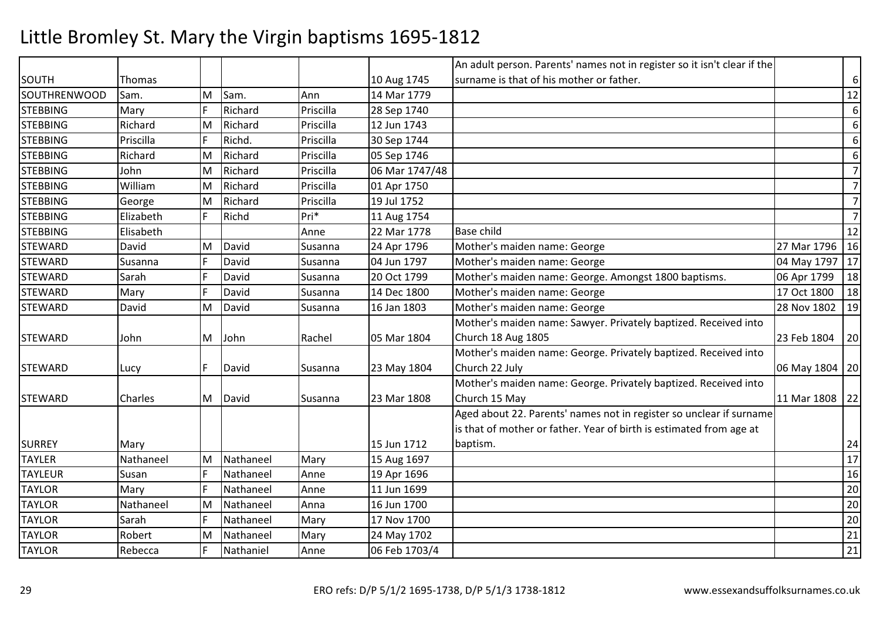|                     |                |     |           |           |                | An adult person. Parents' names not in register so it isn't clear if the |                  |                  |
|---------------------|----------------|-----|-----------|-----------|----------------|--------------------------------------------------------------------------|------------------|------------------|
| <b>SOUTH</b>        | Thomas         |     |           |           | 10 Aug 1745    | surname is that of his mother or father.                                 |                  | $6\,$            |
| <b>SOUTHRENWOOD</b> | Sam.           | M   | Sam.      | Ann       | 14 Mar 1779    |                                                                          |                  | $12\,$           |
| <b>STEBBING</b>     | Mary           | F   | Richard   | Priscilla | 28 Sep 1740    |                                                                          |                  | 6                |
| <b>STEBBING</b>     | Richard        | M   | Richard   | Priscilla | 12 Jun 1743    |                                                                          |                  | $6\,$            |
| <b>STEBBING</b>     | Priscilla      | F   | Richd.    | Priscilla | 30 Sep 1744    |                                                                          |                  | $6\,$            |
| <b>STEBBING</b>     | Richard        | M   | Richard   | Priscilla | 05 Sep 1746    |                                                                          |                  | $\boldsymbol{6}$ |
| <b>STEBBING</b>     | John           | M   | Richard   | Priscilla | 06 Mar 1747/48 |                                                                          |                  | $\overline{7}$   |
| <b>STEBBING</b>     | William        | M   | Richard   | Priscilla | 01 Apr 1750    |                                                                          |                  | $\overline{7}$   |
| <b>STEBBING</b>     | George         | M   | Richard   | Priscilla | 19 Jul 1752    |                                                                          |                  | $\overline{7}$   |
| <b>STEBBING</b>     | Elizabeth      | l F | Richd     | Pri*      | 11 Aug 1754    |                                                                          |                  | $\overline{7}$   |
| <b>STEBBING</b>     | Elisabeth      |     |           | Anne      | 22 Mar 1778    | <b>Base child</b>                                                        |                  | 12               |
| <b>STEWARD</b>      | David          | M   | David     | Susanna   | 24 Apr 1796    | Mother's maiden name: George                                             | 27 Mar 1796      | 16               |
| <b>STEWARD</b>      | Susanna        | F   | David     | Susanna   | 04 Jun 1797    | Mother's maiden name: George                                             | 04 May 1797      | 17               |
| <b>STEWARD</b>      | Sarah          | F   | David     | Susanna   | 20 Oct 1799    | Mother's maiden name: George. Amongst 1800 baptisms.                     | 06 Apr 1799      | 18               |
| <b>STEWARD</b>      | Mary           | F   | David     | Susanna   | 14 Dec 1800    | Mother's maiden name: George                                             | 17 Oct 1800      | 18               |
| <b>STEWARD</b>      | David          | M   | David     | Susanna   | 16 Jan 1803    | Mother's maiden name: George                                             | 28 Nov 1802      | 19               |
|                     |                |     |           |           |                | Mother's maiden name: Sawyer. Privately baptized. Received into          |                  |                  |
| <b>STEWARD</b>      | John           | M   | John      | Rachel    | 05 Mar 1804    | Church 18 Aug 1805                                                       | 23 Feb 1804      | 20               |
|                     |                |     |           |           |                | Mother's maiden name: George. Privately baptized. Received into          |                  |                  |
| <b>STEWARD</b>      | Lucy           | IF. | David     | Susanna   | 23 May 1804    | Church 22 July                                                           | 06 May 1804   20 |                  |
|                     |                |     |           |           |                | Mother's maiden name: George. Privately baptized. Received into          |                  |                  |
| <b>STEWARD</b>      | <b>Charles</b> | M   | David     | Susanna   | 23 Mar 1808    | Church 15 May                                                            | 11 Mar 1808      | 22               |
|                     |                |     |           |           |                | Aged about 22. Parents' names not in register so unclear if surname      |                  |                  |
|                     |                |     |           |           |                | is that of mother or father. Year of birth is estimated from age at      |                  |                  |
| <b>SURREY</b>       | Mary           |     |           |           | 15 Jun 1712    | baptism.                                                                 |                  | 24               |
| <b>TAYLER</b>       | Nathaneel      | M   | Nathaneel | Mary      | 15 Aug 1697    |                                                                          |                  | 17               |
| <b>TAYLEUR</b>      | Susan          | F   | Nathaneel | Anne      | 19 Apr 1696    |                                                                          |                  | 16               |
| <b>TAYLOR</b>       | Mary           | F   | Nathaneel | Anne      | 11 Jun 1699    |                                                                          |                  | 20               |
| <b>TAYLOR</b>       | Nathaneel      | M   | Nathaneel | Anna      | 16 Jun 1700    |                                                                          |                  | 20               |
| <b>TAYLOR</b>       | Sarah          | F   | Nathaneel | Mary      | 17 Nov 1700    |                                                                          |                  | 20               |
| <b>TAYLOR</b>       | Robert         | M   | Nathaneel | Mary      | 24 May 1702    |                                                                          |                  | 21               |
| <b>TAYLOR</b>       | Rebecca        | F   | Nathaniel | Anne      | 06 Feb 1703/4  |                                                                          |                  | $21\,$           |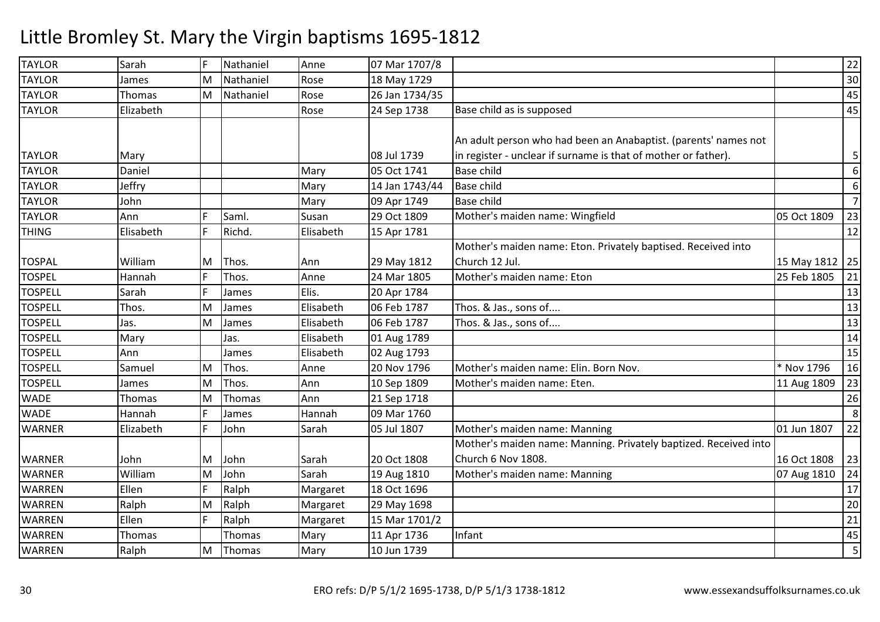| <b>TAYLOR</b>  | Sarah     | F  | Nathaniel | Anne      | 07 Mar 1707/8  |                                                                  |                  | 22             |
|----------------|-----------|----|-----------|-----------|----------------|------------------------------------------------------------------|------------------|----------------|
| <b>TAYLOR</b>  | James     | ΙM | Nathaniel | Rose      | 18 May 1729    |                                                                  |                  | 30             |
| <b>TAYLOR</b>  | Thomas    | M  | Nathaniel | Rose      | 26 Jan 1734/35 |                                                                  |                  | 45             |
| <b>TAYLOR</b>  | Elizabeth |    |           | Rose      | 24 Sep 1738    | Base child as is supposed                                        |                  | 45             |
|                |           |    |           |           |                |                                                                  |                  |                |
|                |           |    |           |           |                | An adult person who had been an Anabaptist. (parents' names not  |                  |                |
| <b>TAYLOR</b>  | Mary      |    |           |           | 08 Jul 1739    | in register - unclear if surname is that of mother or father).   |                  | 5              |
| <b>TAYLOR</b>  | Daniel    |    |           | Mary      | 05 Oct 1741    | <b>Base child</b>                                                |                  | 6              |
| <b>TAYLOR</b>  | Jeffry    |    |           | Mary      | 14 Jan 1743/44 | <b>Base child</b>                                                |                  | 6              |
| <b>TAYLOR</b>  | John      |    |           | Mary      | 09 Apr 1749    | <b>Base child</b>                                                |                  | $\overline{7}$ |
| <b>TAYLOR</b>  | Ann       | F  | Saml.     | Susan     | 29 Oct 1809    | Mother's maiden name: Wingfield                                  | 05 Oct 1809      | 23             |
| <b>THING</b>   | Elisabeth | F  | Richd.    | Elisabeth | 15 Apr 1781    |                                                                  |                  | 12             |
|                |           |    |           |           |                | Mother's maiden name: Eton. Privately baptised. Received into    |                  |                |
| <b>TOSPAL</b>  | William   | ΙM | Thos.     | Ann       | 29 May 1812    | Church 12 Jul.                                                   | 15 May 1812   25 |                |
| <b>TOSPEL</b>  | Hannah    | F  | Thos.     | Anne      | 24 Mar 1805    | Mother's maiden name: Eton                                       | 25 Feb 1805      | 21             |
| <b>TOSPELL</b> | Sarah     | F  | James     | Elis.     | 20 Apr 1784    |                                                                  |                  | 13             |
| <b>TOSPELL</b> | Thos.     | M  | James     | Elisabeth | 06 Feb 1787    | Thos. & Jas., sons of                                            |                  | 13             |
| <b>TOSPELL</b> | Jas.      | M  | James     | Elisabeth | 06 Feb 1787    | Thos. & Jas., sons of                                            |                  | 13             |
| <b>TOSPELL</b> | Mary      |    | Jas.      | Elisabeth | 01 Aug 1789    |                                                                  |                  | 14             |
| <b>TOSPELL</b> | Ann       |    | James     | Elisabeth | 02 Aug 1793    |                                                                  |                  | 15             |
| <b>TOSPELL</b> | Samuel    | ΙM | Thos.     | Anne      | 20 Nov 1796    | Mother's maiden name: Elin. Born Nov.                            | * Nov 1796       | 16             |
| <b>TOSPELL</b> | James     | M  | Thos.     | Ann       | 10 Sep 1809    | Mother's maiden name: Eten.                                      | 11 Aug 1809      | 23             |
| <b>WADE</b>    | Thomas    | M  | Thomas    | Ann       | 21 Sep 1718    |                                                                  |                  | 26             |
| <b>WADE</b>    | Hannah    | F  | James     | Hannah    | 09 Mar 1760    |                                                                  |                  | 8              |
| <b>WARNER</b>  | Elizabeth | F  | John      | Sarah     | 05 Jul 1807    | Mother's maiden name: Manning                                    | 01 Jun 1807      | 22             |
|                |           |    |           |           |                | Mother's maiden name: Manning. Privately baptized. Received into |                  |                |
| <b>WARNER</b>  | John      | M  | John      | Sarah     | 20 Oct 1808    | Church 6 Nov 1808.                                               | 16 Oct 1808      | 23             |
| <b>WARNER</b>  | William   | M  | John      | Sarah     | 19 Aug 1810    | Mother's maiden name: Manning                                    | 07 Aug 1810      | 24             |
| <b>WARREN</b>  | Ellen     | F  | Ralph     | Margaret  | 18 Oct 1696    |                                                                  |                  | 17             |
| <b>WARREN</b>  | Ralph     | M  | Ralph     | Margaret  | 29 May 1698    |                                                                  |                  | 20             |
| <b>WARREN</b>  | Ellen     | F. | Ralph     | Margaret  | 15 Mar 1701/2  |                                                                  |                  | 21             |
| <b>WARREN</b>  | Thomas    |    | Thomas    | Mary      | 11 Apr 1736    | Infant                                                           |                  | 45             |
| <b>WARREN</b>  | Ralph     | M  | Thomas    | Mary      | 10 Jun 1739    |                                                                  |                  | 5              |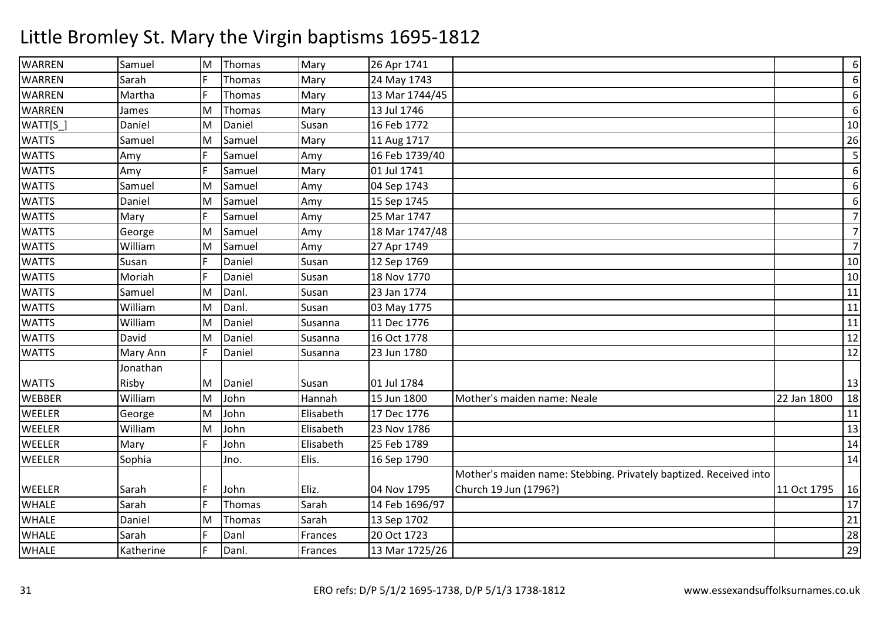| <b>WARREN</b> | Samuel    | M | Thomas | Mary      | 26 Apr 1741    |                                                                   |             | $6 \mid$       |
|---------------|-----------|---|--------|-----------|----------------|-------------------------------------------------------------------|-------------|----------------|
| <b>WARREN</b> | Sarah     | F | Thomas | Mary      | 24 May 1743    |                                                                   |             | $6 \mid$       |
| <b>WARREN</b> | Martha    | F | Thomas | Mary      | 13 Mar 1744/45 |                                                                   |             | 6              |
| WARREN        | James     | M | Thomas | Mary      | 13 Jul 1746    |                                                                   |             | $6\,$          |
| WATT[S_       | Daniel    | M | Daniel | Susan     | 16 Feb 1772    |                                                                   |             | 10             |
| <b>WATTS</b>  | Samuel    | M | Samuel | Mary      | 11 Aug 1717    |                                                                   |             | 26             |
| <b>WATTS</b>  | Amy       | F | Samuel | Amy       | 16 Feb 1739/40 |                                                                   |             | 5              |
| <b>WATTS</b>  | Amy       | F | Samuel | Mary      | 01 Jul 1741    |                                                                   |             | 6              |
| <b>WATTS</b>  | Samuel    | M | Samuel | Amy       | 04 Sep 1743    |                                                                   |             | $6 \mid$       |
| <b>WATTS</b>  | Daniel    | M | Samuel | Amy       | 15 Sep 1745    |                                                                   |             | $6 \mid$       |
| <b>WATTS</b>  | Mary      | F | Samuel | Amy       | 25 Mar 1747    |                                                                   |             | $\overline{7}$ |
| <b>WATTS</b>  | George    | M | Samuel | Amy       | 18 Mar 1747/48 |                                                                   |             | $\overline{7}$ |
| <b>WATTS</b>  | William   | M | Samuel | Amy       | 27 Apr 1749    |                                                                   |             | $\overline{7}$ |
| <b>WATTS</b>  | Susan     | F | Daniel | Susan     | 12 Sep 1769    |                                                                   |             | 10             |
| <b>WATTS</b>  | Moriah    | F | Daniel | Susan     | 18 Nov 1770    |                                                                   |             | 10             |
| <b>WATTS</b>  | Samuel    | M | Danl.  | Susan     | 23 Jan 1774    |                                                                   |             | 11             |
| <b>WATTS</b>  | William   | M | Danl.  | Susan     | 03 May 1775    |                                                                   |             | 11             |
| <b>WATTS</b>  | William   | M | Daniel | Susanna   | 11 Dec 1776    |                                                                   |             | 11             |
| <b>WATTS</b>  | David     | M | Daniel | Susanna   | 16 Oct 1778    |                                                                   |             | 12             |
| <b>WATTS</b>  | Mary Ann  | F | Daniel | Susanna   | 23 Jun 1780    |                                                                   |             | 12             |
|               | Jonathan  |   |        |           |                |                                                                   |             |                |
| <b>WATTS</b>  | Risby     | M | Daniel | Susan     | 01 Jul 1784    |                                                                   |             | 13             |
| <b>WEBBER</b> | William   | M | John   | Hannah    | 15 Jun 1800    | Mother's maiden name: Neale                                       | 22 Jan 1800 | 18             |
| WEELER        | George    | M | John   | Elisabeth | 17 Dec 1776    |                                                                   |             | 11             |
| WEELER        | William   | M | John   | Elisabeth | 23 Nov 1786    |                                                                   |             | 13             |
| WEELER        | Mary      | F | John   | Elisabeth | 25 Feb 1789    |                                                                   |             | 14             |
| WEELER        | Sophia    |   | Jno.   | Elis.     | 16 Sep 1790    |                                                                   |             | 14             |
|               |           |   |        |           |                | Mother's maiden name: Stebbing. Privately baptized. Received into |             |                |
| WEELER        | Sarah     | F | John   | Eliz.     | 04 Nov 1795    | Church 19 Jun (1796?)                                             | 11 Oct 1795 | 16             |
| <b>WHALE</b>  | Sarah     | F | Thomas | Sarah     | 14 Feb 1696/97 |                                                                   |             | 17             |
| <b>WHALE</b>  | Daniel    | M | Thomas | Sarah     | 13 Sep 1702    |                                                                   |             | 21             |
| <b>WHALE</b>  | Sarah     | F | Danl   | Frances   | 20 Oct 1723    |                                                                   |             | 28             |
| <b>WHALE</b>  | Katherine | F | Danl.  | Frances   | 13 Mar 1725/26 |                                                                   |             | 29             |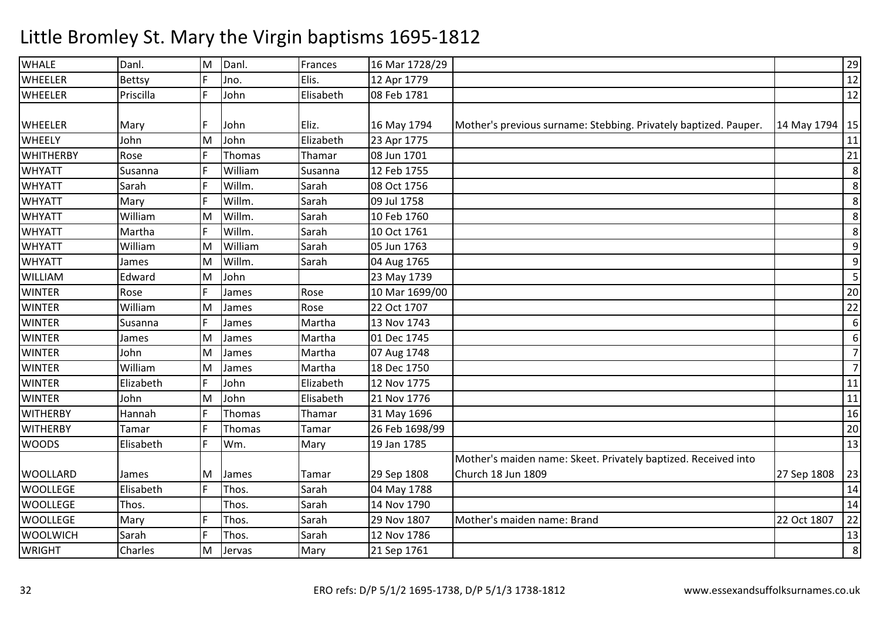| <b>WHALE</b>     | Danl.     | M | Danl.   | Frances   | 16 Mar 1728/29 |                                                                  |                  | 29             |
|------------------|-----------|---|---------|-----------|----------------|------------------------------------------------------------------|------------------|----------------|
| <b>WHEELER</b>   | Bettsy    | F | Jno.    | Elis.     | 12 Apr 1779    |                                                                  |                  | 12             |
| WHEELER          | Priscilla | E | John    | Elisabeth | 08 Feb 1781    |                                                                  |                  | 12             |
|                  |           |   |         |           |                |                                                                  |                  |                |
| WHEELER          | Mary      | F | John    | Eliz.     | 16 May 1794    | Mother's previous surname: Stebbing. Privately baptized. Pauper. | 14 May 1794   15 |                |
| <b>WHEELY</b>    | John      | M | John    | Elizabeth | 23 Apr 1775    |                                                                  |                  | 11             |
| <b>WHITHERBY</b> | Rose      | F | Thomas  | Thamar    | 08 Jun 1701    |                                                                  |                  | 21             |
| <b>WHYATT</b>    | Susanna   | F | William | Susanna   | 12 Feb 1755    |                                                                  |                  | 8              |
| <b>WHYATT</b>    | Sarah     |   | Willm.  | Sarah     | 08 Oct 1756    |                                                                  |                  | 8              |
| <b>WHYATT</b>    | Mary      | F | Willm.  | Sarah     | 09 Jul 1758    |                                                                  |                  | 8              |
| <b>WHYATT</b>    | William   | M | Willm.  | Sarah     | 10 Feb 1760    |                                                                  |                  | 8              |
| <b>WHYATT</b>    | Martha    | F | Willm.  | Sarah     | 10 Oct 1761    |                                                                  |                  | 8              |
| <b>WHYATT</b>    | William   | M | William | Sarah     | 05 Jun 1763    |                                                                  |                  | 9              |
| <b>WHYATT</b>    | James     | M | Willm.  | Sarah     | 04 Aug 1765    |                                                                  |                  | 9              |
| WILLIAM          | Edward    | M | John    |           | 23 May 1739    |                                                                  |                  | 5              |
| <b>WINTER</b>    | Rose      | F | James   | Rose      | 10 Mar 1699/00 |                                                                  |                  | 20             |
| <b>WINTER</b>    | William   | M | James   | Rose      | 22 Oct 1707    |                                                                  |                  | 22             |
| <b>WINTER</b>    | Susanna   | F | James   | Martha    | 13 Nov 1743    |                                                                  |                  | 6              |
| <b>WINTER</b>    | James     | M | James   | Martha    | 01 Dec 1745    |                                                                  |                  | 6              |
| <b>WINTER</b>    | John      | M | James   | Martha    | 07 Aug 1748    |                                                                  |                  | $\overline{7}$ |
| <b>WINTER</b>    | William   | M | James   | Martha    | 18 Dec 1750    |                                                                  |                  | $\overline{7}$ |
| <b>WINTER</b>    | Elizabeth | F | John    | Elizabeth | 12 Nov 1775    |                                                                  |                  | 11             |
| <b>WINTER</b>    | John      | M | John    | Elisabeth | 21 Nov 1776    |                                                                  |                  | 11             |
| <b>WITHERBY</b>  | Hannah    | F | Thomas  | Thamar    | 31 May 1696    |                                                                  |                  | 16             |
| <b>WITHERBY</b>  | Tamar     | F | Thomas  | Tamar     | 26 Feb 1698/99 |                                                                  |                  | 20             |
| <b>WOODS</b>     | Elisabeth | E | Wm.     | Mary      | 19 Jan 1785    |                                                                  |                  | 13             |
|                  |           |   |         |           |                | Mother's maiden name: Skeet. Privately baptized. Received into   |                  |                |
| <b>WOOLLARD</b>  | James     | M | James   | Tamar     | 29 Sep 1808    | Church 18 Jun 1809                                               | 27 Sep 1808      | 23             |
| <b>WOOLLEGE</b>  | Elisabeth | F | Thos.   | Sarah     | 04 May 1788    |                                                                  |                  | 14             |
| <b>WOOLLEGE</b>  | Thos.     |   | Thos.   | Sarah     | 14 Nov 1790    |                                                                  |                  | 14             |
| <b>WOOLLEGE</b>  | Mary      | E | Thos.   | Sarah     | 29 Nov 1807    | Mother's maiden name: Brand                                      | 22 Oct 1807      | 22             |
| <b>WOOLWICH</b>  | Sarah     | F | Thos.   | Sarah     | 12 Nov 1786    |                                                                  |                  | 13             |
| <b>WRIGHT</b>    | Charles   | M | Jervas  | Mary      | 21 Sep 1761    |                                                                  |                  | 8              |